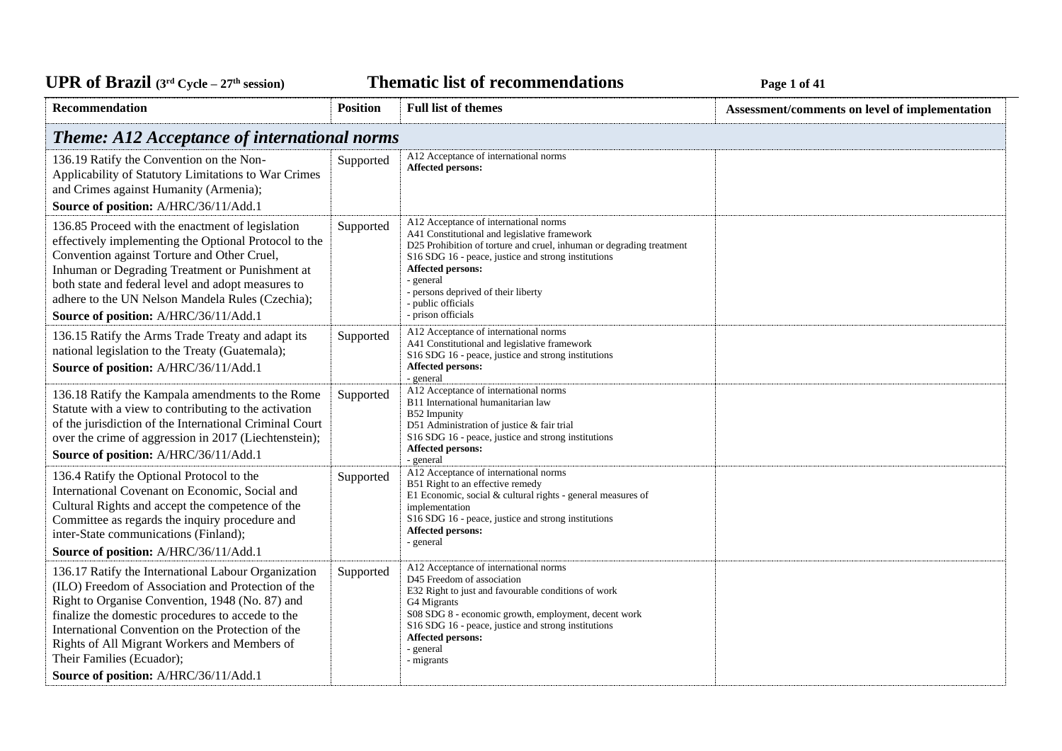**Thematic list of recommendations Page 1** of 41

| Recommendation                                                                                                                                                                                                                                                                                                                                                                               | <b>Position</b> | <b>Full list of themes</b>                                                                                                                                                                                                                                                                                                                                       | Assessment/comments on level of implementation |
|----------------------------------------------------------------------------------------------------------------------------------------------------------------------------------------------------------------------------------------------------------------------------------------------------------------------------------------------------------------------------------------------|-----------------|------------------------------------------------------------------------------------------------------------------------------------------------------------------------------------------------------------------------------------------------------------------------------------------------------------------------------------------------------------------|------------------------------------------------|
| <b>Theme: A12 Acceptance of international norms</b>                                                                                                                                                                                                                                                                                                                                          |                 |                                                                                                                                                                                                                                                                                                                                                                  |                                                |
| 136.19 Ratify the Convention on the Non-<br>Applicability of Statutory Limitations to War Crimes<br>and Crimes against Humanity (Armenia);<br>Source of position: A/HRC/36/11/Add.1                                                                                                                                                                                                          | Supported       | A12 Acceptance of international norms<br><b>Affected persons:</b>                                                                                                                                                                                                                                                                                                |                                                |
| 136.85 Proceed with the enactment of legislation<br>effectively implementing the Optional Protocol to the<br>Convention against Torture and Other Cruel,<br>Inhuman or Degrading Treatment or Punishment at<br>both state and federal level and adopt measures to<br>adhere to the UN Nelson Mandela Rules (Czechia);<br>Source of position: A/HRC/36/11/Add.1                               | Supported       | A12 Acceptance of international norms<br>A41 Constitutional and legislative framework<br>D25 Prohibition of torture and cruel, inhuman or degrading treatment<br>S <sub>16</sub> SDG <sub>16</sub> - peace, justice and strong institutions<br>Affected persons:<br>- general<br>- persons deprived of their liberty<br>- public officials<br>- prison officials |                                                |
| 136.15 Ratify the Arms Trade Treaty and adapt its<br>national legislation to the Treaty (Guatemala);<br>Source of position: A/HRC/36/11/Add.1                                                                                                                                                                                                                                                | Supported       | A12 Acceptance of international norms<br>A41 Constitutional and legislative framework<br>S16 SDG 16 - peace, justice and strong institutions<br><b>Affected persons:</b><br>- general                                                                                                                                                                            |                                                |
| 136.18 Ratify the Kampala amendments to the Rome<br>Statute with a view to contributing to the activation<br>of the jurisdiction of the International Criminal Court<br>over the crime of aggression in 2017 (Liechtenstein);<br>Source of position: A/HRC/36/11/Add.1                                                                                                                       | Supported       | A12 Acceptance of international norms<br>B11 International humanitarian law<br>B52 Impunity<br>D51 Administration of justice & fair trial<br>S16 SDG 16 - peace, justice and strong institutions<br><b>Affected persons:</b><br>- general                                                                                                                        |                                                |
| 136.4 Ratify the Optional Protocol to the<br>International Covenant on Economic, Social and<br>Cultural Rights and accept the competence of the<br>Committee as regards the inquiry procedure and<br>inter-State communications (Finland);<br>Source of position: A/HRC/36/11/Add.1                                                                                                          | Supported       | A12 Acceptance of international norms<br>B51 Right to an effective remedy<br>E1 Economic, social & cultural rights - general measures of<br>implementation<br>S16 SDG 16 - peace, justice and strong institutions<br><b>Affected persons:</b><br>- general                                                                                                       |                                                |
| 136.17 Ratify the International Labour Organization<br>(ILO) Freedom of Association and Protection of the<br>Right to Organise Convention, 1948 (No. 87) and<br>finalize the domestic procedures to accede to the<br>International Convention on the Protection of the<br>Rights of All Migrant Workers and Members of<br>Their Families (Ecuador);<br>Source of position: A/HRC/36/11/Add.1 | Supported       | A12 Acceptance of international norms<br>D45 Freedom of association<br>E32 Right to just and favourable conditions of work<br>G4 Migrants<br>S08 SDG 8 - economic growth, employment, decent work<br>S16 SDG 16 - peace, justice and strong institutions<br>Affected persons:<br>- general<br>- migrants                                                         |                                                |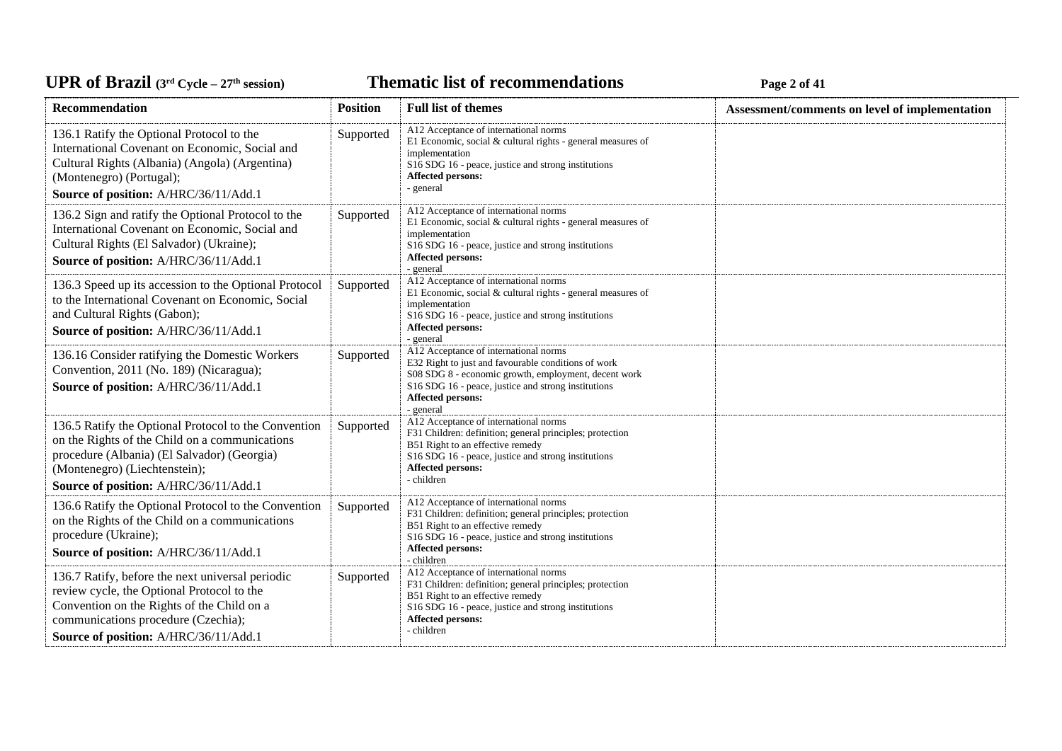# UPR of Brazil (3<sup>rd</sup> Cycle – 27<sup>th</sup> session)

**Thematic list of recommendations Page 2** of 41

| Recommendation                                                                                                                                                                                                                  | <b>Position</b> | <b>Full list of themes</b>                                                                                                                                                                                                                    | Assessment/comments on level of implementation |
|---------------------------------------------------------------------------------------------------------------------------------------------------------------------------------------------------------------------------------|-----------------|-----------------------------------------------------------------------------------------------------------------------------------------------------------------------------------------------------------------------------------------------|------------------------------------------------|
| 136.1 Ratify the Optional Protocol to the<br>International Covenant on Economic, Social and<br>Cultural Rights (Albania) (Angola) (Argentina)<br>(Montenegro) (Portugal);<br>Source of position: A/HRC/36/11/Add.1              | Supported       | A12 Acceptance of international norms<br>E1 Economic, social & cultural rights - general measures of<br>implementation<br>S <sub>16</sub> SDG <sub>16</sub> - peace, justice and strong institutions<br>Affected persons:<br>- general        |                                                |
| 136.2 Sign and ratify the Optional Protocol to the<br>International Covenant on Economic, Social and<br>Cultural Rights (El Salvador) (Ukraine);<br>Source of position: A/HRC/36/11/Add.1                                       | Supported       | A12 Acceptance of international norms<br>E1 Economic, social & cultural rights - general measures of<br>implementation<br>S <sub>16</sub> SDG <sub>16</sub> - peace, justice and strong institutions<br>Affected persons:<br>- general        |                                                |
| 136.3 Speed up its accession to the Optional Protocol<br>to the International Covenant on Economic, Social<br>and Cultural Rights (Gabon);<br>Source of position: A/HRC/36/11/Add.1                                             | Supported       | A12 Acceptance of international norms<br>E1 Economic, social & cultural rights - general measures of<br>implementation<br>S16 SDG 16 - peace, justice and strong institutions<br>Affected persons:<br>- general                               |                                                |
| 136.16 Consider ratifying the Domestic Workers<br>Convention, 2011 (No. 189) (Nicaragua);<br>Source of position: A/HRC/36/11/Add.1                                                                                              | Supported       | A12 Acceptance of international norms<br>E32 Right to just and favourable conditions of work<br>S08 SDG 8 - economic growth, employment, decent work<br>S16 SDG 16 - peace, justice and strong institutions<br>Affected persons:<br>- general |                                                |
| 136.5 Ratify the Optional Protocol to the Convention<br>on the Rights of the Child on a communications<br>procedure (Albania) (El Salvador) (Georgia)<br>(Montenegro) (Liechtenstein);<br>Source of position: A/HRC/36/11/Add.1 | Supported       | A12 Acceptance of international norms<br>F31 Children: definition; general principles; protection<br>B51 Right to an effective remedy<br>S16 SDG 16 - peace, justice and strong institutions<br>Affected persons:<br>- children               |                                                |
| 136.6 Ratify the Optional Protocol to the Convention<br>on the Rights of the Child on a communications<br>procedure (Ukraine);<br>Source of position: A/HRC/36/11/Add.1                                                         | Supported       | A12 Acceptance of international norms<br>F31 Children: definition; general principles; protection<br>B51 Right to an effective remedy<br>S16 SDG 16 - peace, justice and strong institutions<br>Affected persons:<br>- children               |                                                |
| 136.7 Ratify, before the next universal periodic<br>review cycle, the Optional Protocol to the<br>Convention on the Rights of the Child on a<br>communications procedure (Czechia);<br>Source of position: A/HRC/36/11/Add.1    | Supported       | A12 Acceptance of international norms<br>F31 Children: definition; general principles; protection<br>B51 Right to an effective remedy<br>S16 SDG 16 - peace, justice and strong institutions<br>Affected persons:<br>- children               |                                                |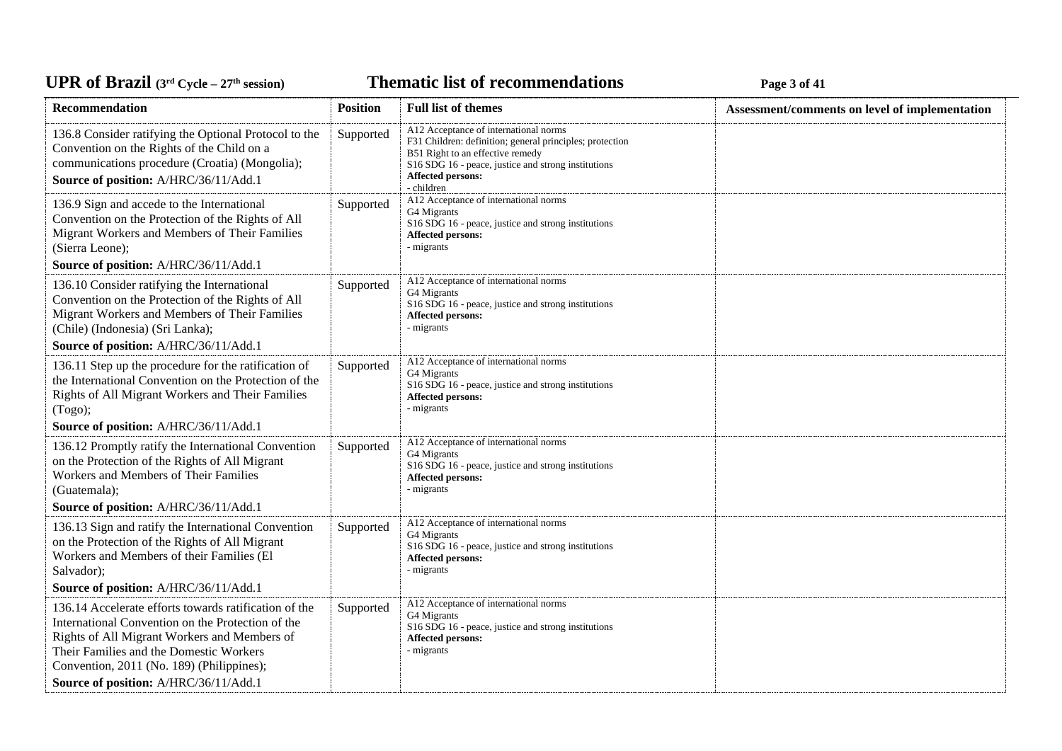**Thematic list of recommendations Page 3** of 41

| Recommendation                                                                                                                                                                                                                                                                              | <b>Position</b> | <b>Full list of themes</b>                                                                                                                                                                                                      | Assessment/comments on level of implementation |
|---------------------------------------------------------------------------------------------------------------------------------------------------------------------------------------------------------------------------------------------------------------------------------------------|-----------------|---------------------------------------------------------------------------------------------------------------------------------------------------------------------------------------------------------------------------------|------------------------------------------------|
| 136.8 Consider ratifying the Optional Protocol to the<br>Convention on the Rights of the Child on a<br>communications procedure (Croatia) (Mongolia);<br>Source of position: A/HRC/36/11/Add.1                                                                                              | Supported       | A12 Acceptance of international norms<br>F31 Children: definition; general principles; protection<br>B51 Right to an effective remedy<br>S16 SDG 16 - peace, justice and strong institutions<br>Affected persons:<br>- children |                                                |
| 136.9 Sign and accede to the International<br>Convention on the Protection of the Rights of All<br>Migrant Workers and Members of Their Families<br>(Sierra Leone);                                                                                                                         | Supported       | A12 Acceptance of international norms<br>G4 Migrants<br>S16 SDG 16 - peace, justice and strong institutions<br>Affected persons:<br>- migrants                                                                                  |                                                |
| Source of position: A/HRC/36/11/Add.1                                                                                                                                                                                                                                                       |                 |                                                                                                                                                                                                                                 |                                                |
| 136.10 Consider ratifying the International<br>Convention on the Protection of the Rights of All<br>Migrant Workers and Members of Their Families<br>(Chile) (Indonesia) (Sri Lanka);                                                                                                       | Supported       | A12 Acceptance of international norms<br>G4 Migrants<br>S16 SDG 16 - peace, justice and strong institutions<br><b>Affected persons:</b><br>- migrants                                                                           |                                                |
| Source of position: A/HRC/36/11/Add.1                                                                                                                                                                                                                                                       |                 |                                                                                                                                                                                                                                 |                                                |
| 136.11 Step up the procedure for the ratification of<br>the International Convention on the Protection of the<br>Rights of All Migrant Workers and Their Families<br>(Togo);                                                                                                                | Supported       | A12 Acceptance of international norms<br>G4 Migrants<br>S16 SDG 16 - peace, justice and strong institutions<br><b>Affected persons:</b><br>- migrants                                                                           |                                                |
| Source of position: A/HRC/36/11/Add.1                                                                                                                                                                                                                                                       |                 |                                                                                                                                                                                                                                 |                                                |
| 136.12 Promptly ratify the International Convention<br>on the Protection of the Rights of All Migrant<br>Workers and Members of Their Families<br>(Guatemala);                                                                                                                              | Supported       | A12 Acceptance of international norms<br>G4 Migrants<br>S16 SDG 16 - peace, justice and strong institutions<br><b>Affected persons:</b><br>- migrants                                                                           |                                                |
| Source of position: A/HRC/36/11/Add.1                                                                                                                                                                                                                                                       |                 |                                                                                                                                                                                                                                 |                                                |
| 136.13 Sign and ratify the International Convention<br>on the Protection of the Rights of All Migrant<br>Workers and Members of their Families (El<br>Salvador);                                                                                                                            | Supported       | A12 Acceptance of international norms<br>G4 Migrants<br>S16 SDG 16 - peace, justice and strong institutions<br><b>Affected persons:</b><br>- migrants                                                                           |                                                |
| Source of position: A/HRC/36/11/Add.1                                                                                                                                                                                                                                                       |                 |                                                                                                                                                                                                                                 |                                                |
| 136.14 Accelerate efforts towards ratification of the<br>International Convention on the Protection of the<br>Rights of All Migrant Workers and Members of<br>Their Families and the Domestic Workers<br>Convention, 2011 (No. 189) (Philippines);<br>Source of position: A/HRC/36/11/Add.1 | Supported       | A12 Acceptance of international norms<br>G4 Migrants<br>S16 SDG 16 - peace, justice and strong institutions<br><b>Affected persons:</b><br>- migrants                                                                           |                                                |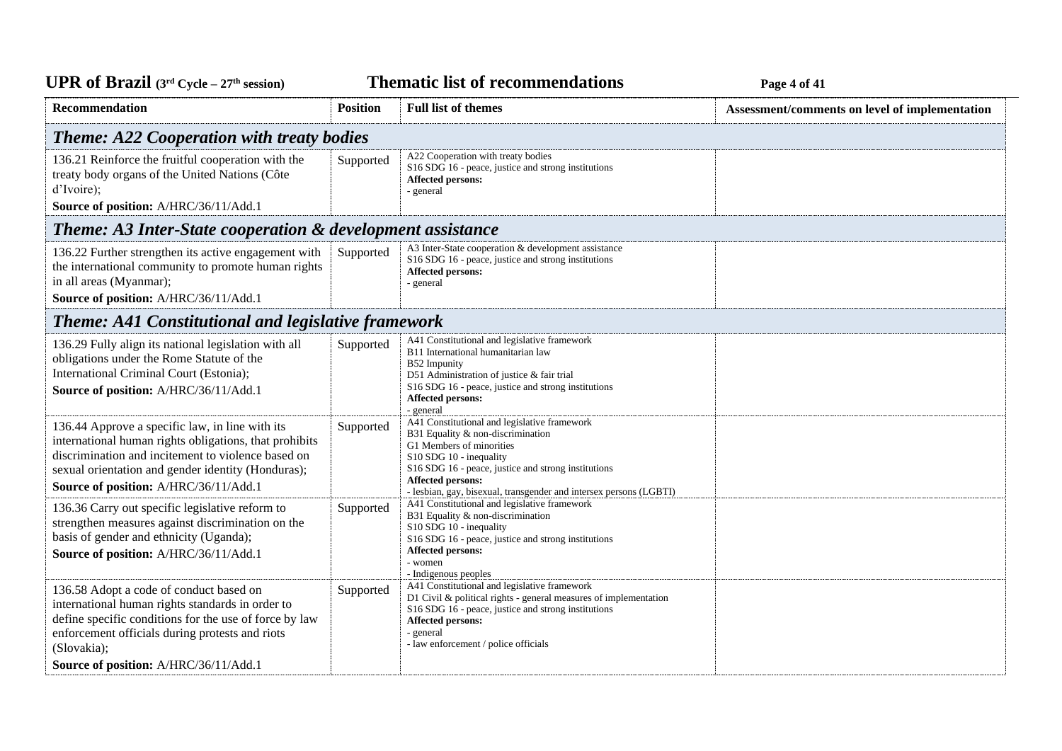**Thematic list of recommendations Page 4** of 41

| <b>Recommendation</b>                                                                                                                                                                                                                                            | <b>Position</b>                                  | <b>Full list of themes</b>                                                                                                                                                                                                                                                                          | Assessment/comments on level of implementation |  |  |
|------------------------------------------------------------------------------------------------------------------------------------------------------------------------------------------------------------------------------------------------------------------|--------------------------------------------------|-----------------------------------------------------------------------------------------------------------------------------------------------------------------------------------------------------------------------------------------------------------------------------------------------------|------------------------------------------------|--|--|
|                                                                                                                                                                                                                                                                  | <b>Theme: A22 Cooperation with treaty bodies</b> |                                                                                                                                                                                                                                                                                                     |                                                |  |  |
| 136.21 Reinforce the fruitful cooperation with the<br>treaty body organs of the United Nations (Côte<br>d'Ivoire);<br>Source of position: A/HRC/36/11/Add.1                                                                                                      | Supported                                        | A22 Cooperation with treaty bodies<br>S16 SDG 16 - peace, justice and strong institutions<br>Affected persons:<br>- general                                                                                                                                                                         |                                                |  |  |
| <b>Theme: A3 Inter-State cooperation &amp; development assistance</b>                                                                                                                                                                                            |                                                  |                                                                                                                                                                                                                                                                                                     |                                                |  |  |
| 136.22 Further strengthen its active engagement with<br>the international community to promote human rights<br>in all areas (Myanmar);<br>Source of position: A/HRC/36/11/Add.1                                                                                  | Supported                                        | A3 Inter-State cooperation & development assistance<br>S16 SDG 16 - peace, justice and strong institutions<br><b>Affected persons:</b><br>- general                                                                                                                                                 |                                                |  |  |
| <b>Theme: A41 Constitutional and legislative framework</b>                                                                                                                                                                                                       |                                                  |                                                                                                                                                                                                                                                                                                     |                                                |  |  |
| 136.29 Fully align its national legislation with all<br>obligations under the Rome Statute of the<br>International Criminal Court (Estonia);<br>Source of position: A/HRC/36/11/Add.1                                                                            | Supported                                        | A41 Constitutional and legislative framework<br>B11 International humanitarian law<br>B52 Impunity<br>D51 Administration of justice & fair trial<br>S16 SDG 16 - peace, justice and strong institutions<br>Affected persons:<br>- general                                                           |                                                |  |  |
| 136.44 Approve a specific law, in line with its<br>international human rights obligations, that prohibits<br>discrimination and incitement to violence based on<br>sexual orientation and gender identity (Honduras);<br>Source of position: A/HRC/36/11/Add.1   | Supported                                        | A41 Constitutional and legislative framework<br>B31 Equality & non-discrimination<br>G1 Members of minorities<br>$S10$ SDG 10 - inequality<br>S16 SDG 16 - peace, justice and strong institutions<br><b>Affected persons:</b><br>- lesbian, gay, bisexual, transgender and intersex persons (LGBTI) |                                                |  |  |
| 136.36 Carry out specific legislative reform to<br>strengthen measures against discrimination on the<br>basis of gender and ethnicity (Uganda);<br>Source of position: A/HRC/36/11/Add.1                                                                         | Supported                                        | A41 Constitutional and legislative framework<br>B31 Equality & non-discrimination<br>S10 SDG 10 - inequality<br>S16 SDG 16 - peace, justice and strong institutions<br><b>Affected persons:</b><br>- women<br>- Indigenous peoples                                                                  |                                                |  |  |
| 136.58 Adopt a code of conduct based on<br>international human rights standards in order to<br>define specific conditions for the use of force by law<br>enforcement officials during protests and riots<br>(Slovakia);<br>Source of position: A/HRC/36/11/Add.1 | Supported                                        | A41 Constitutional and legislative framework<br>D1 Civil & political rights - general measures of implementation<br>S16 SDG 16 - peace, justice and strong institutions<br><b>Affected persons:</b><br>- general<br>- law enforcement / police officials                                            |                                                |  |  |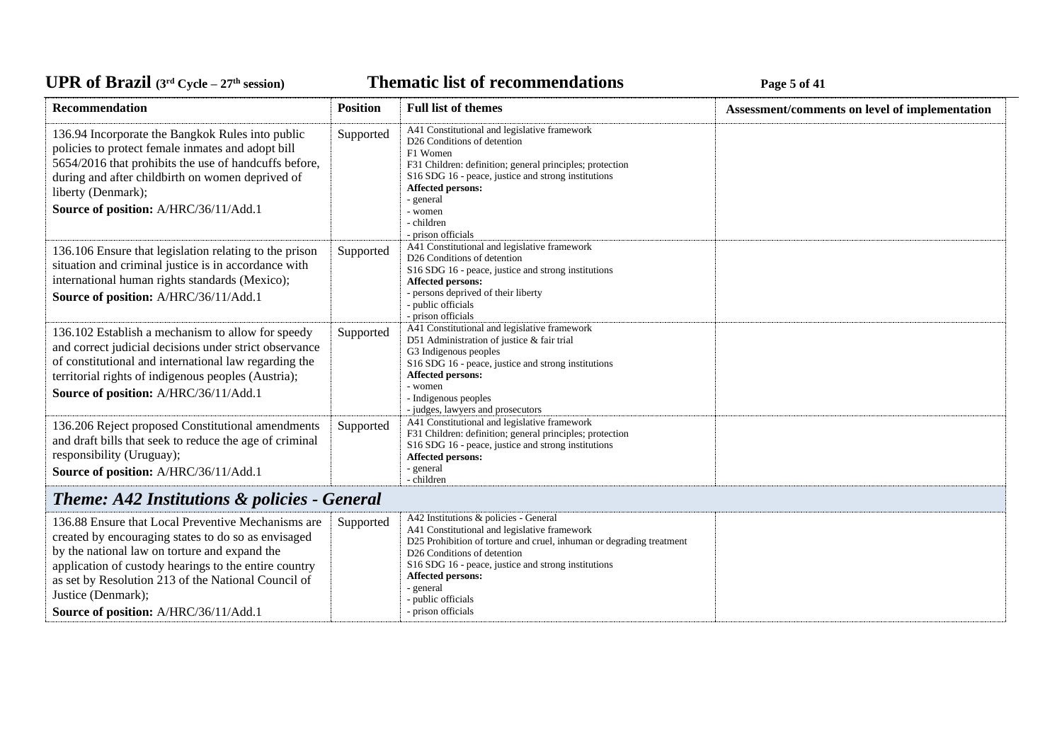**Thematic list of recommendations Page 5** of 41

| Recommendation                                                                                                                                                                                                                                                                                                                            | <b>Position</b> | <b>Full list of themes</b>                                                                                                                                                                                                                                                                                                                    | Assessment/comments on level of implementation |
|-------------------------------------------------------------------------------------------------------------------------------------------------------------------------------------------------------------------------------------------------------------------------------------------------------------------------------------------|-----------------|-----------------------------------------------------------------------------------------------------------------------------------------------------------------------------------------------------------------------------------------------------------------------------------------------------------------------------------------------|------------------------------------------------|
| 136.94 Incorporate the Bangkok Rules into public<br>policies to protect female inmates and adopt bill<br>5654/2016 that prohibits the use of handcuffs before,<br>during and after childbirth on women deprived of<br>liberty (Denmark);<br>Source of position: A/HRC/36/11/Add.1                                                         | Supported       | A41 Constitutional and legislative framework<br>D26 Conditions of detention<br>F1 Women<br>F31 Children: definition; general principles; protection<br>S16 SDG 16 - peace, justice and strong institutions<br>Affected persons:<br>- general<br>- women<br>- children<br>- prison officials                                                   |                                                |
| 136.106 Ensure that legislation relating to the prison<br>situation and criminal justice is in accordance with<br>international human rights standards (Mexico);<br>Source of position: A/HRC/36/11/Add.1                                                                                                                                 | Supported       | A41 Constitutional and legislative framework<br>D26 Conditions of detention<br>S16 SDG 16 - peace, justice and strong institutions<br>Affected persons:<br>- persons deprived of their liberty<br>- public officials<br>- prison officials                                                                                                    |                                                |
| 136.102 Establish a mechanism to allow for speedy<br>and correct judicial decisions under strict observance<br>of constitutional and international law regarding the<br>territorial rights of indigenous peoples (Austria);<br>Source of position: A/HRC/36/11/Add.1                                                                      | Supported       | A41 Constitutional and legislative framework<br>D51 Administration of justice & fair trial<br>G3 Indigenous peoples<br>S16 SDG 16 - peace, justice and strong institutions<br><b>Affected persons:</b><br>- women<br>- Indigenous peoples<br>- judges, lawyers and prosecutors                                                                |                                                |
| 136.206 Reject proposed Constitutional amendments<br>and draft bills that seek to reduce the age of criminal<br>responsibility (Uruguay);<br>Source of position: A/HRC/36/11/Add.1                                                                                                                                                        | Supported       | A41 Constitutional and legislative framework<br>F31 Children: definition; general principles; protection<br>S16 SDG 16 - peace, justice and strong institutions<br>Affected persons:<br>- general<br>- children                                                                                                                               |                                                |
| Theme: A42 Institutions & policies - General                                                                                                                                                                                                                                                                                              |                 |                                                                                                                                                                                                                                                                                                                                               |                                                |
| 136.88 Ensure that Local Preventive Mechanisms are<br>created by encouraging states to do so as envisaged<br>by the national law on torture and expand the<br>application of custody hearings to the entire country<br>as set by Resolution 213 of the National Council of<br>Justice (Denmark);<br>Source of position: A/HRC/36/11/Add.1 | Supported       | A42 Institutions & policies - General<br>A41 Constitutional and legislative framework<br>D25 Prohibition of torture and cruel, inhuman or degrading treatment<br>D <sub>26</sub> Conditions of detention<br>S16 SDG 16 - peace, justice and strong institutions<br>Affected persons:<br>- general<br>- public officials<br>- prison officials |                                                |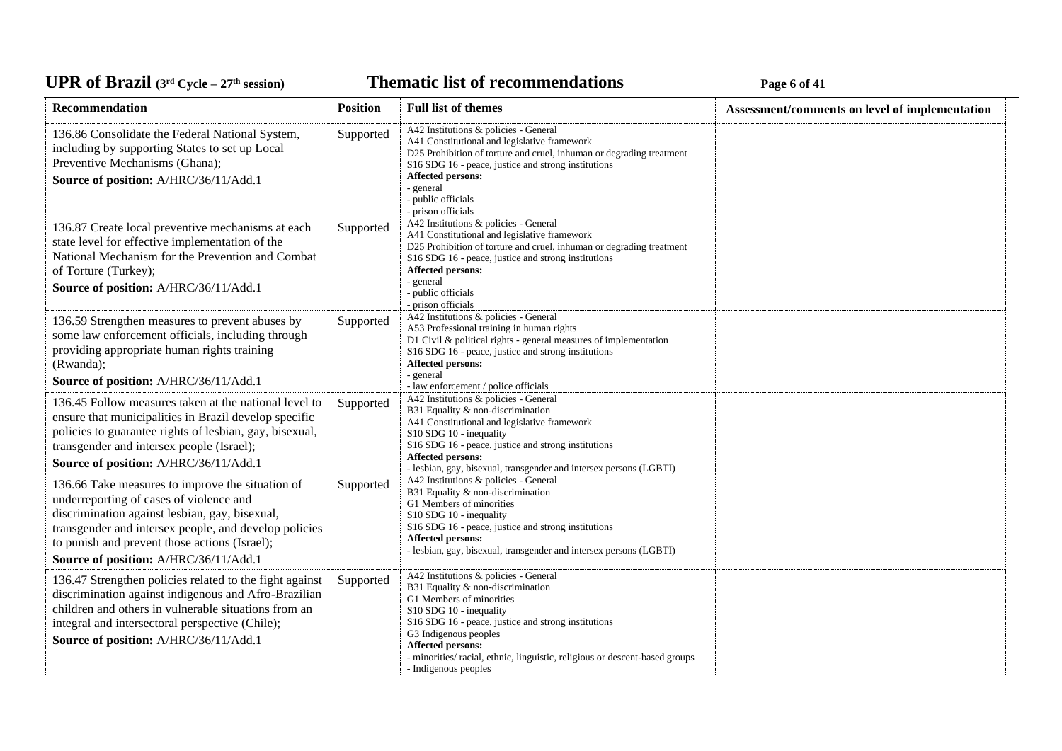**Thematic list of recommendations Page 6** of 41

| Recommendation                                                                                                                                                                                                                                                                                   | <b>Position</b> | <b>Full list of themes</b>                                                                                                                                                                                                                                                                                                                    | Assessment/comments on level of implementation |
|--------------------------------------------------------------------------------------------------------------------------------------------------------------------------------------------------------------------------------------------------------------------------------------------------|-----------------|-----------------------------------------------------------------------------------------------------------------------------------------------------------------------------------------------------------------------------------------------------------------------------------------------------------------------------------------------|------------------------------------------------|
| 136.86 Consolidate the Federal National System,<br>including by supporting States to set up Local<br>Preventive Mechanisms (Ghana);<br>Source of position: A/HRC/36/11/Add.1                                                                                                                     | Supported       | A42 Institutions & policies - General<br>A41 Constitutional and legislative framework<br>D25 Prohibition of torture and cruel, inhuman or degrading treatment<br>S <sub>16</sub> SDG <sub>16</sub> - peace, justice and strong institutions<br><b>Affected persons:</b><br>- general<br>- public officials<br>- prison officials              |                                                |
| 136.87 Create local preventive mechanisms at each<br>state level for effective implementation of the<br>National Mechanism for the Prevention and Combat<br>of Torture (Turkey);<br>Source of position: A/HRC/36/11/Add.1                                                                        | Supported       | A42 Institutions & policies - General<br>A41 Constitutional and legislative framework<br>D25 Prohibition of torture and cruel, inhuman or degrading treatment<br>S <sub>16</sub> SDG <sub>16</sub> - peace, justice and strong institutions<br>Affected persons:<br>- general<br>- public officials<br>- prison officials                     |                                                |
| 136.59 Strengthen measures to prevent abuses by<br>some law enforcement officials, including through<br>providing appropriate human rights training<br>(Rwanda);<br>Source of position: A/HRC/36/11/Add.1                                                                                        | Supported       | A42 Institutions & policies - General<br>A53 Professional training in human rights<br>D1 Civil & political rights - general measures of implementation<br>S <sub>16</sub> SDG <sub>16</sub> - peace, justice and strong institutions<br>Affected persons:<br>- general<br>- law enforcement / police officials                                |                                                |
| 136.45 Follow measures taken at the national level to<br>ensure that municipalities in Brazil develop specific<br>policies to guarantee rights of lesbian, gay, bisexual,<br>transgender and intersex people (Israel);<br>Source of position: A/HRC/36/11/Add.1                                  | Supported       | A42 Institutions & policies - General<br>B31 Equality & non-discrimination<br>A41 Constitutional and legislative framework<br>$S10$ SDG 10 - inequality<br>S <sub>16</sub> SDG <sub>16</sub> - peace, justice and strong institutions<br>Affected persons:<br>- lesbian, gay, bisexual, transgender and intersex persons (LGBTI)              |                                                |
| 136.66 Take measures to improve the situation of<br>underreporting of cases of violence and<br>discrimination against lesbian, gay, bisexual,<br>transgender and intersex people, and develop policies<br>to punish and prevent those actions (Israel);<br>Source of position: A/HRC/36/11/Add.1 | Supported       | A42 Institutions & policies - General<br>B31 Equality & non-discrimination<br>G1 Members of minorities<br>S10 SDG 10 - inequality<br>S16 SDG 16 - peace, justice and strong institutions<br><b>Affected persons:</b><br>- lesbian, gay, bisexual, transgender and intersex persons (LGBTI)                                                    |                                                |
| 136.47 Strengthen policies related to the fight against<br>discrimination against indigenous and Afro-Brazilian<br>children and others in vulnerable situations from an<br>integral and intersectoral perspective (Chile);<br>Source of position: A/HRC/36/11/Add.1                              | Supported       | A42 Institutions & policies - General<br>B31 Equality & non-discrimination<br>G1 Members of minorities<br>S10 SDG 10 - inequality<br>S16 SDG 16 - peace, justice and strong institutions<br>G3 Indigenous peoples<br>Affected persons:<br>- minorities/ racial, ethnic, linguistic, religious or descent-based groups<br>- Indigenous peoples |                                                |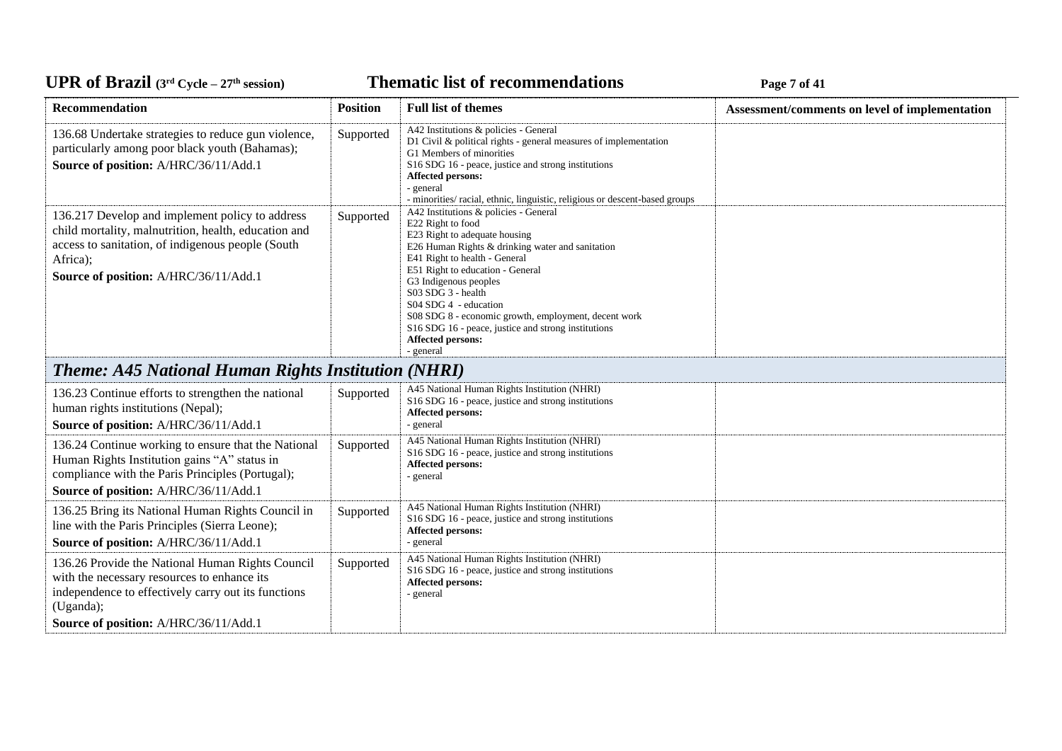**Thematic list of recommendations Page 7** of 41

| Recommendation                                                                                                                                                                                                    | <b>Position</b> | <b>Full list of themes</b>                                                                                                                                                                                                                                                                                                                                                                                                                           | Assessment/comments on level of implementation |
|-------------------------------------------------------------------------------------------------------------------------------------------------------------------------------------------------------------------|-----------------|------------------------------------------------------------------------------------------------------------------------------------------------------------------------------------------------------------------------------------------------------------------------------------------------------------------------------------------------------------------------------------------------------------------------------------------------------|------------------------------------------------|
| 136.68 Undertake strategies to reduce gun violence,<br>particularly among poor black youth (Bahamas);<br>Source of position: A/HRC/36/11/Add.1                                                                    | Supported       | A42 Institutions & policies - General<br>D1 Civil & political rights - general measures of implementation<br>G1 Members of minorities<br>S16 SDG 16 - peace, justice and strong institutions<br><b>Affected persons:</b><br>- general<br>- minorities/ racial, ethnic, linguistic, religious or descent-based groups                                                                                                                                 |                                                |
| 136.217 Develop and implement policy to address<br>child mortality, malnutrition, health, education and<br>access to sanitation, of indigenous people (South<br>Africa);<br>Source of position: A/HRC/36/11/Add.1 | Supported       | A42 Institutions & policies - General<br>E22 Right to food<br>E23 Right to adequate housing<br>E26 Human Rights & drinking water and sanitation<br>E41 Right to health - General<br>E51 Right to education - General<br>G3 Indigenous peoples<br>S03 SDG 3 - health<br>S04 SDG 4 - education<br>S08 SDG 8 - economic growth, employment, decent work<br>S16 SDG 16 - peace, justice and strong institutions<br><b>Affected persons:</b><br>- general |                                                |
| <b>Theme: A45 National Human Rights Institution (NHRI)</b>                                                                                                                                                        |                 |                                                                                                                                                                                                                                                                                                                                                                                                                                                      |                                                |
| 136.23 Continue efforts to strengthen the national<br>human rights institutions (Nepal);<br>Source of position: A/HRC/36/11/Add.1                                                                                 | Supported       | A45 National Human Rights Institution (NHRI)<br>S16 SDG 16 - peace, justice and strong institutions<br><b>Affected persons:</b><br>- general                                                                                                                                                                                                                                                                                                         |                                                |
| 136.24 Continue working to ensure that the National<br>Human Rights Institution gains "A" status in<br>compliance with the Paris Principles (Portugal);<br>Source of position: A/HRC/36/11/Add.1                  | Supported       | A45 National Human Rights Institution (NHRI)<br>S16 SDG 16 - peace, justice and strong institutions<br><b>Affected persons:</b><br>- general                                                                                                                                                                                                                                                                                                         |                                                |
| 136.25 Bring its National Human Rights Council in<br>line with the Paris Principles (Sierra Leone);<br>Source of position: A/HRC/36/11/Add.1                                                                      | Supported       | A45 National Human Rights Institution (NHRI)<br>S16 SDG 16 - peace, justice and strong institutions<br>Affected persons:<br>- general                                                                                                                                                                                                                                                                                                                |                                                |
| 136.26 Provide the National Human Rights Council<br>with the necessary resources to enhance its<br>independence to effectively carry out its functions<br>(Uganda);                                               | Supported       | A45 National Human Rights Institution (NHRI)<br>S16 SDG 16 - peace, justice and strong institutions<br><b>Affected persons:</b><br>- general                                                                                                                                                                                                                                                                                                         |                                                |
| Source of position: A/HRC/36/11/Add.1                                                                                                                                                                             |                 |                                                                                                                                                                                                                                                                                                                                                                                                                                                      |                                                |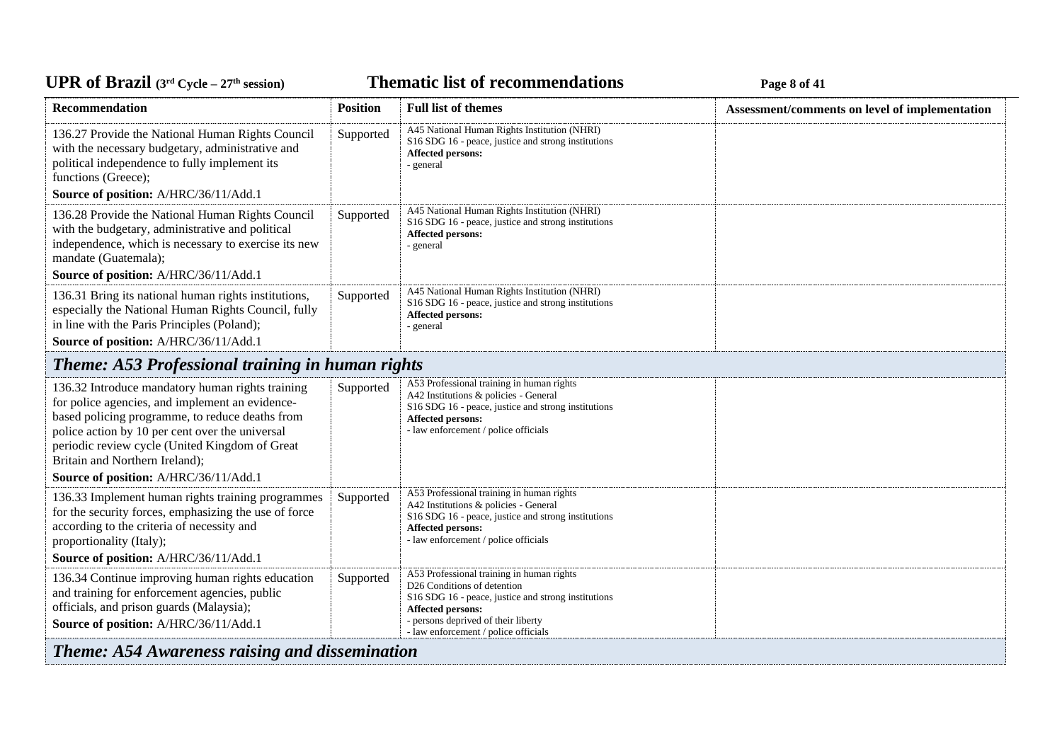#### UPR of Brazil (3<sup>rd</sup> Cycle – 27<sup>th</sup> session)

*C***ELE <b>EXECUTE: CYCLE 27E 27E 27E 27E 27E 27E 27E 27E 27E** 27**E** 27**E** 27**E** 27**E** 27**E** 27**E** 27**E** 27**E** 27**E** 27**E** 27**E** 27**E** 27**E** 27**E** 27**E** 27**E** 27**E** 27**E** 27**E** 27**E** 27**E** 27**E** 27**E** 27

| <b>Recommendation</b>                                                                                                                                                                                                                                                                                                                  | <b>Position</b> | <b>Full list of themes</b>                                                                                                                                                                                                          | Assessment/comments on level of implementation |
|----------------------------------------------------------------------------------------------------------------------------------------------------------------------------------------------------------------------------------------------------------------------------------------------------------------------------------------|-----------------|-------------------------------------------------------------------------------------------------------------------------------------------------------------------------------------------------------------------------------------|------------------------------------------------|
| 136.27 Provide the National Human Rights Council<br>with the necessary budgetary, administrative and<br>political independence to fully implement its<br>functions (Greece);                                                                                                                                                           | Supported       | A45 National Human Rights Institution (NHRI)<br>S16 SDG 16 - peace, justice and strong institutions<br>Affected persons:<br>- general                                                                                               |                                                |
| Source of position: A/HRC/36/11/Add.1                                                                                                                                                                                                                                                                                                  |                 |                                                                                                                                                                                                                                     |                                                |
| 136.28 Provide the National Human Rights Council<br>with the budgetary, administrative and political<br>independence, which is necessary to exercise its new<br>mandate (Guatemala);<br>Source of position: A/HRC/36/11/Add.1                                                                                                          | Supported       | A45 National Human Rights Institution (NHRI)<br>S16 SDG 16 - peace, justice and strong institutions<br><b>Affected persons:</b><br>- general                                                                                        |                                                |
| 136.31 Bring its national human rights institutions,<br>especially the National Human Rights Council, fully<br>in line with the Paris Principles (Poland);                                                                                                                                                                             | Supported       | A45 National Human Rights Institution (NHRI)<br>S16 SDG 16 - peace, justice and strong institutions<br><b>Affected persons:</b><br>- general                                                                                        |                                                |
| Source of position: A/HRC/36/11/Add.1                                                                                                                                                                                                                                                                                                  |                 |                                                                                                                                                                                                                                     |                                                |
| Theme: A53 Professional training in human rights                                                                                                                                                                                                                                                                                       |                 |                                                                                                                                                                                                                                     |                                                |
| 136.32 Introduce mandatory human rights training<br>for police agencies, and implement an evidence-<br>based policing programme, to reduce deaths from<br>police action by 10 per cent over the universal<br>periodic review cycle (United Kingdom of Great<br>Britain and Northern Ireland);<br>Source of position: A/HRC/36/11/Add.1 | Supported       | A53 Professional training in human rights<br>A42 Institutions & policies - General<br>S16 SDG 16 - peace, justice and strong institutions<br>Affected persons:<br>- law enforcement / police officials                              |                                                |
| 136.33 Implement human rights training programmes<br>for the security forces, emphasizing the use of force<br>according to the criteria of necessity and<br>proportionality (Italy);<br>Source of position: A/HRC/36/11/Add.1                                                                                                          | Supported       | A53 Professional training in human rights<br>A42 Institutions & policies - General<br>S16 SDG 16 - peace, justice and strong institutions<br><b>Affected persons:</b><br>- law enforcement / police officials                       |                                                |
| 136.34 Continue improving human rights education<br>and training for enforcement agencies, public<br>officials, and prison guards (Malaysia);<br>Source of position: A/HRC/36/11/Add.1                                                                                                                                                 | Supported       | A53 Professional training in human rights<br>D26 Conditions of detention<br>S16 SDG 16 - peace, justice and strong institutions<br>Affected persons:<br>- persons deprived of their liberty<br>- law enforcement / police officials |                                                |
| Theme: A54 Awareness raising and dissemination                                                                                                                                                                                                                                                                                         |                 |                                                                                                                                                                                                                                     |                                                |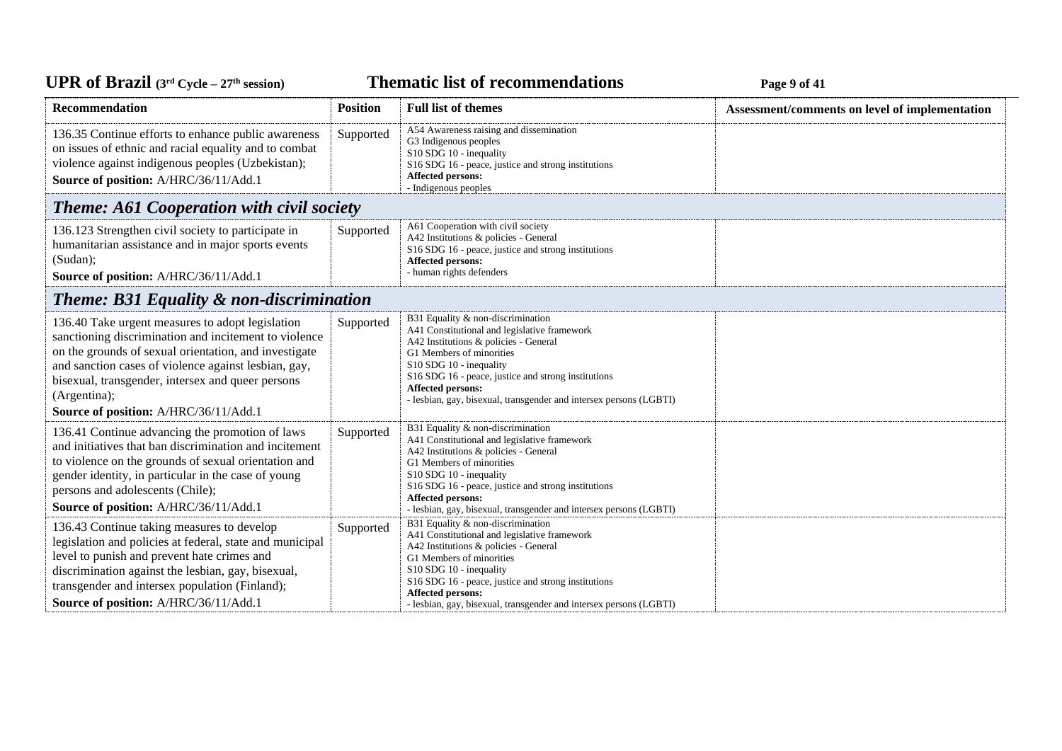*C***ELE <b>EXECUTE: CYCLE 2018 EXECUTE: Page 9** of 41

| Recommendation                                                                                                                                                                                                                                                                                                                           | <b>Position</b> | <b>Full list of themes</b>                                                                                                                                                                                                                                                                                                                                 | Assessment/comments on level of implementation |
|------------------------------------------------------------------------------------------------------------------------------------------------------------------------------------------------------------------------------------------------------------------------------------------------------------------------------------------|-----------------|------------------------------------------------------------------------------------------------------------------------------------------------------------------------------------------------------------------------------------------------------------------------------------------------------------------------------------------------------------|------------------------------------------------|
| 136.35 Continue efforts to enhance public awareness<br>on issues of ethnic and racial equality and to combat<br>violence against indigenous peoples (Uzbekistan);<br>Source of position: A/HRC/36/11/Add.1                                                                                                                               | Supported       | A54 Awareness raising and dissemination<br>G3 Indigenous peoples<br>S10 SDG 10 - inequality<br>S16 SDG 16 - peace, justice and strong institutions<br>Affected persons:<br>- Indigenous peoples                                                                                                                                                            |                                                |
| <b>Theme: A61 Cooperation with civil society</b>                                                                                                                                                                                                                                                                                         |                 |                                                                                                                                                                                                                                                                                                                                                            |                                                |
| 136.123 Strengthen civil society to participate in<br>humanitarian assistance and in major sports events<br>(Sudan);<br>Source of position: A/HRC/36/11/Add.1                                                                                                                                                                            | Supported       | A61 Cooperation with civil society<br>A42 Institutions & policies - General<br>S16 SDG 16 - peace, justice and strong institutions<br>Affected persons:<br>- human rights defenders                                                                                                                                                                        |                                                |
| Theme: B31 Equality & non-discrimination                                                                                                                                                                                                                                                                                                 |                 |                                                                                                                                                                                                                                                                                                                                                            |                                                |
| 136.40 Take urgent measures to adopt legislation<br>sanctioning discrimination and incitement to violence<br>on the grounds of sexual orientation, and investigate<br>and sanction cases of violence against lesbian, gay,<br>bisexual, transgender, intersex and queer persons<br>(Argentina);<br>Source of position: A/HRC/36/11/Add.1 | Supported       | B31 Equality & non-discrimination<br>A41 Constitutional and legislative framework<br>A42 Institutions & policies - General<br>G1 Members of minorities<br>S10 SDG 10 - inequality<br>S <sub>16</sub> SDG <sub>16</sub> - peace, justice and strong institutions<br>Affected persons:<br>- lesbian, gay, bisexual, transgender and intersex persons (LGBTI) |                                                |
| 136.41 Continue advancing the promotion of laws<br>and initiatives that ban discrimination and incitement<br>to violence on the grounds of sexual orientation and<br>gender identity, in particular in the case of young<br>persons and adolescents (Chile);<br>Source of position: A/HRC/36/11/Add.1                                    | Supported       | B31 Equality & non-discrimination<br>A41 Constitutional and legislative framework<br>A42 Institutions & policies - General<br>G1 Members of minorities<br>S10 SDG 10 - inequality<br>S16 SDG 16 - peace, justice and strong institutions<br>Affected persons:<br>- lesbian, gay, bisexual, transgender and intersex persons (LGBTI)                        |                                                |
| 136.43 Continue taking measures to develop<br>legislation and policies at federal, state and municipal<br>level to punish and prevent hate crimes and<br>discrimination against the lesbian, gay, bisexual,<br>transgender and intersex population (Finland);<br>Source of position: A/HRC/36/11/Add.1                                   | Supported       | B31 Equality & non-discrimination<br>A41 Constitutional and legislative framework<br>A42 Institutions & policies - General<br>G1 Members of minorities<br>S10 SDG 10 - inequality<br>S16 SDG 16 - peace, justice and strong institutions<br>Affected persons:<br>- lesbian, gay, bisexual, transgender and intersex persons (LGBTI)                        |                                                |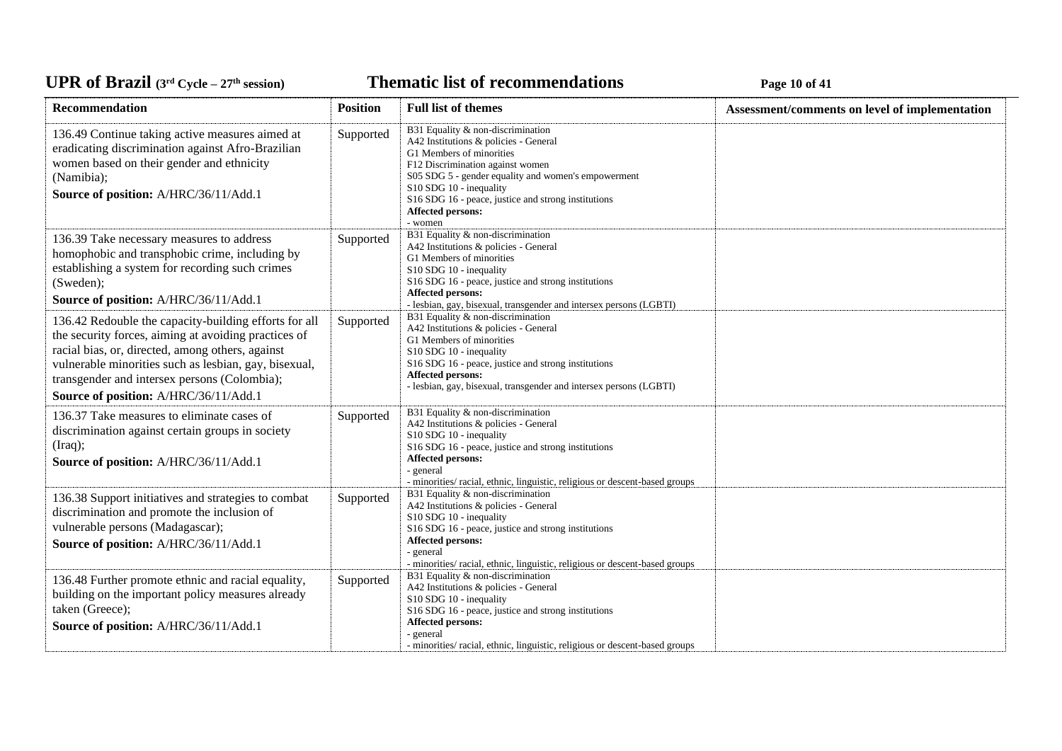**Thematic list of recommendations Page 10** of 41

| Recommendation                                                                                                                                                                                                                                                                                                      | <b>Position</b> | <b>Full list of themes</b>                                                                                                                                                                                                                                                                                          | Assessment/comments on level of implementation |
|---------------------------------------------------------------------------------------------------------------------------------------------------------------------------------------------------------------------------------------------------------------------------------------------------------------------|-----------------|---------------------------------------------------------------------------------------------------------------------------------------------------------------------------------------------------------------------------------------------------------------------------------------------------------------------|------------------------------------------------|
| 136.49 Continue taking active measures aimed at<br>eradicating discrimination against Afro-Brazilian<br>women based on their gender and ethnicity<br>(Namibia);<br>Source of position: A/HRC/36/11/Add.1                                                                                                            | Supported       | B31 Equality & non-discrimination<br>A42 Institutions & policies - General<br>G1 Members of minorities<br>F12 Discrimination against women<br>S05 SDG 5 - gender equality and women's empowerment<br>S10 SDG 10 - inequality<br>S16 SDG 16 - peace, justice and strong institutions<br>Affected persons:<br>- women |                                                |
| 136.39 Take necessary measures to address<br>homophobic and transphobic crime, including by<br>establishing a system for recording such crimes<br>(Sweden);<br>Source of position: A/HRC/36/11/Add.1                                                                                                                | Supported       | B31 Equality & non-discrimination<br>A42 Institutions & policies - General<br>G1 Members of minorities<br>S10 SDG 10 - inequality<br>S16 SDG 16 - peace, justice and strong institutions<br>Affected persons:<br>- lesbian, gay, bisexual, transgender and intersex persons (LGBTI)                                 |                                                |
| 136.42 Redouble the capacity-building efforts for all<br>the security forces, aiming at avoiding practices of<br>racial bias, or, directed, among others, against<br>vulnerable minorities such as lesbian, gay, bisexual,<br>transgender and intersex persons (Colombia);<br>Source of position: A/HRC/36/11/Add.1 | Supported       | B31 Equality & non-discrimination<br>A42 Institutions & policies - General<br>G1 Members of minorities<br>S10 SDG 10 - inequality<br>S16 SDG 16 - peace, justice and strong institutions<br>Affected persons:<br>- lesbian, gay, bisexual, transgender and intersex persons (LGBTI)                                 |                                                |
| 136.37 Take measures to eliminate cases of<br>discrimination against certain groups in society<br>(Iraq);<br>Source of position: A/HRC/36/11/Add.1                                                                                                                                                                  | Supported       | B31 Equality & non-discrimination<br>A42 Institutions & policies - General<br>S10 SDG 10 - inequality<br>S16 SDG 16 - peace, justice and strong institutions<br>Affected persons:<br>- general<br>- minorities/racial, ethnic, linguistic, religious or descent-based groups                                        |                                                |
| 136.38 Support initiatives and strategies to combat<br>discrimination and promote the inclusion of<br>vulnerable persons (Madagascar);<br>Source of position: A/HRC/36/11/Add.1                                                                                                                                     | Supported       | B31 Equality & non-discrimination<br>A42 Institutions & policies - General<br>S10 SDG 10 - inequality<br>S16 SDG 16 - peace, justice and strong institutions<br>Affected persons:<br>- general<br>- minorities/ racial, ethnic, linguistic, religious or descent-based groups                                       |                                                |
| 136.48 Further promote ethnic and racial equality,<br>building on the important policy measures already<br>taken (Greece);<br>Source of position: A/HRC/36/11/Add.1                                                                                                                                                 | Supported       | B31 Equality & non-discrimination<br>A42 Institutions & policies - General<br>S10 SDG 10 - inequality<br>S <sub>16</sub> SDG <sub>16</sub> - peace, justice and strong institutions<br>Affected persons:<br>- general<br>- minorities/ racial, ethnic, linguistic, religious or descent-based groups                |                                                |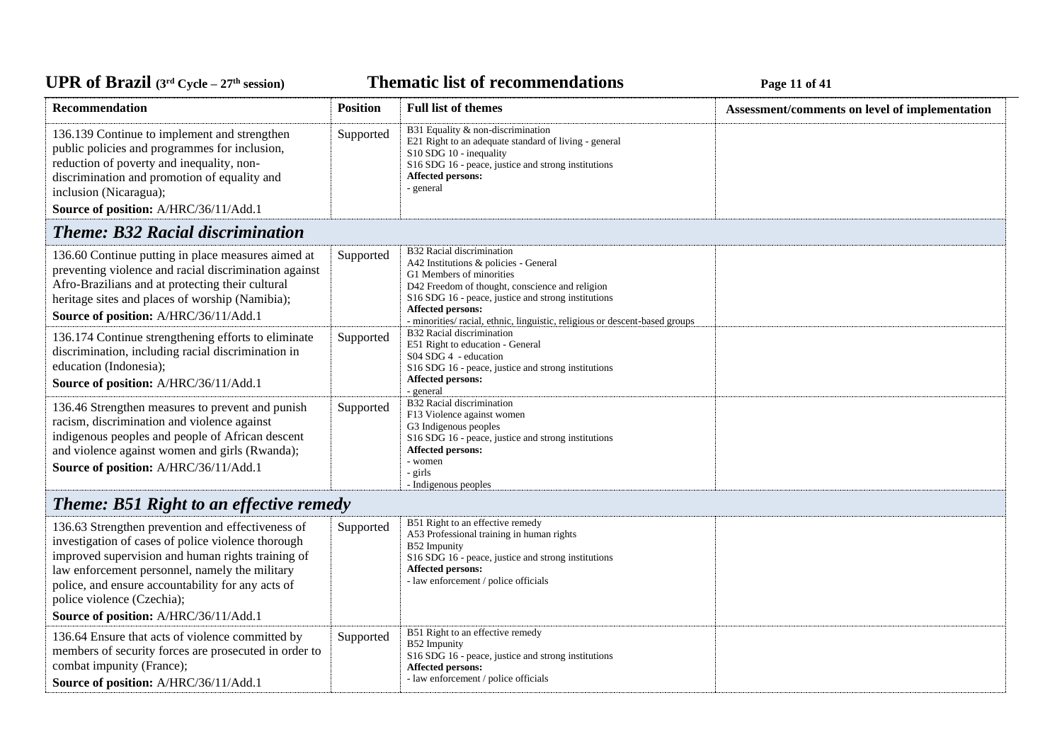# UPR of Brazil (3<sup>rd</sup> Cycle – 27<sup>th</sup> session)

**Thematic list of recommendations Page 11 of 41** 

| <b>Recommendation</b>                                                                                                                                                                                                                                                                                                                      | <b>Position</b> | <b>Full list of themes</b>                                                                                                                                                                                                                                                                                   | Assessment/comments on level of implementation |
|--------------------------------------------------------------------------------------------------------------------------------------------------------------------------------------------------------------------------------------------------------------------------------------------------------------------------------------------|-----------------|--------------------------------------------------------------------------------------------------------------------------------------------------------------------------------------------------------------------------------------------------------------------------------------------------------------|------------------------------------------------|
| 136.139 Continue to implement and strengthen<br>public policies and programmes for inclusion,<br>reduction of poverty and inequality, non-<br>discrimination and promotion of equality and<br>inclusion (Nicaragua);<br>Source of position: A/HRC/36/11/Add.1                                                                              | Supported       | B31 Equality & non-discrimination<br>E21 Right to an adequate standard of living - general<br>S10 SDG 10 - inequality<br>S16 SDG 16 - peace, justice and strong institutions<br>Affected persons:<br>- general                                                                                               |                                                |
| <b>Theme: B32 Racial discrimination</b>                                                                                                                                                                                                                                                                                                    |                 |                                                                                                                                                                                                                                                                                                              |                                                |
| 136.60 Continue putting in place measures aimed at<br>preventing violence and racial discrimination against<br>Afro-Brazilians and at protecting their cultural<br>heritage sites and places of worship (Namibia);<br>Source of position: A/HRC/36/11/Add.1                                                                                | Supported       | B32 Racial discrimination<br>A42 Institutions & policies - General<br>G1 Members of minorities<br>D42 Freedom of thought, conscience and religion<br>S16 SDG 16 - peace, justice and strong institutions<br>Affected persons:<br>- minorities/ racial, ethnic, linguistic, religious or descent-based groups |                                                |
| 136.174 Continue strengthening efforts to eliminate<br>discrimination, including racial discrimination in<br>education (Indonesia);<br>Source of position: A/HRC/36/11/Add.1                                                                                                                                                               | Supported       | B32 Racial discrimination<br>E51 Right to education - General<br>S04 SDG 4 - education<br>S16 SDG 16 - peace, justice and strong institutions<br><b>Affected persons:</b><br>- general                                                                                                                       |                                                |
| 136.46 Strengthen measures to prevent and punish<br>racism, discrimination and violence against<br>indigenous peoples and people of African descent<br>and violence against women and girls (Rwanda);<br>Source of position: A/HRC/36/11/Add.1                                                                                             | Supported       | B32 Racial discrimination<br>F13 Violence against women<br>G3 Indigenous peoples<br>S16 SDG 16 - peace, justice and strong institutions<br>Affected persons:<br>- women<br>- girls<br>- Indigenous peoples                                                                                                   |                                                |
| <b>Theme: B51 Right to an effective remedy</b>                                                                                                                                                                                                                                                                                             |                 |                                                                                                                                                                                                                                                                                                              |                                                |
| 136.63 Strengthen prevention and effectiveness of<br>investigation of cases of police violence thorough<br>improved supervision and human rights training of<br>law enforcement personnel, namely the military<br>police, and ensure accountability for any acts of<br>police violence (Czechia);<br>Source of position: A/HRC/36/11/Add.1 | Supported       | B51 Right to an effective remedy<br>A53 Professional training in human rights<br>B52 Impunity<br>S16 SDG 16 - peace, justice and strong institutions<br>Affected persons:<br>- law enforcement / police officials                                                                                            |                                                |
| 136.64 Ensure that acts of violence committed by                                                                                                                                                                                                                                                                                           | Supported       | B51 Right to an effective remedy                                                                                                                                                                                                                                                                             |                                                |
| members of security forces are prosecuted in order to<br>combat impunity (France);<br>Source of position: A/HRC/36/11/Add.1                                                                                                                                                                                                                |                 | B52 Impunity<br>S16 SDG 16 - peace, justice and strong institutions<br><b>Affected persons:</b><br>- law enforcement / police officials                                                                                                                                                                      |                                                |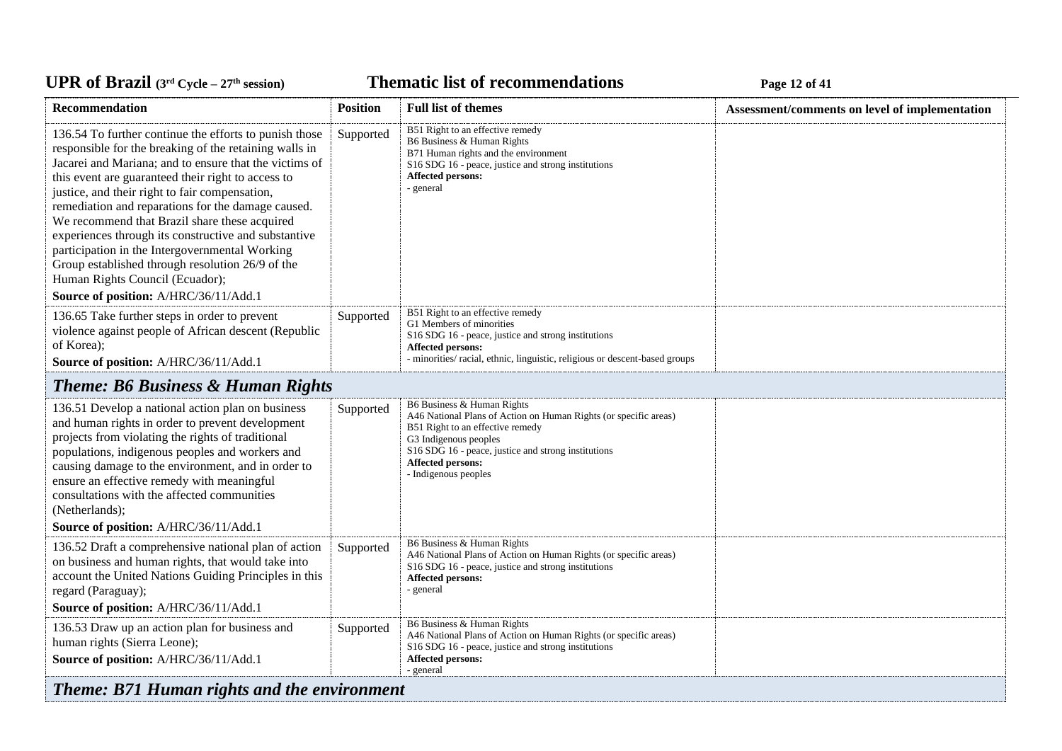#### **Thematic list of recommendations Page 12** of 41

| Recommendation                                                                                                                                                                                                                                                                                                                                                                                                                                                                                                                                                                                                                      | <b>Position</b> | <b>Full list of themes</b>                                                                                                                                                                                                                                             | Assessment/comments on level of implementation |
|-------------------------------------------------------------------------------------------------------------------------------------------------------------------------------------------------------------------------------------------------------------------------------------------------------------------------------------------------------------------------------------------------------------------------------------------------------------------------------------------------------------------------------------------------------------------------------------------------------------------------------------|-----------------|------------------------------------------------------------------------------------------------------------------------------------------------------------------------------------------------------------------------------------------------------------------------|------------------------------------------------|
| 136.54 To further continue the efforts to punish those<br>responsible for the breaking of the retaining walls in<br>Jacarei and Mariana; and to ensure that the victims of<br>this event are guaranteed their right to access to<br>justice, and their right to fair compensation,<br>remediation and reparations for the damage caused.<br>We recommend that Brazil share these acquired<br>experiences through its constructive and substantive<br>participation in the Intergovernmental Working<br>Group established through resolution 26/9 of the<br>Human Rights Council (Ecuador);<br>Source of position: A/HRC/36/11/Add.1 | Supported       | B51 Right to an effective remedy<br>B6 Business & Human Rights<br>B71 Human rights and the environment<br>S16 SDG 16 - peace, justice and strong institutions<br><b>Affected persons:</b><br>- general                                                                 |                                                |
| 136.65 Take further steps in order to prevent<br>violence against people of African descent (Republic<br>of Korea);                                                                                                                                                                                                                                                                                                                                                                                                                                                                                                                 | Supported       | B51 Right to an effective remedy<br>G1 Members of minorities<br>S16 SDG 16 - peace, justice and strong institutions<br><b>Affected persons:</b><br>- minorities/ racial, ethnic, linguistic, religious or descent-based groups                                         |                                                |
| Source of position: A/HRC/36/11/Add.1                                                                                                                                                                                                                                                                                                                                                                                                                                                                                                                                                                                               |                 |                                                                                                                                                                                                                                                                        |                                                |
| <b>Theme: B6 Business &amp; Human Rights</b>                                                                                                                                                                                                                                                                                                                                                                                                                                                                                                                                                                                        |                 |                                                                                                                                                                                                                                                                        |                                                |
| 136.51 Develop a national action plan on business<br>and human rights in order to prevent development<br>projects from violating the rights of traditional<br>populations, indigenous peoples and workers and<br>causing damage to the environment, and in order to<br>ensure an effective remedy with meaningful<br>consultations with the affected communities<br>(Netherlands);                                                                                                                                                                                                                                                  | Supported       | B6 Business & Human Rights<br>A46 National Plans of Action on Human Rights (or specific areas)<br>B51 Right to an effective remedy<br>G3 Indigenous peoples<br>S16 SDG 16 - peace, justice and strong institutions<br><b>Affected persons:</b><br>- Indigenous peoples |                                                |
| Source of position: A/HRC/36/11/Add.1                                                                                                                                                                                                                                                                                                                                                                                                                                                                                                                                                                                               |                 |                                                                                                                                                                                                                                                                        |                                                |
| 136.52 Draft a comprehensive national plan of action<br>on business and human rights, that would take into<br>account the United Nations Guiding Principles in this<br>regard (Paraguay);<br>Source of position: A/HRC/36/11/Add.1                                                                                                                                                                                                                                                                                                                                                                                                  | Supported       | B6 Business & Human Rights<br>A46 National Plans of Action on Human Rights (or specific areas)<br>S <sub>16</sub> SDG <sub>16</sub> - peace, justice and strong institutions<br>Affected persons:<br>- general                                                         |                                                |
| 136.53 Draw up an action plan for business and<br>human rights (Sierra Leone);<br>Source of position: A/HRC/36/11/Add.1                                                                                                                                                                                                                                                                                                                                                                                                                                                                                                             | Supported       | B6 Business & Human Rights<br>A46 National Plans of Action on Human Rights (or specific areas)<br>S <sub>16</sub> SDG <sub>16</sub> - peace, justice and strong institutions<br>Affected persons:<br>- general                                                         |                                                |
| <b>Theme: B71 Human rights and the environment</b>                                                                                                                                                                                                                                                                                                                                                                                                                                                                                                                                                                                  |                 |                                                                                                                                                                                                                                                                        |                                                |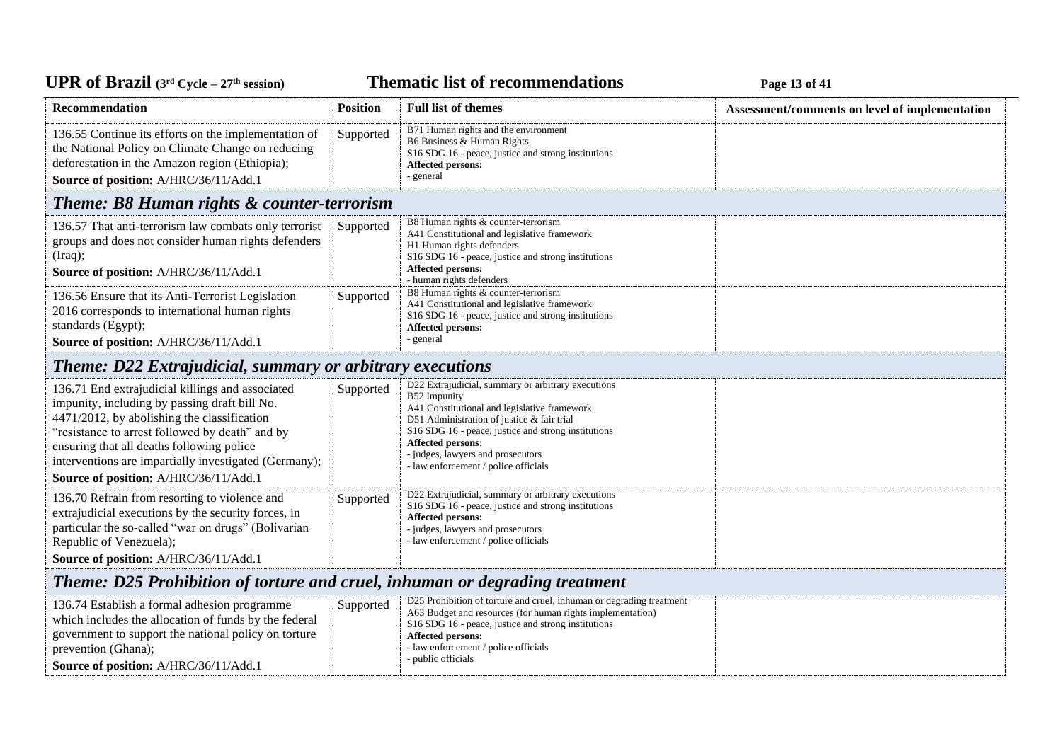# UPR of Brazil (3<sup>rd</sup> Cycle – 27<sup>th</sup> session)

#### **Thematic list of recommendations Page 13** of 41

| Recommendation                                                                                                                                                                                                                                                                                                                                     | <b>Position</b> | <b>Full list of themes</b>                                                                                                                                                                                                                                                                                                       | Assessment/comments on level of implementation |  |
|----------------------------------------------------------------------------------------------------------------------------------------------------------------------------------------------------------------------------------------------------------------------------------------------------------------------------------------------------|-----------------|----------------------------------------------------------------------------------------------------------------------------------------------------------------------------------------------------------------------------------------------------------------------------------------------------------------------------------|------------------------------------------------|--|
| 136.55 Continue its efforts on the implementation of<br>the National Policy on Climate Change on reducing<br>deforestation in the Amazon region (Ethiopia);<br>Source of position: A/HRC/36/11/Add.1                                                                                                                                               | Supported       | B71 Human rights and the environment<br>B6 Business & Human Rights<br>S16 SDG 16 - peace, justice and strong institutions<br><b>Affected persons:</b><br>- general                                                                                                                                                               |                                                |  |
| <b>Theme: B8 Human rights &amp; counter-terrorism</b>                                                                                                                                                                                                                                                                                              |                 |                                                                                                                                                                                                                                                                                                                                  |                                                |  |
| 136.57 That anti-terrorism law combats only terrorist<br>groups and does not consider human rights defenders<br>(Iraq);<br>Source of position: A/HRC/36/11/Add.1                                                                                                                                                                                   | Supported       | B8 Human rights & counter-terrorism<br>A41 Constitutional and legislative framework<br>H1 Human rights defenders<br>S16 SDG 16 - peace, justice and strong institutions<br><b>Affected persons:</b><br>- human rights defenders                                                                                                  |                                                |  |
| 136.56 Ensure that its Anti-Terrorist Legislation<br>2016 corresponds to international human rights<br>standards (Egypt);<br>Source of position: A/HRC/36/11/Add.1                                                                                                                                                                                 | Supported       | B8 Human rights & counter-terrorism<br>A41 Constitutional and legislative framework<br>S16 SDG 16 - peace, justice and strong institutions<br>Affected persons:<br>- general                                                                                                                                                     |                                                |  |
| <b>Theme: D22 Extrajudicial, summary or arbitrary executions</b>                                                                                                                                                                                                                                                                                   |                 |                                                                                                                                                                                                                                                                                                                                  |                                                |  |
| 136.71 End extrajudicial killings and associated<br>impunity, including by passing draft bill No.<br>4471/2012, by abolishing the classification<br>"resistance to arrest followed by death" and by<br>ensuring that all deaths following police<br>interventions are impartially investigated (Germany);<br>Source of position: A/HRC/36/11/Add.1 | Supported       | D22 Extrajudicial, summary or arbitrary executions<br>B52 Impunity<br>A41 Constitutional and legislative framework<br>D51 Administration of justice & fair trial<br>S16 SDG 16 - peace, justice and strong institutions<br><b>Affected persons:</b><br>- judges, lawyers and prosecutors<br>- law enforcement / police officials |                                                |  |
| 136.70 Refrain from resorting to violence and<br>extrajudicial executions by the security forces, in<br>particular the so-called "war on drugs" (Bolivarian<br>Republic of Venezuela);<br>Source of position: A/HRC/36/11/Add.1                                                                                                                    | Supported       | D22 Extrajudicial, summary or arbitrary executions<br>S16 SDG 16 - peace, justice and strong institutions<br><b>Affected persons:</b><br>- judges, lawyers and prosecutors<br>- law enforcement / police officials                                                                                                               |                                                |  |
| Theme: D25 Prohibition of torture and cruel, inhuman or degrading treatment                                                                                                                                                                                                                                                                        |                 |                                                                                                                                                                                                                                                                                                                                  |                                                |  |
| 136.74 Establish a formal adhesion programme<br>which includes the allocation of funds by the federal<br>government to support the national policy on torture<br>prevention (Ghana);<br>Source of position: A/HRC/36/11/Add.1                                                                                                                      | Supported       | D25 Prohibition of torture and cruel, inhuman or degrading treatment<br>A63 Budget and resources (for human rights implementation)<br>S16 SDG 16 - peace, justice and strong institutions<br><b>Affected persons:</b><br>- law enforcement / police officials<br>- public officials                                              |                                                |  |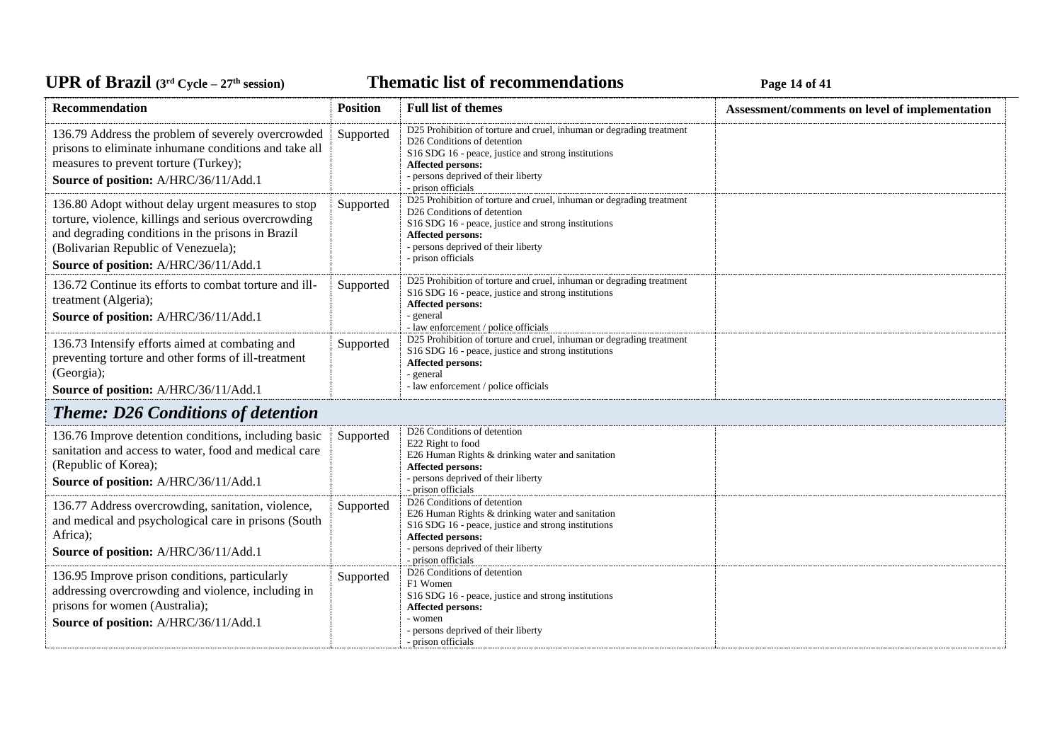## UPR of Brazil  $(3^{rd}$  Cycle – 27<sup>th</sup> session)

**Thematic list of recommendations Page 14 of 41** 

| Recommendation                                                                                                                                                                                                                                  | <b>Position</b> | <b>Full list of themes</b>                                                                                                                                                                                                                                          | Assessment/comments on level of implementation |
|-------------------------------------------------------------------------------------------------------------------------------------------------------------------------------------------------------------------------------------------------|-----------------|---------------------------------------------------------------------------------------------------------------------------------------------------------------------------------------------------------------------------------------------------------------------|------------------------------------------------|
| 136.79 Address the problem of severely overcrowded<br>prisons to eliminate inhumane conditions and take all<br>measures to prevent torture (Turkey);<br>Source of position: A/HRC/36/11/Add.1                                                   | Supported       | D25 Prohibition of torture and cruel, inhuman or degrading treatment<br>D <sub>26</sub> Conditions of detention<br>S16 SDG 16 - peace, justice and strong institutions<br>Affected persons:<br>- persons deprived of their liberty<br>- prison officials            |                                                |
| 136.80 Adopt without delay urgent measures to stop<br>torture, violence, killings and serious overcrowding<br>and degrading conditions in the prisons in Brazil<br>(Bolivarian Republic of Venezuela);<br>Source of position: A/HRC/36/11/Add.1 | Supported       | D25 Prohibition of torture and cruel, inhuman or degrading treatment<br>D26 Conditions of detention<br>S <sub>16</sub> SDG <sub>16</sub> - peace, justice and strong institutions<br>Affected persons:<br>- persons deprived of their liberty<br>- prison officials |                                                |
| 136.72 Continue its efforts to combat torture and ill-<br>treatment (Algeria);<br>Source of position: A/HRC/36/11/Add.1                                                                                                                         | Supported       | D25 Prohibition of torture and cruel, inhuman or degrading treatment<br>S <sub>16</sub> SDG <sub>16</sub> - peace, justice and strong institutions<br>Affected persons:<br>- general<br>- law enforcement / police officials                                        |                                                |
| 136.73 Intensify efforts aimed at combating and<br>preventing torture and other forms of ill-treatment<br>(Georgia);<br>Source of position: A/HRC/36/11/Add.1                                                                                   | Supported       | D25 Prohibition of torture and cruel, inhuman or degrading treatment<br>S <sub>16</sub> SDG <sub>16</sub> - peace, justice and strong institutions<br>Affected persons:<br>- general<br>- law enforcement / police officials                                        |                                                |
| <b>Theme: D26 Conditions of detention</b>                                                                                                                                                                                                       |                 |                                                                                                                                                                                                                                                                     |                                                |
| 136.76 Improve detention conditions, including basic<br>sanitation and access to water, food and medical care<br>(Republic of Korea);<br>Source of position: A/HRC/36/11/Add.1                                                                  | Supported       | D26 Conditions of detention<br>E22 Right to food<br>E26 Human Rights & drinking water and sanitation<br><b>Affected persons:</b><br>- persons deprived of their liberty<br>- prison officials                                                                       |                                                |
| 136.77 Address overcrowding, sanitation, violence,<br>and medical and psychological care in prisons (South<br>Africa);<br>Source of position: A/HRC/36/11/Add.1                                                                                 | Supported       | D26 Conditions of detention<br>E26 Human Rights & drinking water and sanitation<br>S <sub>16</sub> SDG <sub>16</sub> - peace, justice and strong institutions<br>Affected persons:<br>- persons deprived of their liberty<br>- prison officials                     |                                                |
| 136.95 Improve prison conditions, particularly<br>addressing overcrowding and violence, including in<br>prisons for women (Australia);<br>Source of position: A/HRC/36/11/Add.1                                                                 | Supported       | D <sub>26</sub> Conditions of detention<br>F1 Women<br>S16 SDG 16 - peace, justice and strong institutions<br>Affected persons:<br>- women<br>- persons deprived of their liberty<br>- prison officials                                                             |                                                |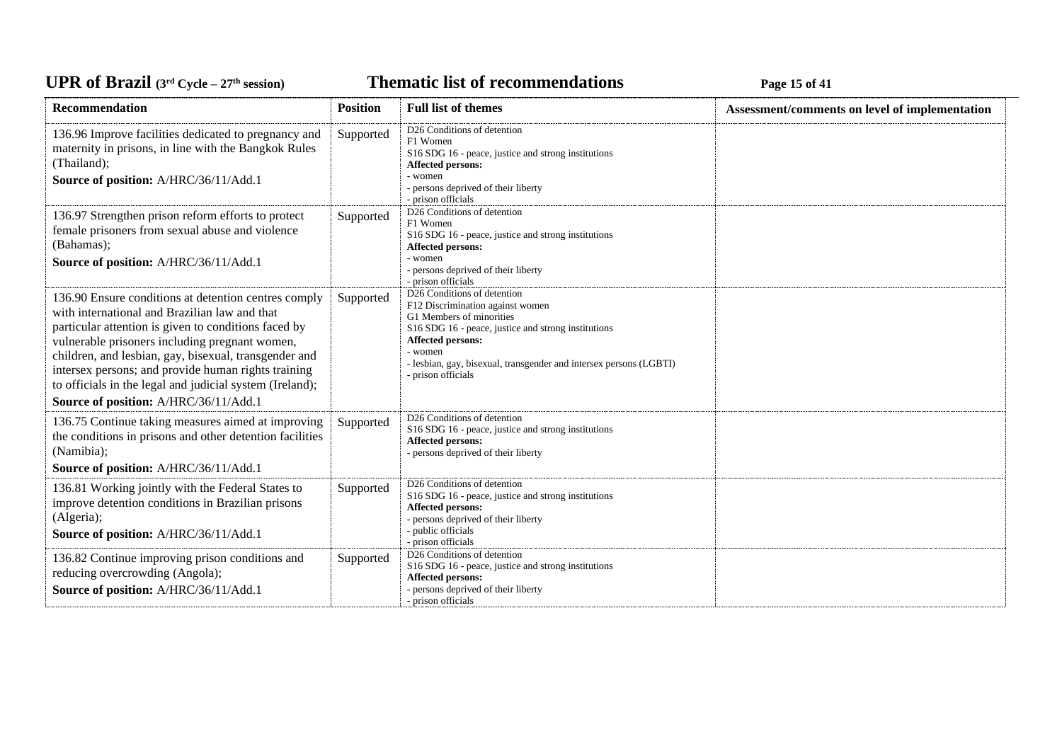**Thematic list of recommendations Page 15** of 41

| <b>Recommendation</b>                                                                                                                                                                                                                                                                                                                                                                                                                | <b>Position</b> | <b>Full list of themes</b>                                                                                                                                                                                                                                                     | Assessment/comments on level of implementation |
|--------------------------------------------------------------------------------------------------------------------------------------------------------------------------------------------------------------------------------------------------------------------------------------------------------------------------------------------------------------------------------------------------------------------------------------|-----------------|--------------------------------------------------------------------------------------------------------------------------------------------------------------------------------------------------------------------------------------------------------------------------------|------------------------------------------------|
| 136.96 Improve facilities dedicated to pregnancy and<br>maternity in prisons, in line with the Bangkok Rules<br>(Thailand);<br>Source of position: A/HRC/36/11/Add.1                                                                                                                                                                                                                                                                 | Supported       | D26 Conditions of detention<br>F1 Women<br>S16 SDG 16 - peace, justice and strong institutions<br>Affected persons:<br>- women<br>- persons deprived of their liberty<br>- prison officials                                                                                    |                                                |
| 136.97 Strengthen prison reform efforts to protect<br>female prisoners from sexual abuse and violence<br>(Bahamas);<br>Source of position: A/HRC/36/11/Add.1                                                                                                                                                                                                                                                                         | Supported       | D26 Conditions of detention<br>F1 Women<br>S16 SDG 16 - peace, justice and strong institutions<br>Affected persons:<br>- women<br>- persons deprived of their liberty<br>- prison officials                                                                                    |                                                |
| 136.90 Ensure conditions at detention centres comply<br>with international and Brazilian law and that<br>particular attention is given to conditions faced by<br>vulnerable prisoners including pregnant women,<br>children, and lesbian, gay, bisexual, transgender and<br>intersex persons; and provide human rights training<br>to officials in the legal and judicial system (Ireland);<br>Source of position: A/HRC/36/11/Add.1 | Supported       | D26 Conditions of detention<br>F12 Discrimination against women<br>G1 Members of minorities<br>S16 SDG 16 - peace, justice and strong institutions<br>Affected persons:<br>- women<br>- lesbian, gay, bisexual, transgender and intersex persons (LGBTI)<br>- prison officials |                                                |
| 136.75 Continue taking measures aimed at improving<br>the conditions in prisons and other detention facilities<br>(Namibia);<br>Source of position: A/HRC/36/11/Add.1                                                                                                                                                                                                                                                                | Supported       | D26 Conditions of detention<br>S16 SDG 16 - peace, justice and strong institutions<br>Affected persons:<br>- persons deprived of their liberty                                                                                                                                 |                                                |
| 136.81 Working jointly with the Federal States to<br>improve detention conditions in Brazilian prisons<br>(Algeria);<br>Source of position: A/HRC/36/11/Add.1                                                                                                                                                                                                                                                                        | Supported       | D26 Conditions of detention<br>S16 SDG 16 - peace, justice and strong institutions<br>Affected persons:<br>- persons deprived of their liberty<br>- public officials<br>- prison officials                                                                                     |                                                |
| 136.82 Continue improving prison conditions and<br>reducing overcrowding (Angola);<br>Source of position: A/HRC/36/11/Add.1                                                                                                                                                                                                                                                                                                          | Supported       | D26 Conditions of detention<br>S16 SDG 16 - peace, justice and strong institutions<br>Affected persons:<br>- persons deprived of their liberty<br>- prison officials                                                                                                           |                                                |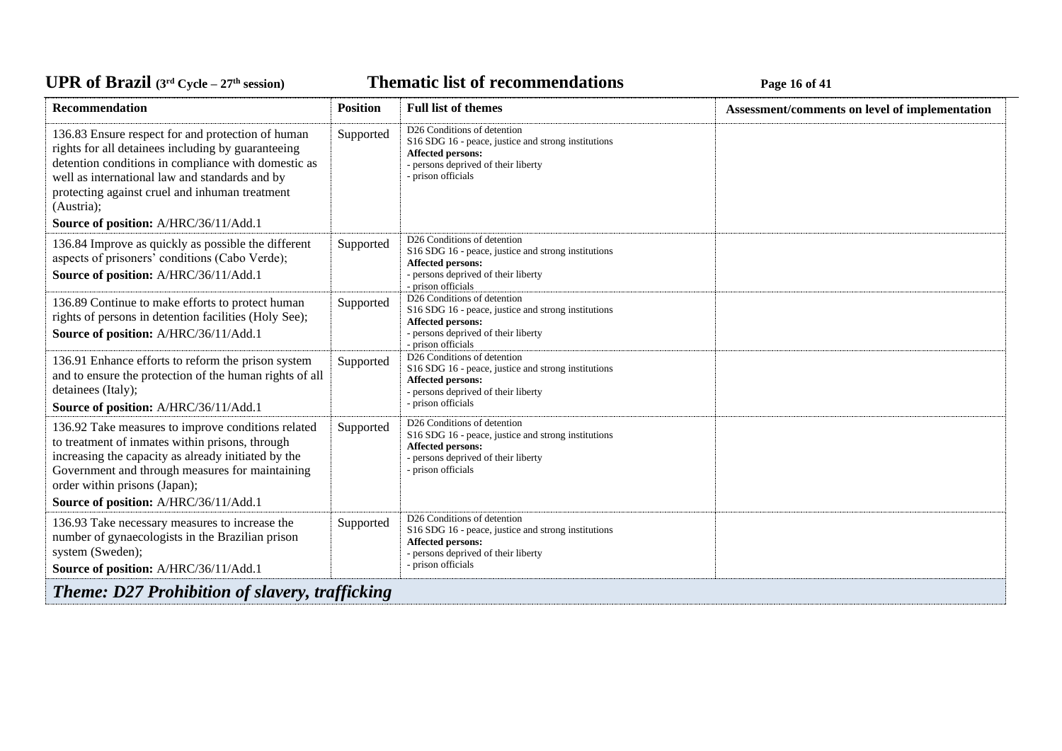**Thematic list of recommendations Page 16** of 41

| Recommendation                                                                                                                                                                                                                                                                                                            | <b>Position</b> | <b>Full list of themes</b>                                                                                                                                                       | Assessment/comments on level of implementation |  |
|---------------------------------------------------------------------------------------------------------------------------------------------------------------------------------------------------------------------------------------------------------------------------------------------------------------------------|-----------------|----------------------------------------------------------------------------------------------------------------------------------------------------------------------------------|------------------------------------------------|--|
| 136.83 Ensure respect for and protection of human<br>rights for all detainees including by guaranteeing<br>detention conditions in compliance with domestic as<br>well as international law and standards and by<br>protecting against cruel and inhuman treatment<br>(Austria);<br>Source of position: A/HRC/36/11/Add.1 | Supported       | D <sub>26</sub> Conditions of detention<br>S16 SDG 16 - peace, justice and strong institutions<br>Affected persons:<br>- persons deprived of their liberty<br>- prison officials |                                                |  |
| 136.84 Improve as quickly as possible the different<br>aspects of prisoners' conditions (Cabo Verde);<br>Source of position: A/HRC/36/11/Add.1                                                                                                                                                                            | Supported       | D <sub>26</sub> Conditions of detention<br>S16 SDG 16 - peace, justice and strong institutions<br>Affected persons:<br>- persons deprived of their liberty<br>- prison officials |                                                |  |
| 136.89 Continue to make efforts to protect human<br>rights of persons in detention facilities (Holy See);<br>Source of position: A/HRC/36/11/Add.1                                                                                                                                                                        | Supported       | D <sub>26</sub> Conditions of detention<br>S16 SDG 16 - peace, justice and strong institutions<br>Affected persons:<br>- persons deprived of their liberty<br>- prison officials |                                                |  |
| 136.91 Enhance efforts to reform the prison system<br>and to ensure the protection of the human rights of all<br>detainees (Italy);<br>Source of position: A/HRC/36/11/Add.1                                                                                                                                              | Supported       | D26 Conditions of detention<br>S16 SDG 16 - peace, justice and strong institutions<br>Affected persons:<br>- persons deprived of their liberty<br>- prison officials             |                                                |  |
| 136.92 Take measures to improve conditions related<br>to treatment of inmates within prisons, through<br>increasing the capacity as already initiated by the<br>Government and through measures for maintaining<br>order within prisons (Japan);<br>Source of position: A/HRC/36/11/Add.1                                 | Supported       | D <sub>26</sub> Conditions of detention<br>S16 SDG 16 - peace, justice and strong institutions<br>Affected persons:<br>- persons deprived of their liberty<br>- prison officials |                                                |  |
| 136.93 Take necessary measures to increase the<br>number of gynaecologists in the Brazilian prison<br>system (Sweden);<br>Source of position: A/HRC/36/11/Add.1                                                                                                                                                           | Supported       | D <sub>26</sub> Conditions of detention<br>S16 SDG 16 - peace, justice and strong institutions<br>Affected persons:<br>- persons deprived of their liberty<br>- prison officials |                                                |  |
| <b>Theme: D27 Prohibition of slavery, trafficking</b>                                                                                                                                                                                                                                                                     |                 |                                                                                                                                                                                  |                                                |  |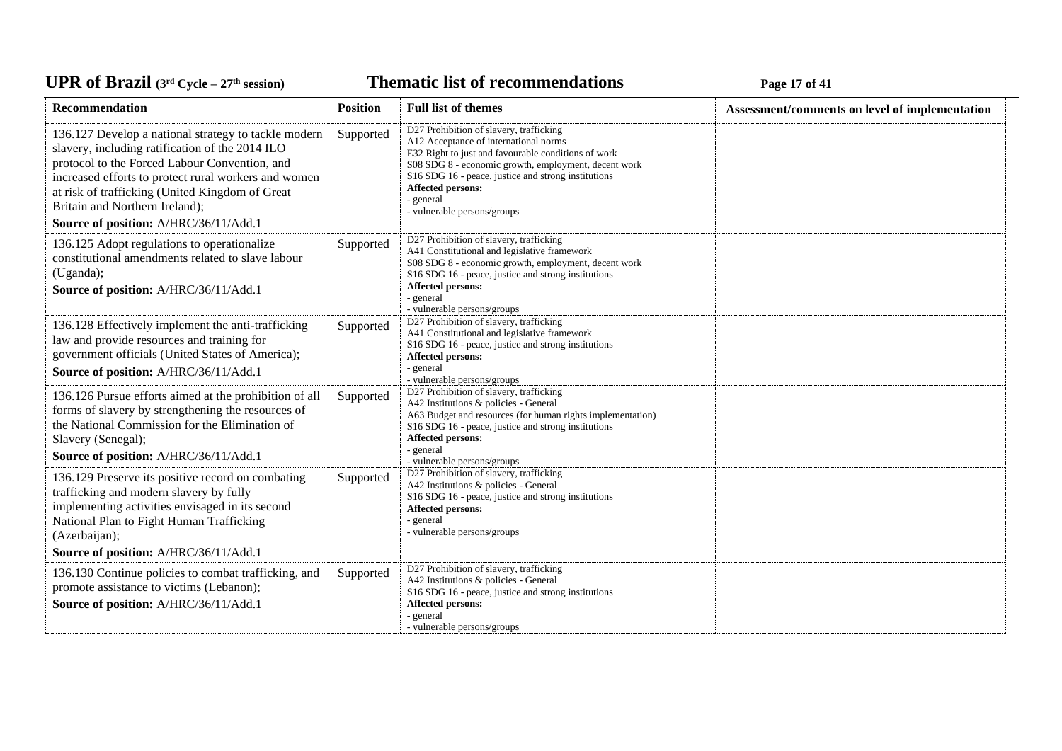**Thematic list of recommendations Page 17** of 41

| <b>Recommendation</b>                                                                                                                                                                                                                                                                                                                          | <b>Position</b> | <b>Full list of themes</b>                                                                                                                                                                                                                                                                                              | Assessment/comments on level of implementation |
|------------------------------------------------------------------------------------------------------------------------------------------------------------------------------------------------------------------------------------------------------------------------------------------------------------------------------------------------|-----------------|-------------------------------------------------------------------------------------------------------------------------------------------------------------------------------------------------------------------------------------------------------------------------------------------------------------------------|------------------------------------------------|
| 136.127 Develop a national strategy to tackle modern<br>slavery, including ratification of the 2014 ILO<br>protocol to the Forced Labour Convention, and<br>increased efforts to protect rural workers and women<br>at risk of trafficking (United Kingdom of Great<br>Britain and Northern Ireland);<br>Source of position: A/HRC/36/11/Add.1 | Supported       | D27 Prohibition of slavery, trafficking<br>A12 Acceptance of international norms<br>E32 Right to just and favourable conditions of work<br>S08 SDG 8 - economic growth, employment, decent work<br>S16 SDG 16 - peace, justice and strong institutions<br>Affected persons:<br>- general<br>- vulnerable persons/groups |                                                |
| 136.125 Adopt regulations to operationalize<br>constitutional amendments related to slave labour<br>(Uganda);<br>Source of position: A/HRC/36/11/Add.1                                                                                                                                                                                         | Supported       | D27 Prohibition of slavery, trafficking<br>A41 Constitutional and legislative framework<br>S08 SDG 8 - economic growth, employment, decent work<br>S16 SDG 16 - peace, justice and strong institutions<br>Affected persons:<br>- general<br>- vulnerable persons/groups                                                 |                                                |
| 136.128 Effectively implement the anti-trafficking<br>law and provide resources and training for<br>government officials (United States of America);<br>Source of position: A/HRC/36/11/Add.1                                                                                                                                                  | Supported       | D27 Prohibition of slavery, trafficking<br>A41 Constitutional and legislative framework<br>S16 SDG 16 - peace, justice and strong institutions<br>Affected persons:<br>- general<br>- vulnerable persons/groups                                                                                                         |                                                |
| 136.126 Pursue efforts aimed at the prohibition of all<br>forms of slavery by strengthening the resources of<br>the National Commission for the Elimination of<br>Slavery (Senegal);<br>Source of position: A/HRC/36/11/Add.1                                                                                                                  | Supported       | D27 Prohibition of slavery, trafficking<br>A42 Institutions & policies - General<br>A63 Budget and resources (for human rights implementation)<br>S16 SDG 16 - peace, justice and strong institutions<br><b>Affected persons:</b><br>- general                                                                          |                                                |
| 136.129 Preserve its positive record on combating<br>trafficking and modern slavery by fully<br>implementing activities envisaged in its second<br>National Plan to Fight Human Trafficking<br>(Azerbaijan);<br>Source of position: A/HRC/36/11/Add.1                                                                                          | Supported       | - vulnerable persons/groups<br>D27 Prohibition of slavery, trafficking<br>A42 Institutions & policies - General<br>S16 SDG 16 - peace, justice and strong institutions<br>Affected persons:<br>- general<br>- vulnerable persons/groups                                                                                 |                                                |
| 136.130 Continue policies to combat trafficking, and<br>promote assistance to victims (Lebanon);<br>Source of position: A/HRC/36/11/Add.1                                                                                                                                                                                                      | Supported       | D27 Prohibition of slavery, trafficking<br>A42 Institutions & policies - General<br>S16 SDG 16 - peace, justice and strong institutions<br>Affected persons:<br>- general<br>- vulnerable persons/groups                                                                                                                |                                                |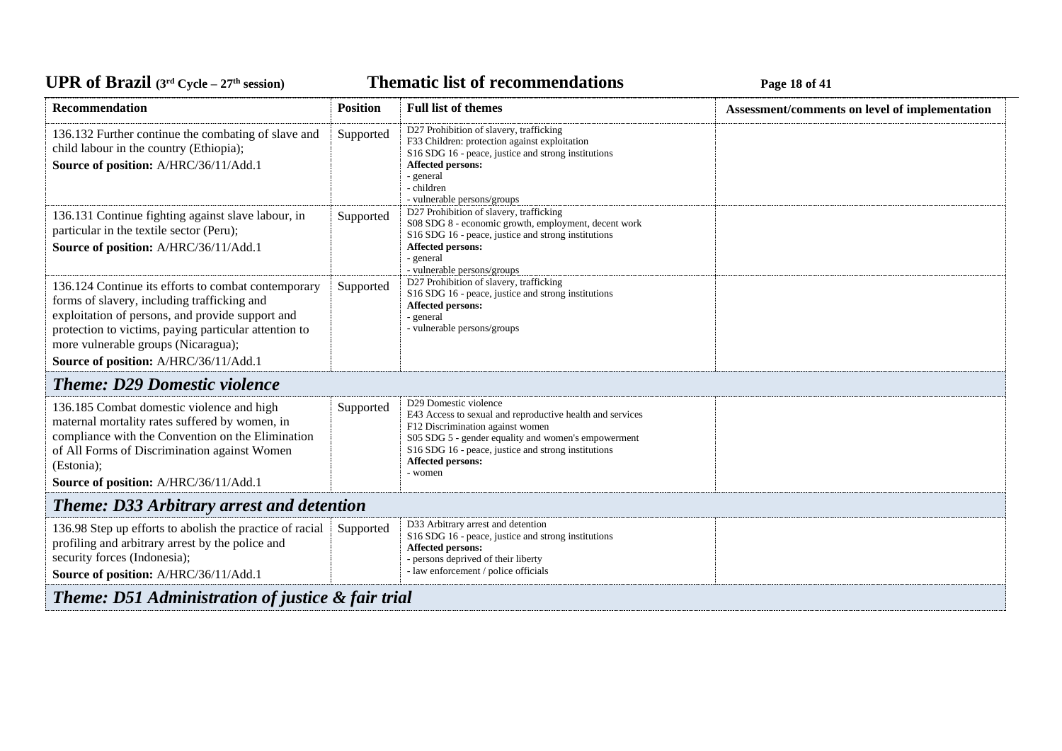## UPR of Brazil  $(3^{rd}$  Cycle – 27<sup>th</sup> session)

#### **Thematic list of recommendations Page 18** of 41

| Recommendation                                                                                                                                                                                                                                                                                  | <b>Position</b> | <b>Full list of themes</b>                                                                                                                                                                                                                                           | Assessment/comments on level of implementation |  |
|-------------------------------------------------------------------------------------------------------------------------------------------------------------------------------------------------------------------------------------------------------------------------------------------------|-----------------|----------------------------------------------------------------------------------------------------------------------------------------------------------------------------------------------------------------------------------------------------------------------|------------------------------------------------|--|
| 136.132 Further continue the combating of slave and<br>child labour in the country (Ethiopia);<br>Source of position: A/HRC/36/11/Add.1                                                                                                                                                         | Supported       | D27 Prohibition of slavery, trafficking<br>F33 Children: protection against exploitation<br>S16 SDG 16 - peace, justice and strong institutions<br>Affected persons:<br>- general<br>- children<br>- vulnerable persons/groups                                       |                                                |  |
| 136.131 Continue fighting against slave labour, in<br>particular in the textile sector (Peru);<br>Source of position: A/HRC/36/11/Add.1                                                                                                                                                         | Supported       | D27 Prohibition of slavery, trafficking<br>S08 SDG 8 - economic growth, employment, decent work<br>S16 SDG 16 - peace, justice and strong institutions<br>Affected persons:<br>- general<br>- vulnerable persons/groups                                              |                                                |  |
| 136.124 Continue its efforts to combat contemporary<br>forms of slavery, including trafficking and<br>exploitation of persons, and provide support and<br>protection to victims, paying particular attention to<br>more vulnerable groups (Nicaragua);<br>Source of position: A/HRC/36/11/Add.1 | Supported       | D27 Prohibition of slavery, trafficking<br>S16 SDG 16 - peace, justice and strong institutions<br>Affected persons:<br>- general<br>- vulnerable persons/groups                                                                                                      |                                                |  |
| <b>Theme: D29 Domestic violence</b>                                                                                                                                                                                                                                                             |                 |                                                                                                                                                                                                                                                                      |                                                |  |
| 136.185 Combat domestic violence and high<br>maternal mortality rates suffered by women, in<br>compliance with the Convention on the Elimination<br>of All Forms of Discrimination against Women<br>(Estonia);<br>Source of position: A/HRC/36/11/Add.1                                         | Supported       | D29 Domestic violence<br>E43 Access to sexual and reproductive health and services<br>F12 Discrimination against women<br>S05 SDG 5 - gender equality and women's empowerment<br>S16 SDG 16 - peace, justice and strong institutions<br>Affected persons:<br>- women |                                                |  |
| <b>Theme: D33 Arbitrary arrest and detention</b>                                                                                                                                                                                                                                                |                 |                                                                                                                                                                                                                                                                      |                                                |  |
| 136.98 Step up efforts to abolish the practice of racial<br>profiling and arbitrary arrest by the police and<br>security forces (Indonesia);<br>Source of position: A/HRC/36/11/Add.1                                                                                                           | Supported       | D33 Arbitrary arrest and detention<br>S16 SDG 16 - peace, justice and strong institutions<br><b>Affected persons:</b><br>- persons deprived of their liberty<br>- law enforcement / police officials                                                                 |                                                |  |
| <b>Theme: D51 Administration of justice &amp; fair trial</b>                                                                                                                                                                                                                                    |                 |                                                                                                                                                                                                                                                                      |                                                |  |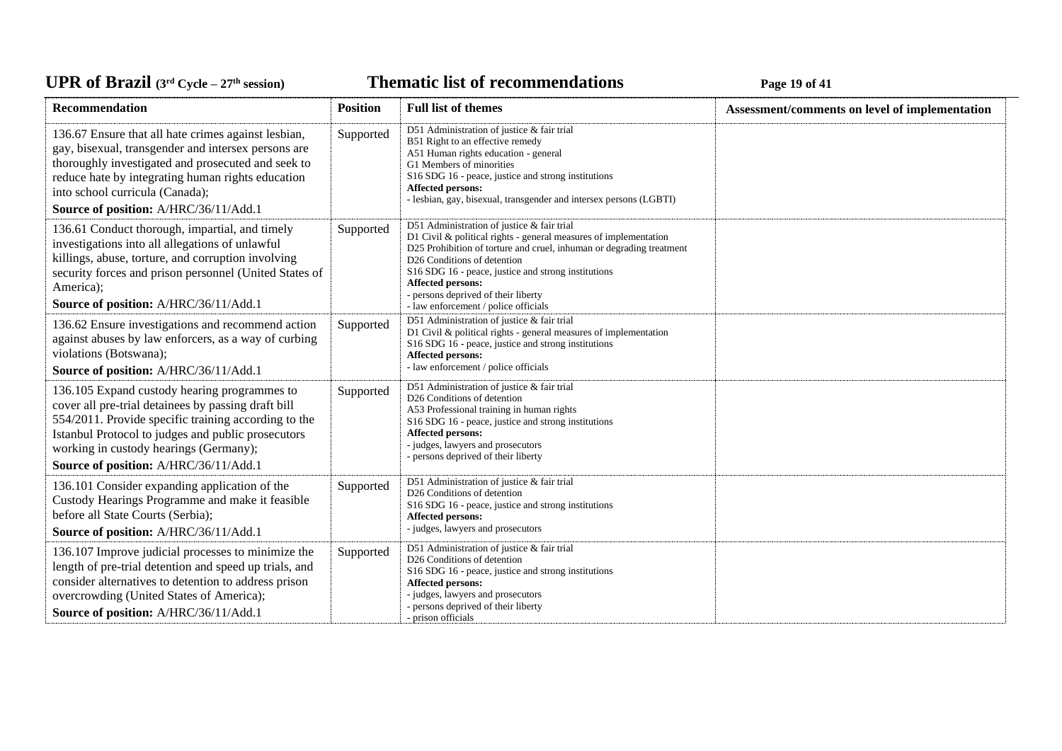**Thematic list of recommendations Page 19** of 41

| Recommendation                                                                                                                                                                                                                                                                                       | <b>Position</b> | <b>Full list of themes</b>                                                                                                                                                                                                                                                                                                                                                          | Assessment/comments on level of implementation |
|------------------------------------------------------------------------------------------------------------------------------------------------------------------------------------------------------------------------------------------------------------------------------------------------------|-----------------|-------------------------------------------------------------------------------------------------------------------------------------------------------------------------------------------------------------------------------------------------------------------------------------------------------------------------------------------------------------------------------------|------------------------------------------------|
| 136.67 Ensure that all hate crimes against lesbian,<br>gay, bisexual, transgender and intersex persons are<br>thoroughly investigated and prosecuted and seek to<br>reduce hate by integrating human rights education<br>into school curricula (Canada);<br>Source of position: A/HRC/36/11/Add.1    | Supported       | D51 Administration of justice & fair trial<br>B51 Right to an effective remedy<br>A51 Human rights education - general<br>G1 Members of minorities<br>S16 SDG 16 - peace, justice and strong institutions<br>Affected persons:<br>- lesbian, gay, bisexual, transgender and intersex persons (LGBTI)                                                                                |                                                |
| 136.61 Conduct thorough, impartial, and timely<br>investigations into all allegations of unlawful<br>killings, abuse, torture, and corruption involving<br>security forces and prison personnel (United States of<br>America);<br>Source of position: A/HRC/36/11/Add.1                              | Supported       | D51 Administration of justice & fair trial<br>D1 Civil $\&$ political rights - general measures of implementation<br>D25 Prohibition of torture and cruel, inhuman or degrading treatment<br>D26 Conditions of detention<br>S16 SDG 16 - peace, justice and strong institutions<br>Affected persons:<br>- persons deprived of their liberty<br>- law enforcement / police officials |                                                |
| 136.62 Ensure investigations and recommend action<br>against abuses by law enforcers, as a way of curbing<br>violations (Botswana);<br>Source of position: A/HRC/36/11/Add.1                                                                                                                         | Supported       | D51 Administration of justice & fair trial<br>D1 Civil & political rights - general measures of implementation<br>S16 SDG 16 - peace, justice and strong institutions<br>Affected persons:<br>- law enforcement / police officials                                                                                                                                                  |                                                |
| 136.105 Expand custody hearing programmes to<br>cover all pre-trial detainees by passing draft bill<br>554/2011. Provide specific training according to the<br>Istanbul Protocol to judges and public prosecutors<br>working in custody hearings (Germany);<br>Source of position: A/HRC/36/11/Add.1 | Supported       | D51 Administration of justice & fair trial<br>D26 Conditions of detention<br>A53 Professional training in human rights<br>S16 SDG 16 - peace, justice and strong institutions<br>Affected persons:<br>- judges, lawyers and prosecutors<br>- persons deprived of their liberty                                                                                                      |                                                |
| 136.101 Consider expanding application of the<br>Custody Hearings Programme and make it feasible<br>before all State Courts (Serbia);<br>Source of position: A/HRC/36/11/Add.1                                                                                                                       | Supported       | D51 Administration of justice & fair trial<br>D26 Conditions of detention<br>S16 SDG 16 - peace, justice and strong institutions<br><b>Affected persons:</b><br>- judges, lawyers and prosecutors                                                                                                                                                                                   |                                                |
| 136.107 Improve judicial processes to minimize the<br>length of pre-trial detention and speed up trials, and<br>consider alternatives to detention to address prison<br>overcrowding (United States of America);<br>Source of position: A/HRC/36/11/Add.1                                            | Supported       | D51 Administration of justice & fair trial<br>D26 Conditions of detention<br>S16 SDG 16 - peace, justice and strong institutions<br>Affected persons:<br>- judges, lawyers and prosecutors<br>- persons deprived of their liberty<br>- prison officials                                                                                                                             |                                                |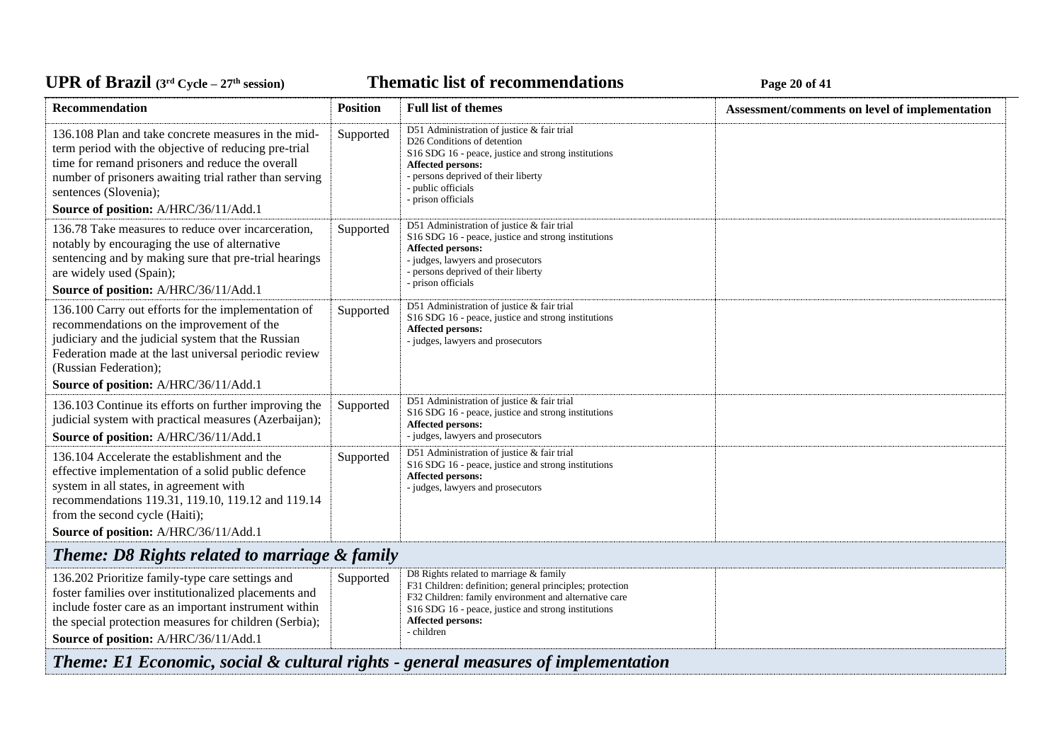**Thematic list of recommendations Page 20** of 41

| Recommendation                                                                                                                                                                                                                                                                              | <b>Position</b> | <b>Full list of themes</b>                                                                                                                                                                                                                                   | Assessment/comments on level of implementation |  |
|---------------------------------------------------------------------------------------------------------------------------------------------------------------------------------------------------------------------------------------------------------------------------------------------|-----------------|--------------------------------------------------------------------------------------------------------------------------------------------------------------------------------------------------------------------------------------------------------------|------------------------------------------------|--|
| 136.108 Plan and take concrete measures in the mid-<br>term period with the objective of reducing pre-trial<br>time for remand prisoners and reduce the overall<br>number of prisoners awaiting trial rather than serving<br>sentences (Slovenia);<br>Source of position: A/HRC/36/11/Add.1 | Supported       | D51 Administration of justice & fair trial<br>D <sub>26</sub> Conditions of detention<br>S16 SDG 16 - peace, justice and strong institutions<br>Affected persons:<br>- persons deprived of their liberty<br>- public officials<br>- prison officials         |                                                |  |
| 136.78 Take measures to reduce over incarceration,<br>notably by encouraging the use of alternative<br>sentencing and by making sure that pre-trial hearings<br>are widely used (Spain);<br>Source of position: A/HRC/36/11/Add.1                                                           | Supported       | D51 Administration of justice & fair trial<br>S16 SDG 16 - peace, justice and strong institutions<br>Affected persons:<br>- judges, lawyers and prosecutors<br>- persons deprived of their liberty<br>- prison officials                                     |                                                |  |
| 136.100 Carry out efforts for the implementation of<br>recommendations on the improvement of the<br>judiciary and the judicial system that the Russian<br>Federation made at the last universal periodic review<br>(Russian Federation);<br>Source of position: A/HRC/36/11/Add.1           | Supported       | D51 Administration of justice & fair trial<br>S16 SDG 16 - peace, justice and strong institutions<br>Affected persons:<br>- judges, lawyers and prosecutors                                                                                                  |                                                |  |
| 136.103 Continue its efforts on further improving the<br>judicial system with practical measures (Azerbaijan);<br>Source of position: A/HRC/36/11/Add.1                                                                                                                                     | Supported       | D51 Administration of justice & fair trial<br>S16 SDG 16 - peace, justice and strong institutions<br>Affected persons:<br>- judges, lawyers and prosecutors                                                                                                  |                                                |  |
| 136.104 Accelerate the establishment and the<br>effective implementation of a solid public defence<br>system in all states, in agreement with<br>recommendations 119.31, 119.10, 119.12 and 119.14<br>from the second cycle (Haiti);<br>Source of position: A/HRC/36/11/Add.1               | Supported       | D51 Administration of justice & fair trial<br>S16 SDG 16 - peace, justice and strong institutions<br><b>Affected persons:</b><br>- judges, lawyers and prosecutors                                                                                           |                                                |  |
| Theme: D8 Rights related to marriage & family                                                                                                                                                                                                                                               |                 |                                                                                                                                                                                                                                                              |                                                |  |
| 136.202 Prioritize family-type care settings and<br>foster families over institutionalized placements and<br>include foster care as an important instrument within<br>the special protection measures for children (Serbia);<br>Source of position: A/HRC/36/11/Add.1                       | Supported       | D8 Rights related to marriage & family<br>F31 Children: definition; general principles; protection<br>F32 Children: family environment and alternative care<br>S16 SDG 16 - peace, justice and strong institutions<br><b>Affected persons:</b><br>- children |                                                |  |
| Theme: E1 Economic, social & cultural rights - general measures of implementation                                                                                                                                                                                                           |                 |                                                                                                                                                                                                                                                              |                                                |  |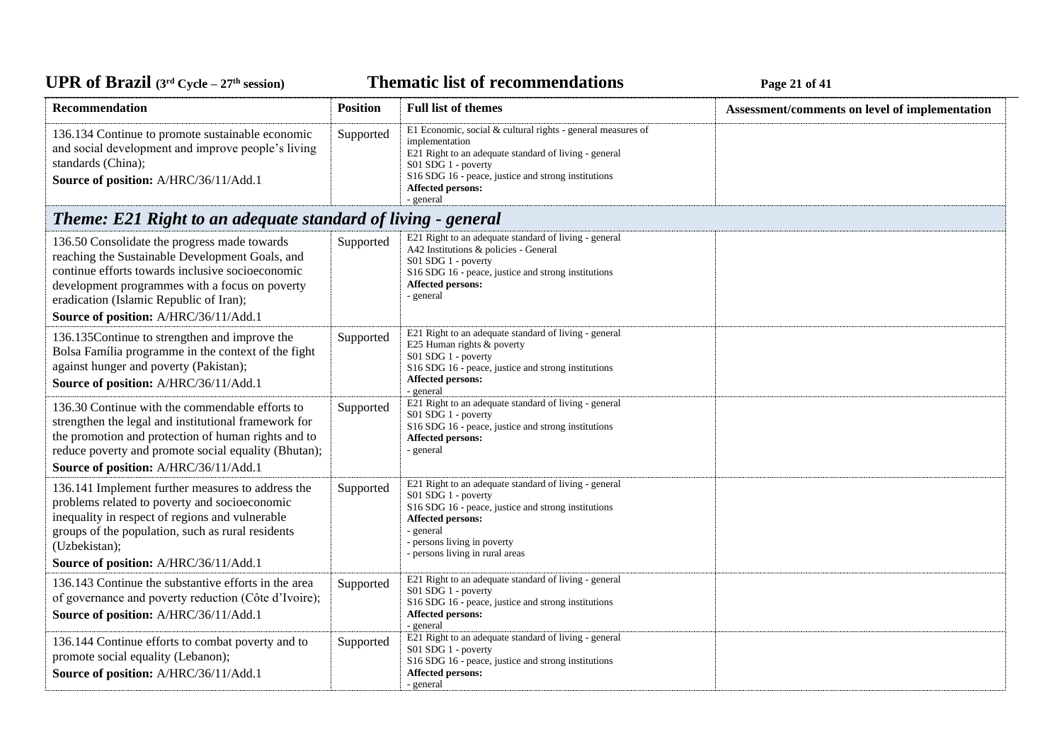# UPR of Brazil (3<sup>rd</sup> Cycle – 27<sup>th</sup> session)

**Thematic list of recommendations Page 21** of 41

| Recommendation                                                                                                                                                                                                                                                                            | <b>Position</b> | <b>Full list of themes</b>                                                                                                                                                                                                                                    | Assessment/comments on level of implementation |
|-------------------------------------------------------------------------------------------------------------------------------------------------------------------------------------------------------------------------------------------------------------------------------------------|-----------------|---------------------------------------------------------------------------------------------------------------------------------------------------------------------------------------------------------------------------------------------------------------|------------------------------------------------|
| 136.134 Continue to promote sustainable economic<br>and social development and improve people's living<br>standards (China);<br>Source of position: A/HRC/36/11/Add.1                                                                                                                     | Supported       | E1 Economic, social & cultural rights - general measures of<br>implementation<br>E21 Right to an adequate standard of living - general<br>S01 SDG 1 - poverty<br>S16 SDG 16 - peace, justice and strong institutions<br><b>Affected persons:</b><br>- general |                                                |
| Theme: E21 Right to an adequate standard of living - general                                                                                                                                                                                                                              |                 |                                                                                                                                                                                                                                                               |                                                |
| 136.50 Consolidate the progress made towards<br>reaching the Sustainable Development Goals, and<br>continue efforts towards inclusive socioeconomic<br>development programmes with a focus on poverty<br>eradication (Islamic Republic of Iran);<br>Source of position: A/HRC/36/11/Add.1 | Supported       | E21 Right to an adequate standard of living - general<br>A42 Institutions & policies - General<br>S01 SDG 1 - poverty<br>S16 SDG 16 - peace, justice and strong institutions<br>Affected persons:<br>- general                                                |                                                |
| 136.135 Continue to strengthen and improve the<br>Bolsa Família programme in the context of the fight<br>against hunger and poverty (Pakistan);<br>Source of position: A/HRC/36/11/Add.1                                                                                                  | Supported       | E21 Right to an adequate standard of living - general<br>E25 Human rights & poverty<br>S01 SDG 1 - poverty<br>S16 SDG 16 - peace, justice and strong institutions<br><b>Affected persons:</b><br>- general                                                    |                                                |
| 136.30 Continue with the commendable efforts to<br>strengthen the legal and institutional framework for<br>the promotion and protection of human rights and to<br>reduce poverty and promote social equality (Bhutan);<br>Source of position: A/HRC/36/11/Add.1                           | Supported       | E21 Right to an adequate standard of living - general<br>S01 SDG 1 - poverty<br>S16 SDG 16 - peace, justice and strong institutions<br>Affected persons:<br>- general                                                                                         |                                                |
| 136.141 Implement further measures to address the<br>problems related to poverty and socioeconomic<br>inequality in respect of regions and vulnerable<br>groups of the population, such as rural residents<br>(Uzbekistan);<br>Source of position: A/HRC/36/11/Add.1                      | Supported       | E21 Right to an adequate standard of living - general<br>S01 SDG 1 - poverty<br>S16 SDG 16 - peace, justice and strong institutions<br>Affected persons:<br>- general<br>- persons living in poverty<br>- persons living in rural areas                       |                                                |
| 136.143 Continue the substantive efforts in the area<br>of governance and poverty reduction (Côte d'Ivoire);<br>Source of position: A/HRC/36/11/Add.1                                                                                                                                     | Supported       | E21 Right to an adequate standard of living - general<br>S01 SDG 1 - poverty<br>S16 SDG 16 - peace, justice and strong institutions<br>Affected persons:<br>- general                                                                                         |                                                |
| 136.144 Continue efforts to combat poverty and to<br>promote social equality (Lebanon);<br>Source of position: A/HRC/36/11/Add.1                                                                                                                                                          | Supported       | E21 Right to an adequate standard of living - general<br>S01 SDG 1 - poverty<br>S <sub>16</sub> SDG <sub>16</sub> - peace, justice and strong institutions<br><b>Affected persons:</b><br>- general                                                           |                                                |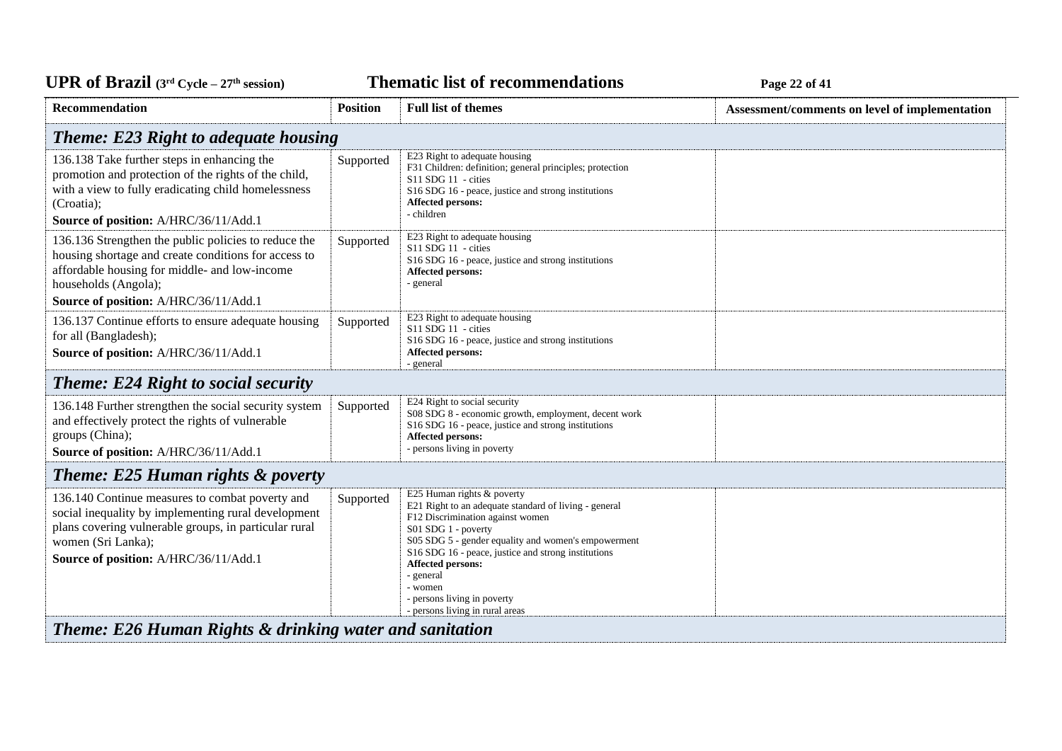**Thematic list of recommendations Page 22** of 41

| Recommendation                                                                                                                                                                                                                 | <b>Position</b> | <b>Full list of themes</b>                                                                                                                                                                                                                                                                                                                                                  | Assessment/comments on level of implementation |  |
|--------------------------------------------------------------------------------------------------------------------------------------------------------------------------------------------------------------------------------|-----------------|-----------------------------------------------------------------------------------------------------------------------------------------------------------------------------------------------------------------------------------------------------------------------------------------------------------------------------------------------------------------------------|------------------------------------------------|--|
| <b>Theme: E23 Right to adequate housing</b>                                                                                                                                                                                    |                 |                                                                                                                                                                                                                                                                                                                                                                             |                                                |  |
| 136.138 Take further steps in enhancing the<br>promotion and protection of the rights of the child,<br>with a view to fully eradicating child homelessness<br>(Croatia);<br>Source of position: A/HRC/36/11/Add.1              | Supported       | E23 Right to adequate housing<br>F31 Children: definition; general principles; protection<br>S11 SDG 11 - cities<br>S16 SDG 16 - peace, justice and strong institutions<br>Affected persons:<br>- children                                                                                                                                                                  |                                                |  |
| 136.136 Strengthen the public policies to reduce the<br>housing shortage and create conditions for access to<br>affordable housing for middle- and low-income<br>households (Angola);<br>Source of position: A/HRC/36/11/Add.1 | Supported       | E23 Right to adequate housing<br>S11 SDG 11 - cities<br>S16 SDG 16 - peace, justice and strong institutions<br>Affected persons:<br>- general                                                                                                                                                                                                                               |                                                |  |
| 136.137 Continue efforts to ensure adequate housing<br>for all (Bangladesh);<br>Source of position: A/HRC/36/11/Add.1                                                                                                          | Supported       | E23 Right to adequate housing<br>S11 SDG 11 - cities<br>S16 SDG 16 - peace, justice and strong institutions<br>Affected persons:<br>- general                                                                                                                                                                                                                               |                                                |  |
| <b>Theme: E24 Right to social security</b>                                                                                                                                                                                     |                 |                                                                                                                                                                                                                                                                                                                                                                             |                                                |  |
| 136.148 Further strengthen the social security system<br>and effectively protect the rights of vulnerable<br>groups (China);<br>Source of position: A/HRC/36/11/Add.1                                                          | Supported       | E24 Right to social security<br>S08 SDG 8 - economic growth, employment, decent work<br>S16 SDG 16 - peace, justice and strong institutions<br><b>Affected persons:</b><br>- persons living in poverty                                                                                                                                                                      |                                                |  |
| <b>Theme: E25 Human rights &amp; poverty</b>                                                                                                                                                                                   |                 |                                                                                                                                                                                                                                                                                                                                                                             |                                                |  |
| 136.140 Continue measures to combat poverty and<br>social inequality by implementing rural development<br>plans covering vulnerable groups, in particular rural<br>women (Sri Lanka);<br>Source of position: A/HRC/36/11/Add.1 | Supported       | E25 Human rights & poverty<br>E21 Right to an adequate standard of living - general<br>F12 Discrimination against women<br>S01 SDG 1 - poverty<br>S05 SDG 5 - gender equality and women's empowerment<br>S16 SDG 16 - peace, justice and strong institutions<br>Affected persons:<br>- general<br>- women<br>- persons living in poverty<br>- persons living in rural areas |                                                |  |
| Theme: E26 Human Rights & drinking water and sanitation                                                                                                                                                                        |                 |                                                                                                                                                                                                                                                                                                                                                                             |                                                |  |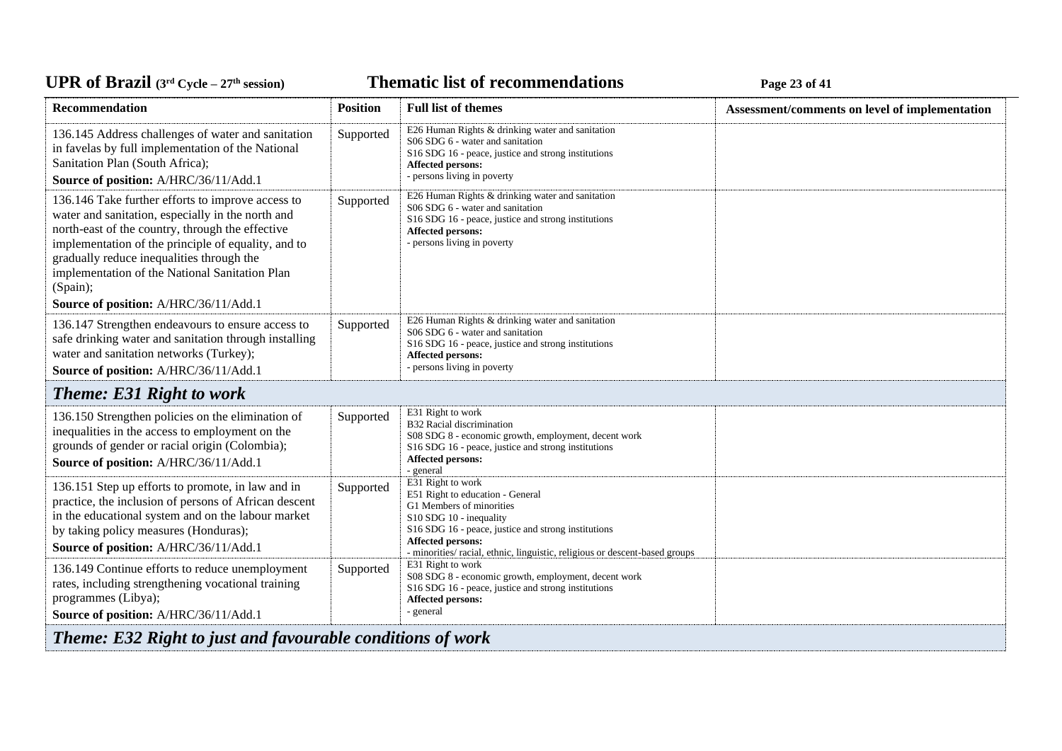#### **Thematic list of recommendations Page 23** of 41

| Recommendation                                                                                                                                                                                                                                                                                                                                                        | <b>Position</b> | <b>Full list of themes</b>                                                                                                                                                                                                                                                    | Assessment/comments on level of implementation |  |
|-----------------------------------------------------------------------------------------------------------------------------------------------------------------------------------------------------------------------------------------------------------------------------------------------------------------------------------------------------------------------|-----------------|-------------------------------------------------------------------------------------------------------------------------------------------------------------------------------------------------------------------------------------------------------------------------------|------------------------------------------------|--|
| 136.145 Address challenges of water and sanitation<br>in favelas by full implementation of the National<br>Sanitation Plan (South Africa);<br>Source of position: A/HRC/36/11/Add.1                                                                                                                                                                                   | Supported       | E26 Human Rights & drinking water and sanitation<br>S06 SDG 6 - water and sanitation<br>S16 SDG 16 - peace, justice and strong institutions<br><b>Affected persons:</b><br>- persons living in poverty                                                                        |                                                |  |
| 136.146 Take further efforts to improve access to<br>water and sanitation, especially in the north and<br>north-east of the country, through the effective<br>implementation of the principle of equality, and to<br>gradually reduce inequalities through the<br>implementation of the National Sanitation Plan<br>(Spain);<br>Source of position: A/HRC/36/11/Add.1 | Supported       | E26 Human Rights & drinking water and sanitation<br>S06 SDG 6 - water and sanitation<br>S16 SDG 16 - peace, justice and strong institutions<br>Affected persons:<br>- persons living in poverty                                                                               |                                                |  |
| 136.147 Strengthen endeavours to ensure access to<br>safe drinking water and sanitation through installing<br>water and sanitation networks (Turkey);<br>Source of position: A/HRC/36/11/Add.1                                                                                                                                                                        | Supported       | E26 Human Rights & drinking water and sanitation<br>S06 SDG 6 - water and sanitation<br>S <sub>16</sub> SDG <sub>16</sub> - peace, justice and strong institutions<br><b>Affected persons:</b><br>- persons living in poverty                                                 |                                                |  |
| <b>Theme: E31 Right to work</b>                                                                                                                                                                                                                                                                                                                                       |                 |                                                                                                                                                                                                                                                                               |                                                |  |
| 136.150 Strengthen policies on the elimination of<br>inequalities in the access to employment on the<br>grounds of gender or racial origin (Colombia);<br>Source of position: A/HRC/36/11/Add.1                                                                                                                                                                       | Supported       | E31 Right to work<br>B32 Racial discrimination<br>S08 SDG 8 - economic growth, employment, decent work<br>S <sub>16</sub> SDG <sub>16</sub> - peace, justice and strong institutions<br>Affected persons:<br>- general                                                        |                                                |  |
| 136.151 Step up efforts to promote, in law and in<br>practice, the inclusion of persons of African descent<br>in the educational system and on the labour market<br>by taking policy measures (Honduras);<br>Source of position: A/HRC/36/11/Add.1                                                                                                                    | Supported       | E31 Right to work<br>E51 Right to education - General<br>G1 Members of minorities<br>S10 SDG 10 - inequality<br>S16 SDG 16 - peace, justice and strong institutions<br><b>Affected persons:</b><br>- minorities/racial, ethnic, linguistic, religious or descent-based groups |                                                |  |
| 136.149 Continue efforts to reduce unemployment<br>rates, including strengthening vocational training<br>programmes (Libya);<br>Source of position: A/HRC/36/11/Add.1                                                                                                                                                                                                 | Supported       | E31 Right to work<br>S08 SDG 8 - economic growth, employment, decent work<br>S16 SDG 16 - peace, justice and strong institutions<br>Affected persons:<br>- general                                                                                                            |                                                |  |
| <b>Theme: E32 Right to just and favourable conditions of work</b>                                                                                                                                                                                                                                                                                                     |                 |                                                                                                                                                                                                                                                                               |                                                |  |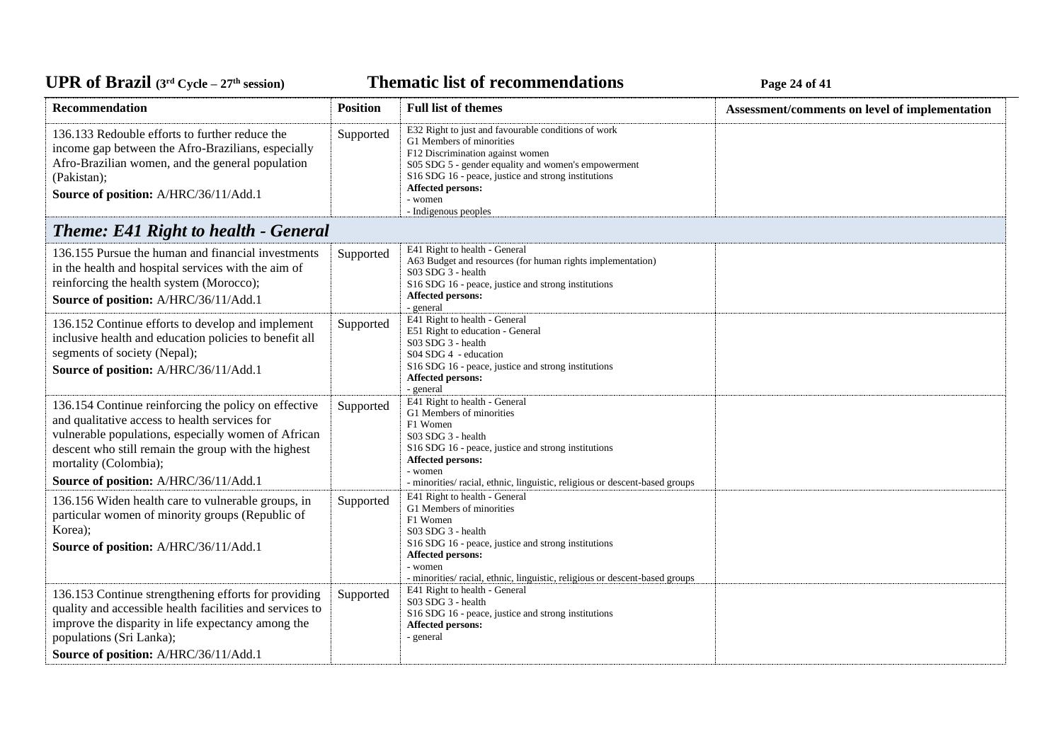**Thematic list of recommendations Page 24** of 41

| Recommendation                                                                                                                                                                                                                                                                        | <b>Position</b> | <b>Full list of themes</b>                                                                                                                                                                                                                                                                       | Assessment/comments on level of implementation |
|---------------------------------------------------------------------------------------------------------------------------------------------------------------------------------------------------------------------------------------------------------------------------------------|-----------------|--------------------------------------------------------------------------------------------------------------------------------------------------------------------------------------------------------------------------------------------------------------------------------------------------|------------------------------------------------|
| 136.133 Redouble efforts to further reduce the<br>income gap between the Afro-Brazilians, especially<br>Afro-Brazilian women, and the general population<br>(Pakistan);<br>Source of position: A/HRC/36/11/Add.1                                                                      | Supported       | E32 Right to just and favourable conditions of work<br>G1 Members of minorities<br>F12 Discrimination against women<br>S05 SDG 5 - gender equality and women's empowerment<br>S16 SDG 16 - peace, justice and strong institutions<br><b>Affected persons:</b><br>- women<br>- Indigenous peoples |                                                |
| <b>Theme: E41 Right to health - General</b>                                                                                                                                                                                                                                           |                 |                                                                                                                                                                                                                                                                                                  |                                                |
| 136.155 Pursue the human and financial investments<br>in the health and hospital services with the aim of<br>reinforcing the health system (Morocco);<br>Source of position: A/HRC/36/11/Add.1                                                                                        | Supported       | E41 Right to health - General<br>A63 Budget and resources (for human rights implementation)<br>S03 SDG 3 - health<br>S16 SDG 16 - peace, justice and strong institutions<br><b>Affected persons:</b><br>- general                                                                                |                                                |
| 136.152 Continue efforts to develop and implement<br>inclusive health and education policies to benefit all<br>segments of society (Nepal);<br>Source of position: A/HRC/36/11/Add.1                                                                                                  | Supported       | E41 Right to health - General<br>E51 Right to education - General<br>S03 SDG 3 - health<br>S04 SDG 4 - education<br>S16 SDG 16 - peace, justice and strong institutions<br>Affected persons:<br>- general                                                                                        |                                                |
| 136.154 Continue reinforcing the policy on effective<br>and qualitative access to health services for<br>vulnerable populations, especially women of African<br>descent who still remain the group with the highest<br>mortality (Colombia);<br>Source of position: A/HRC/36/11/Add.1 | Supported       | E41 Right to health - General<br>G1 Members of minorities<br>F1 Women<br>S03 SDG 3 - health<br>S16 SDG 16 - peace, justice and strong institutions<br>Affected persons:<br>- women<br>- minorities/ racial, ethnic, linguistic, religious or descent-based groups                                |                                                |
| 136.156 Widen health care to vulnerable groups, in<br>particular women of minority groups (Republic of<br>Korea);<br>Source of position: A/HRC/36/11/Add.1                                                                                                                            | Supported       | E41 Right to health - General<br>G1 Members of minorities<br>F1 Women<br>S03 SDG 3 - health<br>S16 SDG 16 - peace, justice and strong institutions<br><b>Affected persons:</b><br>- women<br>- minorities/racial, ethnic, linguistic, religious or descent-based groups                          |                                                |
| 136.153 Continue strengthening efforts for providing<br>quality and accessible health facilities and services to<br>improve the disparity in life expectancy among the<br>populations (Sri Lanka);<br>Source of position: A/HRC/36/11/Add.1                                           | Supported       | E41 Right to health - General<br>$S03$ SDG 3 - health<br>S16 SDG 16 - peace, justice and strong institutions<br><b>Affected persons:</b><br>- general                                                                                                                                            |                                                |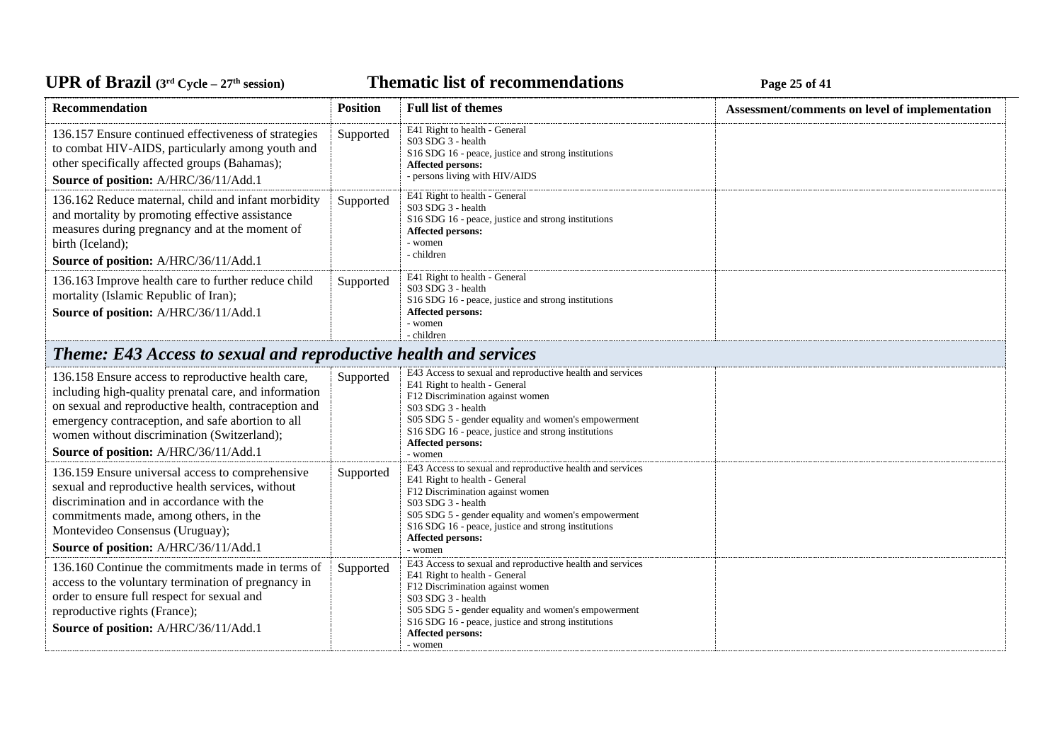# UPR of Brazil (3<sup>rd</sup> Cycle – 27<sup>th</sup> session)

**Thematic list of recommendations Page 25** of 41

| Recommendation                                                                                                                                                                                                                                                                                                   | <b>Position</b> | <b>Full list of themes</b>                                                                                                                                                                                                                                                                                | Assessment/comments on level of implementation |
|------------------------------------------------------------------------------------------------------------------------------------------------------------------------------------------------------------------------------------------------------------------------------------------------------------------|-----------------|-----------------------------------------------------------------------------------------------------------------------------------------------------------------------------------------------------------------------------------------------------------------------------------------------------------|------------------------------------------------|
| 136.157 Ensure continued effectiveness of strategies<br>to combat HIV-AIDS, particularly among youth and<br>other specifically affected groups (Bahamas);<br>Source of position: A/HRC/36/11/Add.1                                                                                                               | Supported       | E41 Right to health - General<br>S03 SDG 3 - health<br>S16 SDG 16 - peace, justice and strong institutions<br><b>Affected persons:</b><br>- persons living with HIV/AIDS                                                                                                                                  |                                                |
| 136.162 Reduce maternal, child and infant morbidity<br>and mortality by promoting effective assistance<br>measures during pregnancy and at the moment of<br>birth (Iceland);<br>Source of position: A/HRC/36/11/Add.1                                                                                            | Supported       | E41 Right to health - General<br>S03 SDG 3 - health<br>S <sub>16</sub> SDG <sub>16</sub> - peace, justice and strong institutions<br><b>Affected persons:</b><br>- women<br>- children                                                                                                                    |                                                |
| 136.163 Improve health care to further reduce child<br>mortality (Islamic Republic of Iran);<br>Source of position: A/HRC/36/11/Add.1                                                                                                                                                                            | Supported       | E41 Right to health - General<br>S03 SDG 3 - health<br>S <sub>16</sub> SDG <sub>16</sub> - peace, justice and strong institutions<br><b>Affected persons:</b><br>- women<br>- children                                                                                                                    |                                                |
| <b>Theme: E43 Access to sexual and reproductive health and services</b>                                                                                                                                                                                                                                          |                 |                                                                                                                                                                                                                                                                                                           |                                                |
| 136.158 Ensure access to reproductive health care,<br>including high-quality prenatal care, and information<br>on sexual and reproductive health, contraception and<br>emergency contraception, and safe abortion to all<br>women without discrimination (Switzerland);<br>Source of position: A/HRC/36/11/Add.1 | Supported       | E43 Access to sexual and reproductive health and services<br>E41 Right to health - General<br>F12 Discrimination against women<br>S03 SDG 3 - health<br>S05 SDG 5 - gender equality and women's empowerment<br>S16 SDG 16 - peace, justice and strong institutions<br><b>Affected persons:</b><br>- women |                                                |
| 136.159 Ensure universal access to comprehensive<br>sexual and reproductive health services, without<br>discrimination and in accordance with the<br>commitments made, among others, in the<br>Montevideo Consensus (Uruguay);<br>Source of position: A/HRC/36/11/Add.1                                          | Supported       | E43 Access to sexual and reproductive health and services<br>E41 Right to health - General<br>F12 Discrimination against women<br>S03 SDG 3 - health<br>S05 SDG 5 - gender equality and women's empowerment<br>S16 SDG 16 - peace, justice and strong institutions<br>Affected persons:<br>- women        |                                                |
| 136.160 Continue the commitments made in terms of<br>access to the voluntary termination of pregnancy in<br>order to ensure full respect for sexual and<br>reproductive rights (France);<br>Source of position: A/HRC/36/11/Add.1                                                                                | Supported       | E43 Access to sexual and reproductive health and services<br>E41 Right to health - General<br>F12 Discrimination against women<br>S03 SDG 3 - health<br>S05 SDG 5 - gender equality and women's empowerment<br>S16 SDG 16 - peace, justice and strong institutions<br>Affected persons:<br>- women        |                                                |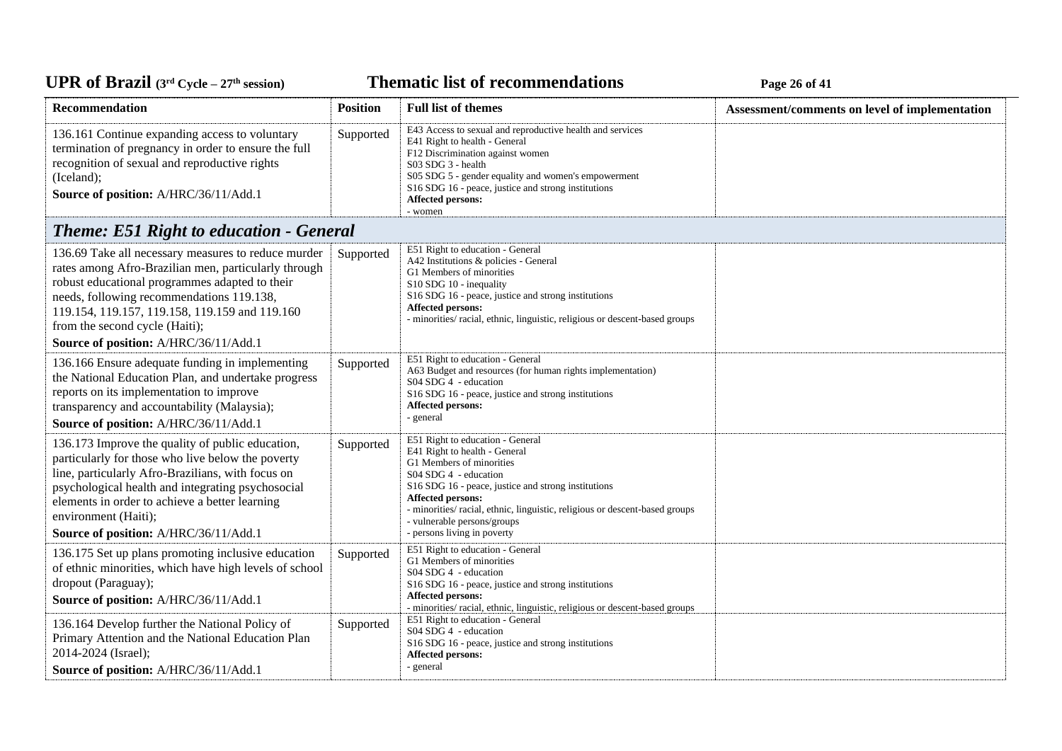## UPR of Brazil  $(3^{rd}$  Cycle – 27<sup>th</sup> session)

**Thematic list of recommendations Page 26** of 41

| Recommendation                                                                                                                                                                                                                                                                                                                          | <b>Position</b> | <b>Full list of themes</b>                                                                                                                                                                                                                                                                                                                            | Assessment/comments on level of implementation |
|-----------------------------------------------------------------------------------------------------------------------------------------------------------------------------------------------------------------------------------------------------------------------------------------------------------------------------------------|-----------------|-------------------------------------------------------------------------------------------------------------------------------------------------------------------------------------------------------------------------------------------------------------------------------------------------------------------------------------------------------|------------------------------------------------|
| 136.161 Continue expanding access to voluntary<br>termination of pregnancy in order to ensure the full<br>recognition of sexual and reproductive rights<br>(Iceland);<br>Source of position: A/HRC/36/11/Add.1                                                                                                                          | Supported       | E43 Access to sexual and reproductive health and services<br>E41 Right to health - General<br>F12 Discrimination against women<br>S03 SDG 3 - health<br>S05 SDG 5 - gender equality and women's empowerment<br>S16 SDG 16 - peace, justice and strong institutions<br>Affected persons:<br>- women                                                    |                                                |
| <b>Theme: E51 Right to education - General</b>                                                                                                                                                                                                                                                                                          |                 |                                                                                                                                                                                                                                                                                                                                                       |                                                |
| 136.69 Take all necessary measures to reduce murder<br>rates among Afro-Brazilian men, particularly through<br>robust educational programmes adapted to their<br>needs, following recommendations 119.138,<br>119.154, 119.157, 119.158, 119.159 and 119.160<br>from the second cycle (Haiti);<br>Source of position: A/HRC/36/11/Add.1 | Supported       | E51 Right to education - General<br>A42 Institutions & policies - General<br>G1 Members of minorities<br>S10 SDG 10 - inequality<br>S16 SDG 16 - peace, justice and strong institutions<br><b>Affected persons:</b><br>- minorities/ racial, ethnic, linguistic, religious or descent-based groups                                                    |                                                |
| 136.166 Ensure adequate funding in implementing<br>the National Education Plan, and undertake progress<br>reports on its implementation to improve<br>transparency and accountability (Malaysia);<br>Source of position: A/HRC/36/11/Add.1                                                                                              | Supported       | E51 Right to education - General<br>A63 Budget and resources (for human rights implementation)<br>S04 SDG 4 - education<br>S16 SDG 16 - peace, justice and strong institutions<br>Affected persons:<br>- general                                                                                                                                      |                                                |
| 136.173 Improve the quality of public education,<br>particularly for those who live below the poverty<br>line, particularly Afro-Brazilians, with focus on<br>psychological health and integrating psychosocial<br>elements in order to achieve a better learning<br>environment (Haiti);<br>Source of position: A/HRC/36/11/Add.1      | Supported       | E51 Right to education - General<br>E41 Right to health - General<br>G1 Members of minorities<br>S04 SDG 4 - education<br>S16 SDG 16 - peace, justice and strong institutions<br><b>Affected persons:</b><br>- minorities/racial, ethnic, linguistic, religious or descent-based groups<br>- vulnerable persons/groups<br>- persons living in poverty |                                                |
| 136.175 Set up plans promoting inclusive education<br>of ethnic minorities, which have high levels of school<br>dropout (Paraguay);<br>Source of position: A/HRC/36/11/Add.1                                                                                                                                                            | Supported       | E51 Right to education - General<br>G1 Members of minorities<br>S04 SDG 4 - education<br>S16 SDG 16 - peace, justice and strong institutions<br><b>Affected persons:</b><br>- minorities/racial, ethnic, linguistic, religious or descent-based groups                                                                                                |                                                |
| 136.164 Develop further the National Policy of<br>Primary Attention and the National Education Plan<br>2014-2024 (Israel);<br>Source of position: A/HRC/36/11/Add.1                                                                                                                                                                     | Supported       | E51 Right to education - General<br>S04 SDG 4 - education<br>S16 SDG 16 - peace, justice and strong institutions<br>Affected persons:<br>- general                                                                                                                                                                                                    |                                                |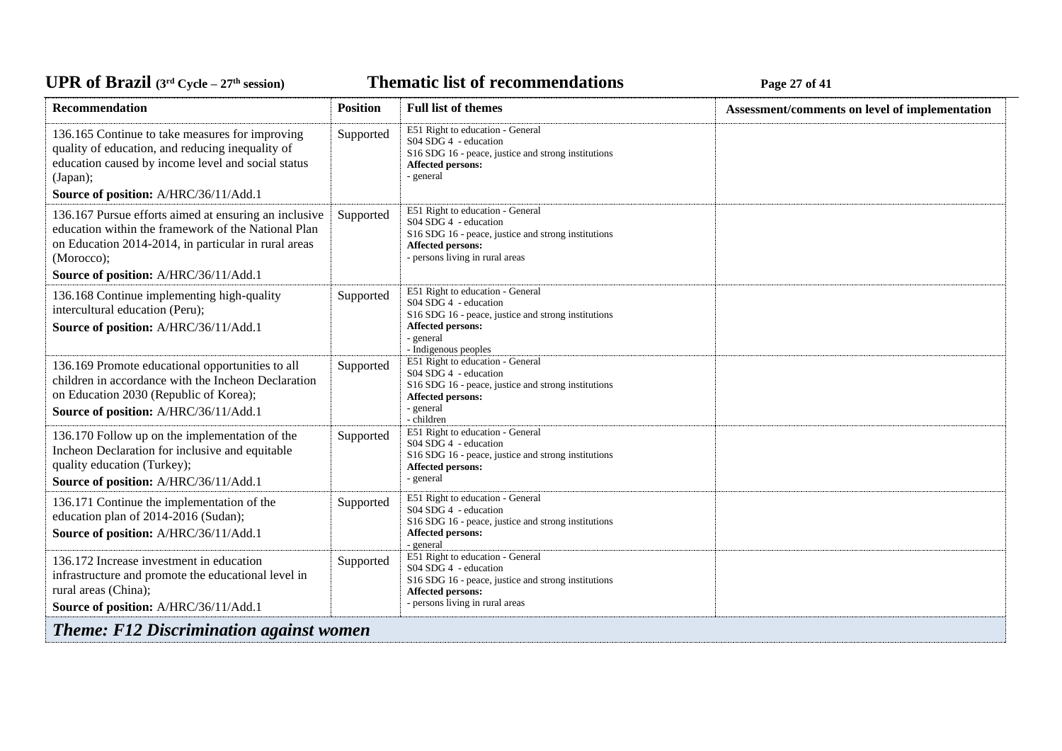**Thematic list of recommendations Page 27** of 41

| <b>Recommendation</b>                                                                                                                                                                      | <b>Position</b> | <b>Full list of themes</b>                                                                                                                                                        | Assessment/comments on level of implementation |
|--------------------------------------------------------------------------------------------------------------------------------------------------------------------------------------------|-----------------|-----------------------------------------------------------------------------------------------------------------------------------------------------------------------------------|------------------------------------------------|
| 136.165 Continue to take measures for improving<br>quality of education, and reducing inequality of<br>education caused by income level and social status<br>(Japan);                      | Supported       | E51 Right to education - General<br>S04 SDG 4 - education<br>S16 SDG 16 - peace, justice and strong institutions<br><b>Affected persons:</b><br>- general                         |                                                |
| Source of position: A/HRC/36/11/Add.1                                                                                                                                                      |                 |                                                                                                                                                                                   |                                                |
| 136.167 Pursue efforts aimed at ensuring an inclusive<br>education within the framework of the National Plan<br>on Education 2014-2014, in particular in rural areas<br>(Morocco);         | Supported       | E51 Right to education - General<br>$S04$ SDG 4 - education<br>S16 SDG 16 - peace, justice and strong institutions<br>Affected persons:<br>- persons living in rural areas        |                                                |
| Source of position: A/HRC/36/11/Add.1                                                                                                                                                      |                 |                                                                                                                                                                                   |                                                |
| 136.168 Continue implementing high-quality<br>intercultural education (Peru);<br>Source of position: A/HRC/36/11/Add.1                                                                     | Supported       | E51 Right to education - General<br>S04 SDG 4 - education<br>S16 SDG 16 - peace, justice and strong institutions<br><b>Affected persons:</b><br>- general<br>- Indigenous peoples |                                                |
| 136.169 Promote educational opportunities to all<br>children in accordance with the Incheon Declaration<br>on Education 2030 (Republic of Korea);<br>Source of position: A/HRC/36/11/Add.1 | Supported       | E51 Right to education - General<br>S04 SDG 4 - education<br>S16 SDG 16 - peace, justice and strong institutions<br>Affected persons:<br>- general<br>- children                  |                                                |
| 136.170 Follow up on the implementation of the<br>Incheon Declaration for inclusive and equitable<br>quality education (Turkey);<br>Source of position: A/HRC/36/11/Add.1                  | Supported       | E51 Right to education - General<br>S04 SDG 4 - education<br>S16 SDG 16 - peace, justice and strong institutions<br>Affected persons:<br>- general                                |                                                |
| 136.171 Continue the implementation of the<br>education plan of 2014-2016 (Sudan);<br>Source of position: A/HRC/36/11/Add.1                                                                | Supported       | E51 Right to education - General<br>S04 SDG 4 - education<br>S16 SDG 16 - peace, justice and strong institutions<br>Affected persons:<br>- general                                |                                                |
| 136.172 Increase investment in education<br>infrastructure and promote the educational level in<br>rural areas (China);<br>Source of position: A/HRC/36/11/Add.1                           | Supported       | E51 Right to education - General<br>S04 SDG 4 - education<br>S16 SDG 16 - peace, justice and strong institutions<br>Affected persons:<br>- persons living in rural areas          |                                                |
| <b>Theme: F12 Discrimination against women</b>                                                                                                                                             |                 |                                                                                                                                                                                   |                                                |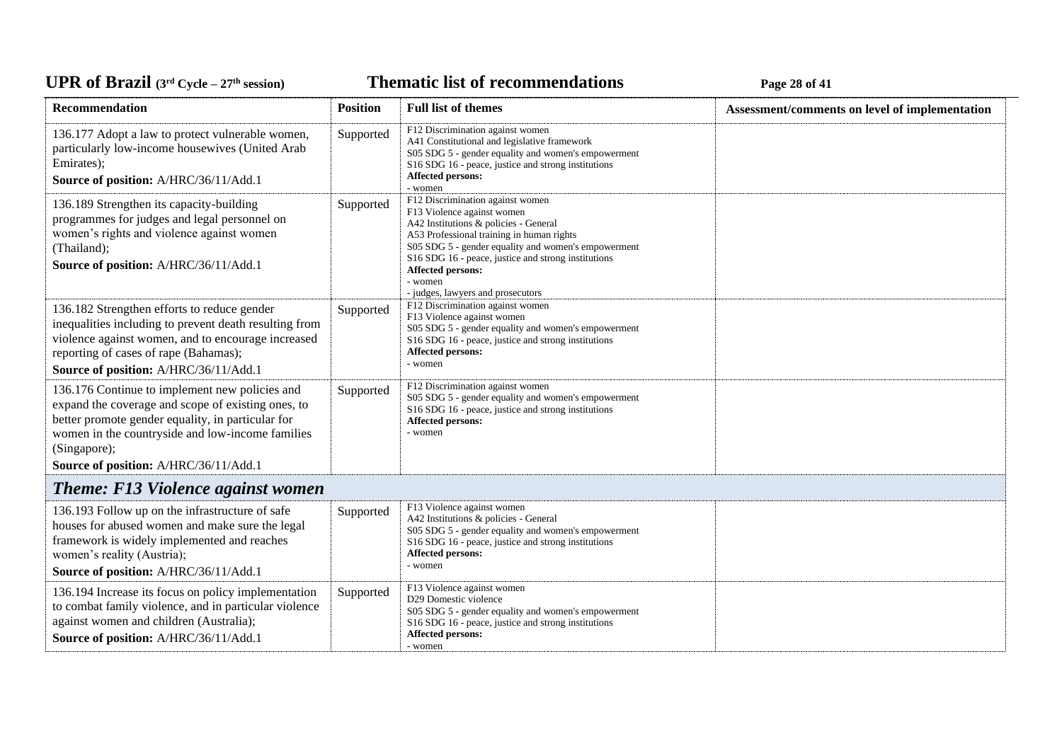#### **Thematic list of recommendations Page 28** of 41

| <b>Recommendation</b>                                                                                                                                                                                                                                                  | <b>Position</b> | <b>Full list of themes</b>                                                                                                                                                                                                                                                                                                                                     | Assessment/comments on level of implementation |
|------------------------------------------------------------------------------------------------------------------------------------------------------------------------------------------------------------------------------------------------------------------------|-----------------|----------------------------------------------------------------------------------------------------------------------------------------------------------------------------------------------------------------------------------------------------------------------------------------------------------------------------------------------------------------|------------------------------------------------|
| 136.177 Adopt a law to protect vulnerable women,<br>particularly low-income housewives (United Arab<br>Emirates);<br>Source of position: A/HRC/36/11/Add.1                                                                                                             | Supported       | F12 Discrimination against women<br>A41 Constitutional and legislative framework<br>S05 SDG 5 - gender equality and women's empowerment<br>S16 SDG 16 - peace, justice and strong institutions<br>Affected persons:<br>- women                                                                                                                                 |                                                |
| 136.189 Strengthen its capacity-building<br>programmes for judges and legal personnel on<br>women's rights and violence against women<br>(Thailand);<br>Source of position: A/HRC/36/11/Add.1                                                                          | Supported       | F12 Discrimination against women<br>F13 Violence against women<br>A42 Institutions & policies - General<br>A53 Professional training in human rights<br>S05 SDG 5 - gender equality and women's empowerment<br>S <sub>16</sub> SDG <sub>16</sub> - peace, justice and strong institutions<br>Affected persons:<br>- women<br>- judges, lawyers and prosecutors |                                                |
| 136.182 Strengthen efforts to reduce gender<br>inequalities including to prevent death resulting from<br>violence against women, and to encourage increased<br>reporting of cases of rape (Bahamas);<br>Source of position: A/HRC/36/11/Add.1                          | Supported       | F12 Discrimination against women<br>F13 Violence against women<br>S05 SDG 5 - gender equality and women's empowerment<br>S16 SDG 16 - peace, justice and strong institutions<br>Affected persons:<br>- women                                                                                                                                                   |                                                |
| 136.176 Continue to implement new policies and<br>expand the coverage and scope of existing ones, to<br>better promote gender equality, in particular for<br>women in the countryside and low-income families<br>(Singapore);<br>Source of position: A/HRC/36/11/Add.1 | Supported       | F12 Discrimination against women<br>S05 SDG 5 - gender equality and women's empowerment<br>S16 SDG 16 - peace, justice and strong institutions<br>Affected persons:<br>- women                                                                                                                                                                                 |                                                |
| <b>Theme: F13 Violence against women</b>                                                                                                                                                                                                                               |                 |                                                                                                                                                                                                                                                                                                                                                                |                                                |
| 136.193 Follow up on the infrastructure of safe<br>houses for abused women and make sure the legal<br>framework is widely implemented and reaches<br>women's reality (Austria);<br>Source of position: A/HRC/36/11/Add.1                                               | Supported       | F13 Violence against women<br>A42 Institutions & policies - General<br>S05 SDG 5 - gender equality and women's empowerment<br>S <sub>16</sub> SDG <sub>16</sub> - peace, justice and strong institutions<br>Affected persons:<br>- women                                                                                                                       |                                                |
| 136.194 Increase its focus on policy implementation<br>to combat family violence, and in particular violence<br>against women and children (Australia);<br>Source of position: A/HRC/36/11/Add.1                                                                       | Supported       | F13 Violence against women<br>D <sub>29</sub> Domestic violence<br>S05 SDG 5 - gender equality and women's empowerment<br>S16 SDG 16 - peace, justice and strong institutions<br><b>Affected persons:</b><br>- women                                                                                                                                           |                                                |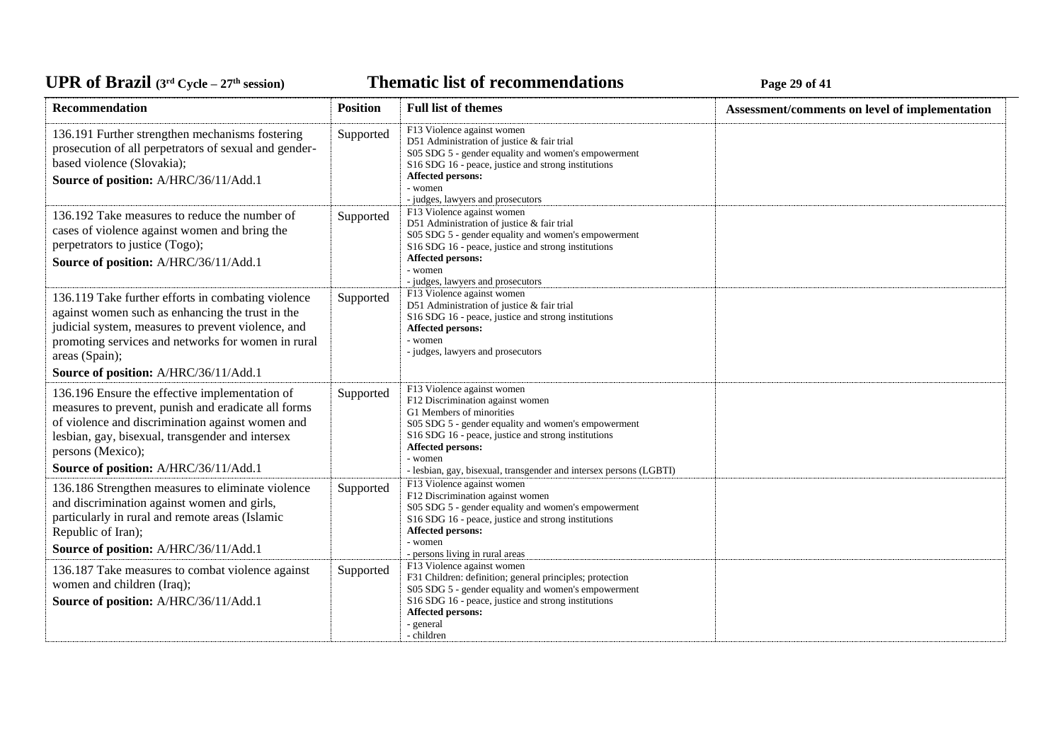*C***ELE <b>EXECUTE: CYCLE 29 CHOOP CONDITE: Page 29 of 41** 

| <b>Recommendation</b>                                                                                                                                                                                                                                                         | <b>Position</b> | <b>Full list of themes</b>                                                                                                                                                                                                                                                                                     | Assessment/comments on level of implementation |
|-------------------------------------------------------------------------------------------------------------------------------------------------------------------------------------------------------------------------------------------------------------------------------|-----------------|----------------------------------------------------------------------------------------------------------------------------------------------------------------------------------------------------------------------------------------------------------------------------------------------------------------|------------------------------------------------|
| 136.191 Further strengthen mechanisms fostering<br>prosecution of all perpetrators of sexual and gender-<br>based violence (Slovakia);<br>Source of position: A/HRC/36/11/Add.1                                                                                               | Supported       | F13 Violence against women<br>D51 Administration of justice & fair trial<br>S05 SDG 5 - gender equality and women's empowerment<br>S16 SDG 16 - peace, justice and strong institutions<br>Affected persons:<br>- women<br>- judges, lawyers and prosecutors                                                    |                                                |
| 136.192 Take measures to reduce the number of<br>cases of violence against women and bring the<br>perpetrators to justice (Togo);<br>Source of position: A/HRC/36/11/Add.1                                                                                                    | Supported       | F13 Violence against women<br>D51 Administration of justice & fair trial<br>S05 SDG 5 - gender equality and women's empowerment<br>S16 SDG 16 - peace, justice and strong institutions<br>Affected persons:<br>- women<br>- judges, lawyers and prosecutors                                                    |                                                |
| 136.119 Take further efforts in combating violence<br>against women such as enhancing the trust in the<br>judicial system, measures to prevent violence, and<br>promoting services and networks for women in rural<br>areas (Spain);<br>Source of position: A/HRC/36/11/Add.1 | Supported       | F13 Violence against women<br>D51 Administration of justice & fair trial<br>S16 SDG 16 - peace, justice and strong institutions<br><b>Affected persons:</b><br>- women<br>- judges, lawyers and prosecutors                                                                                                    |                                                |
| 136.196 Ensure the effective implementation of<br>measures to prevent, punish and eradicate all forms<br>of violence and discrimination against women and<br>lesbian, gay, bisexual, transgender and intersex<br>persons (Mexico);<br>Source of position: A/HRC/36/11/Add.1   | Supported       | F13 Violence against women<br>F12 Discrimination against women<br>G1 Members of minorities<br>S05 SDG 5 - gender equality and women's empowerment<br>S16 SDG 16 - peace, justice and strong institutions<br>Affected persons:<br>- women<br>- lesbian, gay, bisexual, transgender and intersex persons (LGBTI) |                                                |
| 136.186 Strengthen measures to eliminate violence<br>and discrimination against women and girls,<br>particularly in rural and remote areas (Islamic<br>Republic of Iran);<br>Source of position: A/HRC/36/11/Add.1                                                            | Supported       | F13 Violence against women<br>F12 Discrimination against women<br>S05 SDG 5 - gender equality and women's empowerment<br>S16 SDG 16 - peace, justice and strong institutions<br>Affected persons:<br>- women<br>- persons living in rural areas                                                                |                                                |
| 136.187 Take measures to combat violence against<br>women and children (Iraq);<br>Source of position: A/HRC/36/11/Add.1                                                                                                                                                       | Supported       | F13 Violence against women<br>F31 Children: definition; general principles; protection<br>S05 SDG 5 - gender equality and women's empowerment<br>S16 SDG 16 - peace, justice and strong institutions<br>Affected persons:<br>- general<br>- children                                                           |                                                |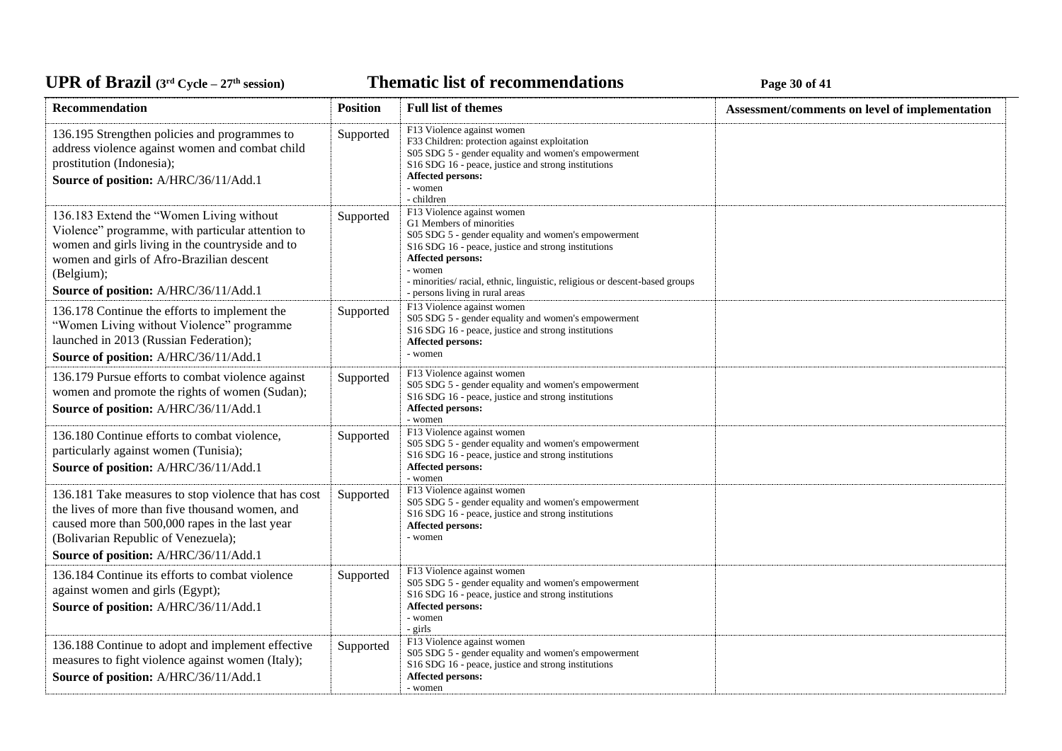**Thematic list of recommendations Page 30** of 41

| <b>Recommendation</b>                                                                                                                                                                                                                                 | <b>Position</b> | <b>Full list of themes</b>                                                                                                                                                                                                                                                                                                                           | Assessment/comments on level of implementation |
|-------------------------------------------------------------------------------------------------------------------------------------------------------------------------------------------------------------------------------------------------------|-----------------|------------------------------------------------------------------------------------------------------------------------------------------------------------------------------------------------------------------------------------------------------------------------------------------------------------------------------------------------------|------------------------------------------------|
| 136.195 Strengthen policies and programmes to<br>address violence against women and combat child<br>prostitution (Indonesia);<br>Source of position: A/HRC/36/11/Add.1                                                                                | Supported       | F13 Violence against women<br>F33 Children: protection against exploitation<br>S05 SDG 5 - gender equality and women's empowerment<br>S <sub>16</sub> SDG <sub>16</sub> - peace, justice and strong institutions<br>Affected persons:<br>- women<br>- children                                                                                       |                                                |
| 136.183 Extend the "Women Living without<br>Violence" programme, with particular attention to<br>women and girls living in the countryside and to<br>women and girls of Afro-Brazilian descent<br>(Belgium);<br>Source of position: A/HRC/36/11/Add.1 | Supported       | F13 Violence against women<br>G1 Members of minorities<br>S05 SDG 5 - gender equality and women's empowerment<br>S <sub>16</sub> SDG <sub>16</sub> - peace, justice and strong institutions<br><b>Affected persons:</b><br>- women<br>- minorities/ racial, ethnic, linguistic, religious or descent-based groups<br>- persons living in rural areas |                                                |
| 136.178 Continue the efforts to implement the<br>"Women Living without Violence" programme<br>launched in 2013 (Russian Federation);<br>Source of position: A/HRC/36/11/Add.1                                                                         | Supported       | F13 Violence against women<br>S05 SDG 5 - gender equality and women's empowerment<br>S16 SDG 16 - peace, justice and strong institutions<br>Affected persons:<br>- women                                                                                                                                                                             |                                                |
| 136.179 Pursue efforts to combat violence against<br>women and promote the rights of women (Sudan);<br>Source of position: A/HRC/36/11/Add.1                                                                                                          | Supported       | F13 Violence against women<br>S05 SDG 5 - gender equality and women's empowerment<br>S16 SDG 16 - peace, justice and strong institutions<br>Affected persons:<br>- women                                                                                                                                                                             |                                                |
| 136.180 Continue efforts to combat violence,<br>particularly against women (Tunisia);<br>Source of position: A/HRC/36/11/Add.1                                                                                                                        | Supported       | F13 Violence against women<br>S05 SDG 5 - gender equality and women's empowerment<br>S <sub>16</sub> SDG <sub>16</sub> - peace, justice and strong institutions<br>Affected persons:<br>- women                                                                                                                                                      |                                                |
| 136.181 Take measures to stop violence that has cost<br>the lives of more than five thousand women, and<br>caused more than 500,000 rapes in the last year<br>(Bolivarian Republic of Venezuela);<br>Source of position: A/HRC/36/11/Add.1            | Supported       | F13 Violence against women<br>S05 SDG 5 - gender equality and women's empowerment<br>S16 SDG 16 - peace, justice and strong institutions<br>Affected persons:<br>- women                                                                                                                                                                             |                                                |
| 136.184 Continue its efforts to combat violence<br>against women and girls (Egypt);<br>Source of position: A/HRC/36/11/Add.1                                                                                                                          | Supported       | F13 Violence against women<br>S05 SDG 5 - gender equality and women's empowerment<br>S16 SDG 16 - peace, justice and strong institutions<br>Affected persons:<br>- women<br>- girls                                                                                                                                                                  |                                                |
| 136.188 Continue to adopt and implement effective<br>measures to fight violence against women (Italy);<br>Source of position: A/HRC/36/11/Add.1                                                                                                       | Supported       | F13 Violence against women<br>S05 SDG 5 - gender equality and women's empowerment<br>S <sub>16</sub> SDG <sub>16</sub> - peace, justice and strong institutions<br><b>Affected persons:</b><br>- women                                                                                                                                               |                                                |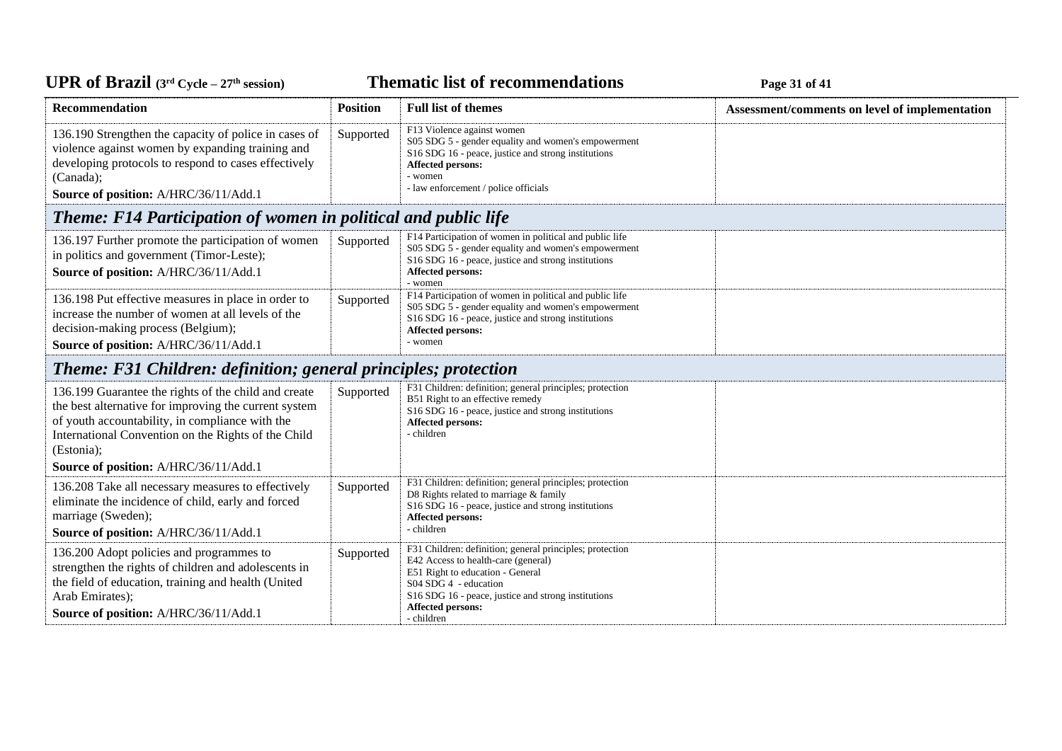**Thematic list of recommendations Page 31** of 41

| <b>Recommendation</b>                                                                                                                                                                                                                                                          | <b>Position</b> | <b>Full list of themes</b>                                                                                                                                                                                                                                    | Assessment/comments on level of implementation |
|--------------------------------------------------------------------------------------------------------------------------------------------------------------------------------------------------------------------------------------------------------------------------------|-----------------|---------------------------------------------------------------------------------------------------------------------------------------------------------------------------------------------------------------------------------------------------------------|------------------------------------------------|
| 136.190 Strengthen the capacity of police in cases of<br>violence against women by expanding training and<br>developing protocols to respond to cases effectively<br>(Canada);<br>Source of position: A/HRC/36/11/Add.1                                                        | Supported       | F13 Violence against women<br>S05 SDG 5 - gender equality and women's empowerment<br>S16 SDG 16 - peace, justice and strong institutions<br>Affected persons:<br>- women<br>- law enforcement / police officials                                              |                                                |
| <b>Theme: F14 Participation of women in political and public life</b>                                                                                                                                                                                                          |                 |                                                                                                                                                                                                                                                               |                                                |
| 136.197 Further promote the participation of women<br>in politics and government (Timor-Leste);<br>Source of position: A/HRC/36/11/Add.1                                                                                                                                       | Supported       | F14 Participation of women in political and public life<br>S05 SDG 5 - gender equality and women's empowerment<br>S16 SDG 16 - peace, justice and strong institutions<br>Affected persons:<br>- women                                                         |                                                |
| 136.198 Put effective measures in place in order to<br>increase the number of women at all levels of the<br>decision-making process (Belgium);<br>Source of position: A/HRC/36/11/Add.1                                                                                        | Supported       | F14 Participation of women in political and public life<br>S05 SDG 5 - gender equality and women's empowerment<br>S16 SDG 16 - peace, justice and strong institutions<br>Affected persons:<br>- women                                                         |                                                |
| <b>Theme: F31 Children: definition; general principles; protection</b>                                                                                                                                                                                                         |                 |                                                                                                                                                                                                                                                               |                                                |
| 136.199 Guarantee the rights of the child and create<br>the best alternative for improving the current system<br>of youth accountability, in compliance with the<br>International Convention on the Rights of the Child<br>(Estonia);<br>Source of position: A/HRC/36/11/Add.1 | Supported       | F31 Children: definition; general principles; protection<br>B51 Right to an effective remedy<br>S16 SDG 16 - peace, justice and strong institutions<br>Affected persons:<br>- children                                                                        |                                                |
| 136.208 Take all necessary measures to effectively<br>eliminate the incidence of child, early and forced<br>marriage (Sweden);<br>Source of position: A/HRC/36/11/Add.1                                                                                                        | Supported       | F31 Children: definition; general principles; protection<br>D8 Rights related to marriage & family<br>S16 SDG 16 - peace, justice and strong institutions<br>Affected persons:<br>- children                                                                  |                                                |
| 136.200 Adopt policies and programmes to<br>strengthen the rights of children and adolescents in<br>the field of education, training and health (United<br>Arab Emirates);<br>Source of position: A/HRC/36/11/Add.1                                                            | Supported       | F31 Children: definition; general principles; protection<br>E42 Access to health-care (general)<br>E51 Right to education - General<br>S04 SDG 4 - education<br>S16 SDG 16 - peace, justice and strong institutions<br><b>Affected persons:</b><br>- children |                                                |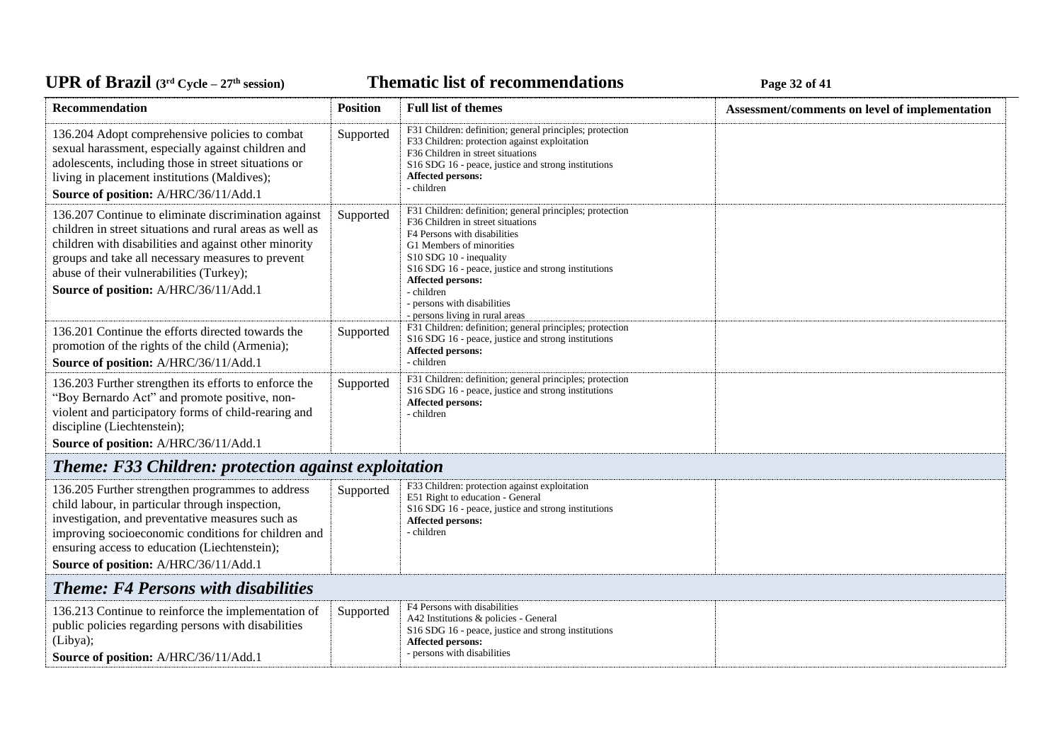*C***ELE <b>EXECUTE: CYCLE 27E EXECUTE: Page 32** of 41

| <b>Recommendation</b>                                                                                                                                                                                                                                                                                               | <b>Position</b> | <b>Full list of themes</b>                                                                                                                                                                                                                                                                                                                                                     | Assessment/comments on level of implementation |
|---------------------------------------------------------------------------------------------------------------------------------------------------------------------------------------------------------------------------------------------------------------------------------------------------------------------|-----------------|--------------------------------------------------------------------------------------------------------------------------------------------------------------------------------------------------------------------------------------------------------------------------------------------------------------------------------------------------------------------------------|------------------------------------------------|
| 136.204 Adopt comprehensive policies to combat<br>sexual harassment, especially against children and<br>adolescents, including those in street situations or<br>living in placement institutions (Maldives);<br>Source of position: A/HRC/36/11/Add.1                                                               | Supported       | F31 Children: definition; general principles; protection<br>F33 Children: protection against exploitation<br>F36 Children in street situations<br>S16 SDG 16 - peace, justice and strong institutions<br>Affected persons:<br>- children                                                                                                                                       |                                                |
| 136.207 Continue to eliminate discrimination against<br>children in street situations and rural areas as well as<br>children with disabilities and against other minority<br>groups and take all necessary measures to prevent<br>abuse of their vulnerabilities (Turkey);<br>Source of position: A/HRC/36/11/Add.1 | Supported       | F31 Children: definition; general principles; protection<br>F36 Children in street situations<br>F4 Persons with disabilities<br>G1 Members of minorities<br>S <sub>10</sub> SDG <sub>10</sub> - inequality<br>S16 SDG 16 - peace, justice and strong institutions<br><b>Affected persons:</b><br>- children<br>- persons with disabilities<br>- persons living in rural areas |                                                |
| 136.201 Continue the efforts directed towards the<br>promotion of the rights of the child (Armenia);<br>Source of position: A/HRC/36/11/Add.1                                                                                                                                                                       | Supported       | F31 Children: definition; general principles; protection<br>S16 SDG 16 - peace, justice and strong institutions<br>Affected persons:<br>- children                                                                                                                                                                                                                             |                                                |
| 136.203 Further strengthen its efforts to enforce the<br>"Boy Bernardo Act" and promote positive, non-<br>violent and participatory forms of child-rearing and<br>discipline (Liechtenstein);<br>Source of position: A/HRC/36/11/Add.1                                                                              | Supported       | F31 Children: definition; general principles; protection<br>S16 SDG 16 - peace, justice and strong institutions<br><b>Affected persons:</b><br>- children                                                                                                                                                                                                                      |                                                |
| <b>Theme: F33 Children: protection against exploitation</b>                                                                                                                                                                                                                                                         |                 |                                                                                                                                                                                                                                                                                                                                                                                |                                                |
| 136.205 Further strengthen programmes to address<br>child labour, in particular through inspection,<br>investigation, and preventative measures such as<br>improving socioeconomic conditions for children and<br>ensuring access to education (Liechtenstein);<br>Source of position: A/HRC/36/11/Add.1            | Supported       | F33 Children: protection against exploitation<br>E51 Right to education - General<br>S16 SDG 16 - peace, justice and strong institutions<br><b>Affected persons:</b><br>- children                                                                                                                                                                                             |                                                |
| <b>Theme: F4 Persons with disabilities</b>                                                                                                                                                                                                                                                                          |                 |                                                                                                                                                                                                                                                                                                                                                                                |                                                |
| 136.213 Continue to reinforce the implementation of<br>public policies regarding persons with disabilities<br>(Libya);<br>Source of position: A/HRC/36/11/Add.1                                                                                                                                                     | Supported       | F4 Persons with disabilities<br>A42 Institutions & policies - General<br>S16 SDG 16 - peace, justice and strong institutions<br><b>Affected persons:</b><br>- persons with disabilities                                                                                                                                                                                        |                                                |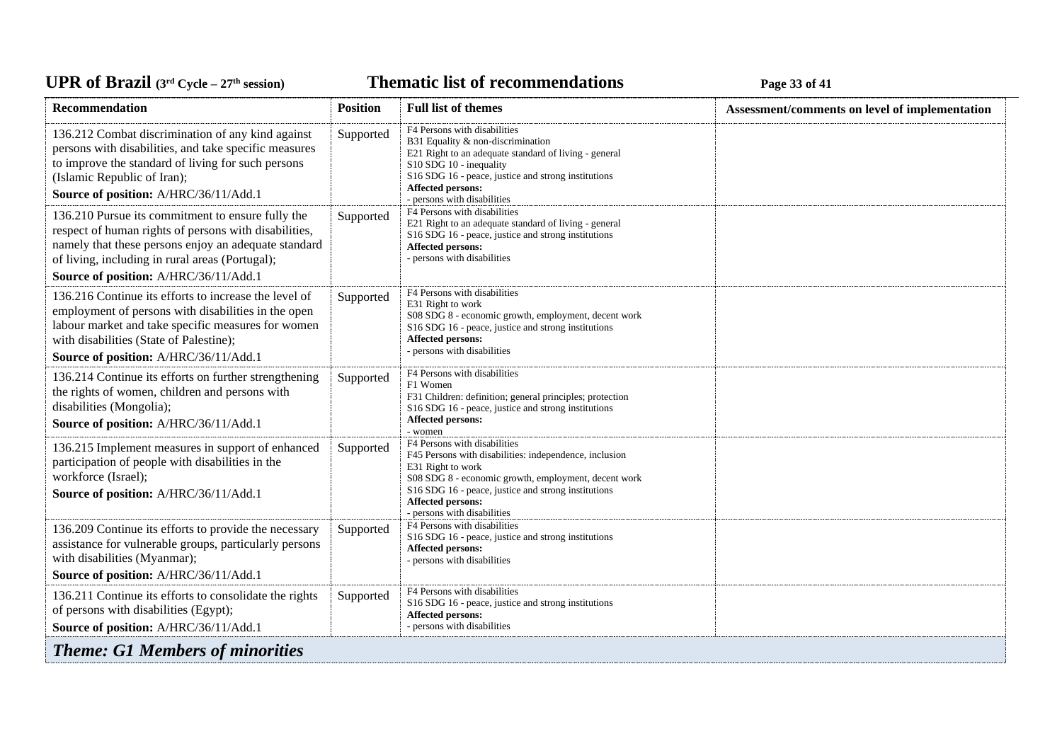### UPR of Brazil (3<sup>rd</sup> Cycle – 27<sup>th</sup> session)

*C***ELE <b>EXECUTE: CYCLE 23 CPLE CYCLE 23 Page 33** of 41

| Recommendation                                                                                                                                                                                                                                                 | <b>Position</b> | <b>Full list of themes</b>                                                                                                                                                                                                                                                            | Assessment/comments on level of implementation |
|----------------------------------------------------------------------------------------------------------------------------------------------------------------------------------------------------------------------------------------------------------------|-----------------|---------------------------------------------------------------------------------------------------------------------------------------------------------------------------------------------------------------------------------------------------------------------------------------|------------------------------------------------|
| 136.212 Combat discrimination of any kind against<br>persons with disabilities, and take specific measures<br>to improve the standard of living for such persons<br>(Islamic Republic of Iran);<br>Source of position: A/HRC/36/11/Add.1                       | Supported       | F4 Persons with disabilities<br>B31 Equality & non-discrimination<br>E21 Right to an adequate standard of living - general<br>S10 SDG 10 - inequality<br>S16 SDG 16 - peace, justice and strong institutions<br>Affected persons:<br>- persons with disabilities                      |                                                |
| 136.210 Pursue its commitment to ensure fully the<br>respect of human rights of persons with disabilities,<br>namely that these persons enjoy an adequate standard<br>of living, including in rural areas (Portugal);<br>Source of position: A/HRC/36/11/Add.1 | Supported       | F4 Persons with disabilities<br>E21 Right to an adequate standard of living - general<br>S16 SDG 16 - peace, justice and strong institutions<br>Affected persons:<br>- persons with disabilities                                                                                      |                                                |
| 136.216 Continue its efforts to increase the level of<br>employment of persons with disabilities in the open<br>labour market and take specific measures for women<br>with disabilities (State of Palestine);<br>Source of position: A/HRC/36/11/Add.1         | Supported       | F4 Persons with disabilities<br>E31 Right to work<br>S08 SDG 8 - economic growth, employment, decent work<br>S16 SDG 16 - peace, justice and strong institutions<br><b>Affected persons:</b><br>- persons with disabilities                                                           |                                                |
| 136.214 Continue its efforts on further strengthening<br>the rights of women, children and persons with<br>disabilities (Mongolia);<br>Source of position: A/HRC/36/11/Add.1                                                                                   | Supported       | F4 Persons with disabilities<br>F1 Women<br>F31 Children: definition; general principles; protection<br>S16 SDG 16 - peace, justice and strong institutions<br><b>Affected persons:</b><br>- women                                                                                    |                                                |
| 136.215 Implement measures in support of enhanced<br>participation of people with disabilities in the<br>workforce (Israel);<br>Source of position: A/HRC/36/11/Add.1                                                                                          | Supported       | F4 Persons with disabilities<br>F45 Persons with disabilities: independence, inclusion<br>E31 Right to work<br>S08 SDG 8 - economic growth, employment, decent work<br>S16 SDG 16 - peace, justice and strong institutions<br><b>Affected persons:</b><br>- persons with disabilities |                                                |
| 136.209 Continue its efforts to provide the necessary<br>assistance for vulnerable groups, particularly persons<br>with disabilities (Myanmar);<br>Source of position: A/HRC/36/11/Add.1                                                                       | Supported       | F4 Persons with disabilities<br>S16 SDG 16 - peace, justice and strong institutions<br>Affected persons:<br>- persons with disabilities                                                                                                                                               |                                                |
| 136.211 Continue its efforts to consolidate the rights<br>of persons with disabilities (Egypt);<br>Source of position: A/HRC/36/11/Add.1                                                                                                                       | Supported       | F4 Persons with disabilities<br>S16 SDG 16 - peace, justice and strong institutions<br><b>Affected persons:</b><br>- persons with disabilities                                                                                                                                        |                                                |
| <b>Theme: G1 Members of minorities</b>                                                                                                                                                                                                                         |                 |                                                                                                                                                                                                                                                                                       |                                                |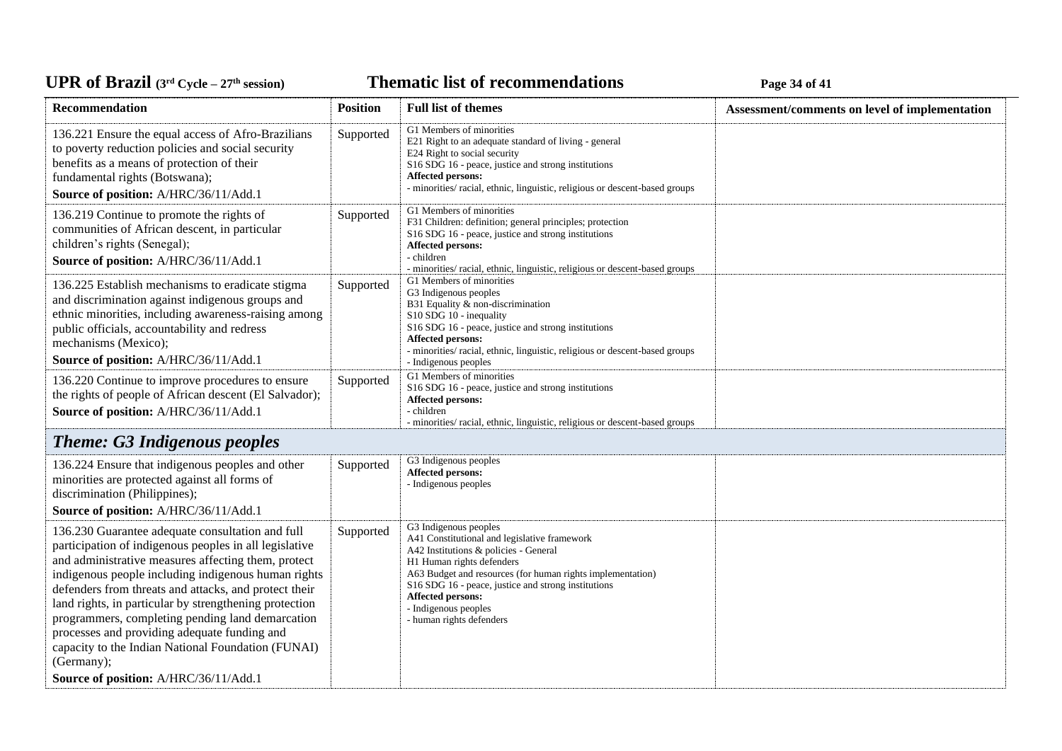**Thematic list of recommendations Page 34** of 41

| Recommendation                                                                                                                                                                                                                                                                                                                                                                                                                                                                                                                                               | <b>Position</b> | <b>Full list of themes</b>                                                                                                                                                                                                                                                                                                                       | Assessment/comments on level of implementation |
|--------------------------------------------------------------------------------------------------------------------------------------------------------------------------------------------------------------------------------------------------------------------------------------------------------------------------------------------------------------------------------------------------------------------------------------------------------------------------------------------------------------------------------------------------------------|-----------------|--------------------------------------------------------------------------------------------------------------------------------------------------------------------------------------------------------------------------------------------------------------------------------------------------------------------------------------------------|------------------------------------------------|
| 136.221 Ensure the equal access of Afro-Brazilians<br>to poverty reduction policies and social security<br>benefits as a means of protection of their<br>fundamental rights (Botswana);<br>Source of position: A/HRC/36/11/Add.1                                                                                                                                                                                                                                                                                                                             | Supported       | G1 Members of minorities<br>E21 Right to an adequate standard of living - general<br>E24 Right to social security<br>S16 SDG 16 - peace, justice and strong institutions<br><b>Affected persons:</b><br>- minorities/ racial, ethnic, linguistic, religious or descent-based groups                                                              |                                                |
| 136.219 Continue to promote the rights of<br>communities of African descent, in particular<br>children's rights (Senegal);<br>Source of position: A/HRC/36/11/Add.1                                                                                                                                                                                                                                                                                                                                                                                          | Supported       | G1 Members of minorities<br>F31 Children: definition; general principles; protection<br>S16 SDG 16 - peace, justice and strong institutions<br>Affected persons:<br>- children<br>- minorities/ racial, ethnic, linguistic, religious or descent-based groups                                                                                    |                                                |
| 136.225 Establish mechanisms to eradicate stigma<br>and discrimination against indigenous groups and<br>ethnic minorities, including awareness-raising among<br>public officials, accountability and redress<br>mechanisms (Mexico);<br>Source of position: A/HRC/36/11/Add.1                                                                                                                                                                                                                                                                                | Supported       | G1 Members of minorities<br>G3 Indigenous peoples<br>B31 Equality & non-discrimination<br>S10 SDG 10 - inequality<br>S16 SDG 16 - peace, justice and strong institutions<br>Affected persons:<br>- minorities/ racial, ethnic, linguistic, religious or descent-based groups<br>- Indigenous peoples                                             |                                                |
| 136.220 Continue to improve procedures to ensure<br>the rights of people of African descent (El Salvador);<br>Source of position: A/HRC/36/11/Add.1                                                                                                                                                                                                                                                                                                                                                                                                          | Supported       | G1 Members of minorities<br>S16 SDG 16 - peace, justice and strong institutions<br><b>Affected persons:</b><br>- children<br>- minorities/ racial, ethnic, linguistic, religious or descent-based groups                                                                                                                                         |                                                |
| <b>Theme: G3 Indigenous peoples</b>                                                                                                                                                                                                                                                                                                                                                                                                                                                                                                                          |                 |                                                                                                                                                                                                                                                                                                                                                  |                                                |
| 136.224 Ensure that indigenous peoples and other<br>minorities are protected against all forms of<br>discrimination (Philippines);<br>Source of position: A/HRC/36/11/Add.1                                                                                                                                                                                                                                                                                                                                                                                  | Supported       | G3 Indigenous peoples<br>Affected persons:<br>- Indigenous peoples                                                                                                                                                                                                                                                                               |                                                |
| 136.230 Guarantee adequate consultation and full<br>participation of indigenous peoples in all legislative<br>and administrative measures affecting them, protect<br>indigenous people including indigenous human rights<br>defenders from threats and attacks, and protect their<br>land rights, in particular by strengthening protection<br>programmers, completing pending land demarcation<br>processes and providing adequate funding and<br>capacity to the Indian National Foundation (FUNAI)<br>(Germany);<br>Source of position: A/HRC/36/11/Add.1 | Supported       | G3 Indigenous peoples<br>A41 Constitutional and legislative framework<br>A42 Institutions & policies - General<br>H1 Human rights defenders<br>A63 Budget and resources (for human rights implementation)<br>S16 SDG 16 - peace, justice and strong institutions<br><b>Affected persons:</b><br>- Indigenous peoples<br>- human rights defenders |                                                |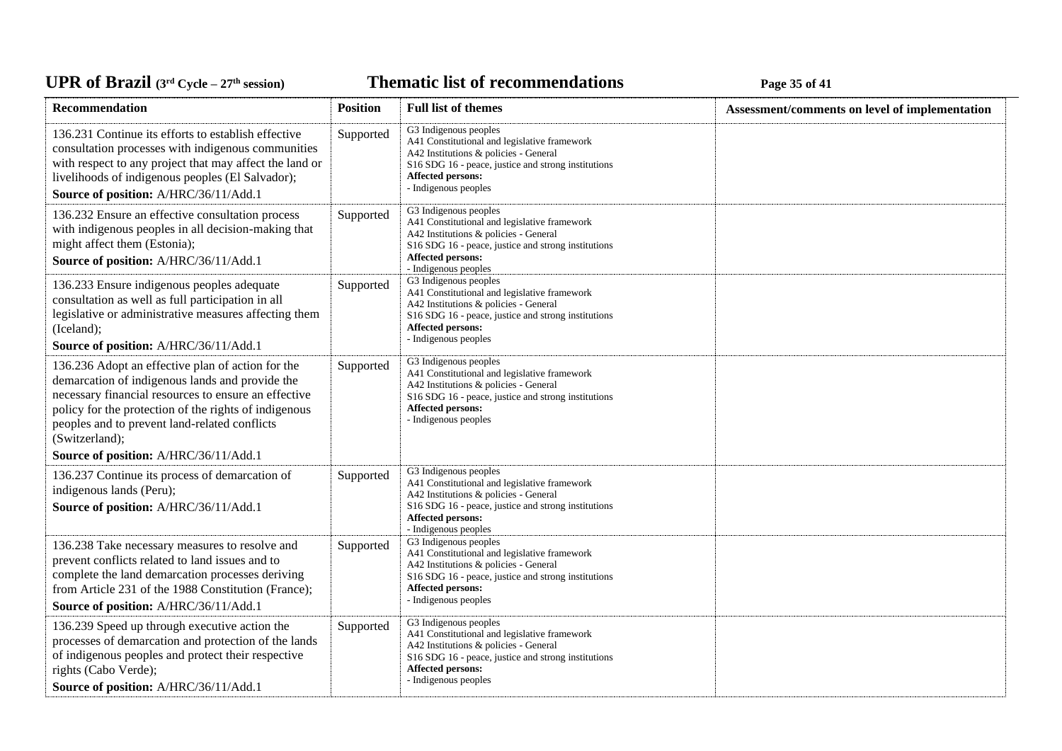*C***ELE <b>EXECUTE: CYCLE 27E CYCLE 27E <b>EXECUTE: Page 35** of 41

| Recommendation                                                                                                                                                                                                                                                                                                                    | <b>Position</b> | <b>Full list of themes</b>                                                                                                                                                                                                                       | Assessment/comments on level of implementation |
|-----------------------------------------------------------------------------------------------------------------------------------------------------------------------------------------------------------------------------------------------------------------------------------------------------------------------------------|-----------------|--------------------------------------------------------------------------------------------------------------------------------------------------------------------------------------------------------------------------------------------------|------------------------------------------------|
| 136.231 Continue its efforts to establish effective<br>consultation processes with indigenous communities<br>with respect to any project that may affect the land or<br>livelihoods of indigenous peoples (El Salvador);<br>Source of position: A/HRC/36/11/Add.1                                                                 | Supported       | G3 Indigenous peoples<br>A41 Constitutional and legislative framework<br>A42 Institutions & policies - General<br>S16 SDG 16 - peace, justice and strong institutions<br><b>Affected persons:</b><br>- Indigenous peoples                        |                                                |
| 136.232 Ensure an effective consultation process<br>with indigenous peoples in all decision-making that<br>might affect them (Estonia);<br>Source of position: A/HRC/36/11/Add.1                                                                                                                                                  | Supported       | G3 Indigenous peoples<br>A41 Constitutional and legislative framework<br>A42 Institutions & policies - General<br>S <sub>16</sub> SDG <sub>16</sub> - peace, justice and strong institutions<br>Affected persons:<br>- Indigenous peoples        |                                                |
| 136.233 Ensure indigenous peoples adequate<br>consultation as well as full participation in all<br>legislative or administrative measures affecting them<br>(Iceland);<br>Source of position: A/HRC/36/11/Add.1                                                                                                                   | Supported       | G3 Indigenous peoples<br>A41 Constitutional and legislative framework<br>A42 Institutions & policies - General<br>S <sub>16</sub> SDG <sub>16</sub> - peace, justice and strong institutions<br><b>Affected persons:</b><br>- Indigenous peoples |                                                |
| 136.236 Adopt an effective plan of action for the<br>demarcation of indigenous lands and provide the<br>necessary financial resources to ensure an effective<br>policy for the protection of the rights of indigenous<br>peoples and to prevent land-related conflicts<br>(Switzerland);<br>Source of position: A/HRC/36/11/Add.1 | Supported       | G3 Indigenous peoples<br>A41 Constitutional and legislative framework<br>A42 Institutions & policies - General<br>S <sub>16</sub> SDG <sub>16</sub> - peace, justice and strong institutions<br><b>Affected persons:</b><br>- Indigenous peoples |                                                |
| 136.237 Continue its process of demarcation of<br>indigenous lands (Peru);<br>Source of position: A/HRC/36/11/Add.1                                                                                                                                                                                                               | Supported       | G3 Indigenous peoples<br>A41 Constitutional and legislative framework<br>A42 Institutions & policies - General<br>S <sub>16</sub> SDG <sub>16</sub> - peace, justice and strong institutions<br><b>Affected persons:</b><br>- Indigenous peoples |                                                |
| 136.238 Take necessary measures to resolve and<br>prevent conflicts related to land issues and to<br>complete the land demarcation processes deriving<br>from Article 231 of the 1988 Constitution (France);<br>Source of position: A/HRC/36/11/Add.1                                                                             | Supported       | G3 Indigenous peoples<br>A41 Constitutional and legislative framework<br>A42 Institutions & policies - General<br>S16 SDG 16 - peace, justice and strong institutions<br><b>Affected persons:</b><br>- Indigenous peoples                        |                                                |
| 136.239 Speed up through executive action the<br>processes of demarcation and protection of the lands<br>of indigenous peoples and protect their respective<br>rights (Cabo Verde);<br>Source of position: A/HRC/36/11/Add.1                                                                                                      | Supported       | G3 Indigenous peoples<br>A41 Constitutional and legislative framework<br>A42 Institutions & policies - General<br>S16 SDG 16 - peace, justice and strong institutions<br>Affected persons:<br>- Indigenous peoples                               |                                                |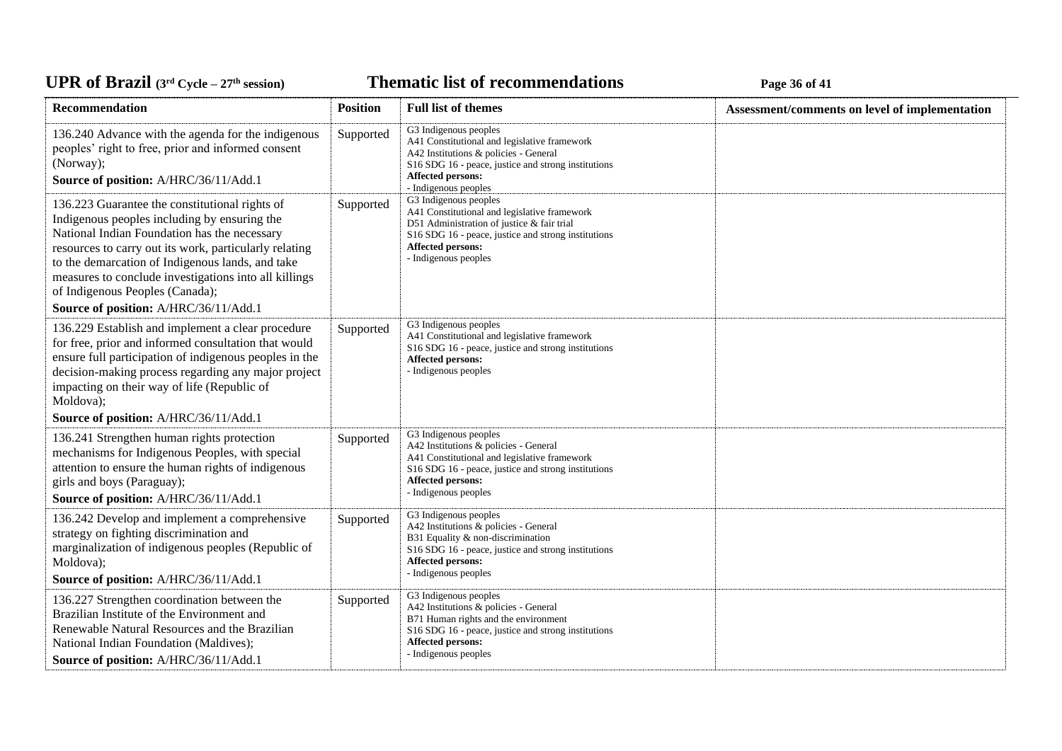# UPR of Brazil (3<sup>rd</sup> Cycle – 27<sup>th</sup> session)

**Thematic list of recommendations Page 36** of 41

| Recommendation                                                                                                                                                                                                                                                                                                                                                                                    | <b>Position</b> | <b>Full list of themes</b>                                                                                                                                                                                                                       | Assessment/comments on level of implementation |
|---------------------------------------------------------------------------------------------------------------------------------------------------------------------------------------------------------------------------------------------------------------------------------------------------------------------------------------------------------------------------------------------------|-----------------|--------------------------------------------------------------------------------------------------------------------------------------------------------------------------------------------------------------------------------------------------|------------------------------------------------|
| 136.240 Advance with the agenda for the indigenous<br>peoples' right to free, prior and informed consent<br>(Norway);<br>Source of position: A/HRC/36/11/Add.1                                                                                                                                                                                                                                    | Supported       | G3 Indigenous peoples<br>A41 Constitutional and legislative framework<br>A42 Institutions & policies - General<br>S16 SDG 16 - peace, justice and strong institutions<br>Affected persons:<br>- Indigenous peoples                               |                                                |
| 136.223 Guarantee the constitutional rights of<br>Indigenous peoples including by ensuring the<br>National Indian Foundation has the necessary<br>resources to carry out its work, particularly relating<br>to the demarcation of Indigenous lands, and take<br>measures to conclude investigations into all killings<br>of Indigenous Peoples (Canada);<br>Source of position: A/HRC/36/11/Add.1 | Supported       | G3 Indigenous peoples<br>A41 Constitutional and legislative framework<br>D51 Administration of justice & fair trial<br>S16 SDG 16 - peace, justice and strong institutions<br>Affected persons:<br>- Indigenous peoples                          |                                                |
| 136.229 Establish and implement a clear procedure<br>for free, prior and informed consultation that would<br>ensure full participation of indigenous peoples in the<br>decision-making process regarding any major project<br>impacting on their way of life (Republic of<br>Moldova);<br>Source of position: A/HRC/36/11/Add.1                                                                   | Supported       | G3 Indigenous peoples<br>A41 Constitutional and legislative framework<br>S <sub>16</sub> SDG <sub>16</sub> - peace, justice and strong institutions<br><b>Affected persons:</b><br>- Indigenous peoples                                          |                                                |
| 136.241 Strengthen human rights protection<br>mechanisms for Indigenous Peoples, with special<br>attention to ensure the human rights of indigenous<br>girls and boys (Paraguay);<br>Source of position: A/HRC/36/11/Add.1                                                                                                                                                                        | Supported       | G3 Indigenous peoples<br>A42 Institutions & policies - General<br>A41 Constitutional and legislative framework<br>S <sub>16</sub> SDG <sub>16</sub> - peace, justice and strong institutions<br><b>Affected persons:</b><br>- Indigenous peoples |                                                |
| 136.242 Develop and implement a comprehensive<br>strategy on fighting discrimination and<br>marginalization of indigenous peoples (Republic of<br>Moldova);<br>Source of position: A/HRC/36/11/Add.1                                                                                                                                                                                              | Supported       | G3 Indigenous peoples<br>A42 Institutions & policies - General<br>B31 Equality & non-discrimination<br>S16 SDG 16 - peace, justice and strong institutions<br>Affected persons:<br>- Indigenous peoples                                          |                                                |
| 136.227 Strengthen coordination between the<br>Brazilian Institute of the Environment and<br>Renewable Natural Resources and the Brazilian<br>National Indian Foundation (Maldives);<br>Source of position: A/HRC/36/11/Add.1                                                                                                                                                                     | Supported       | G3 Indigenous peoples<br>A42 Institutions & policies - General<br>B71 Human rights and the environment<br>S <sub>16</sub> SDG <sub>16</sub> - peace, justice and strong institutions<br><b>Affected persons:</b><br>- Indigenous peoples         |                                                |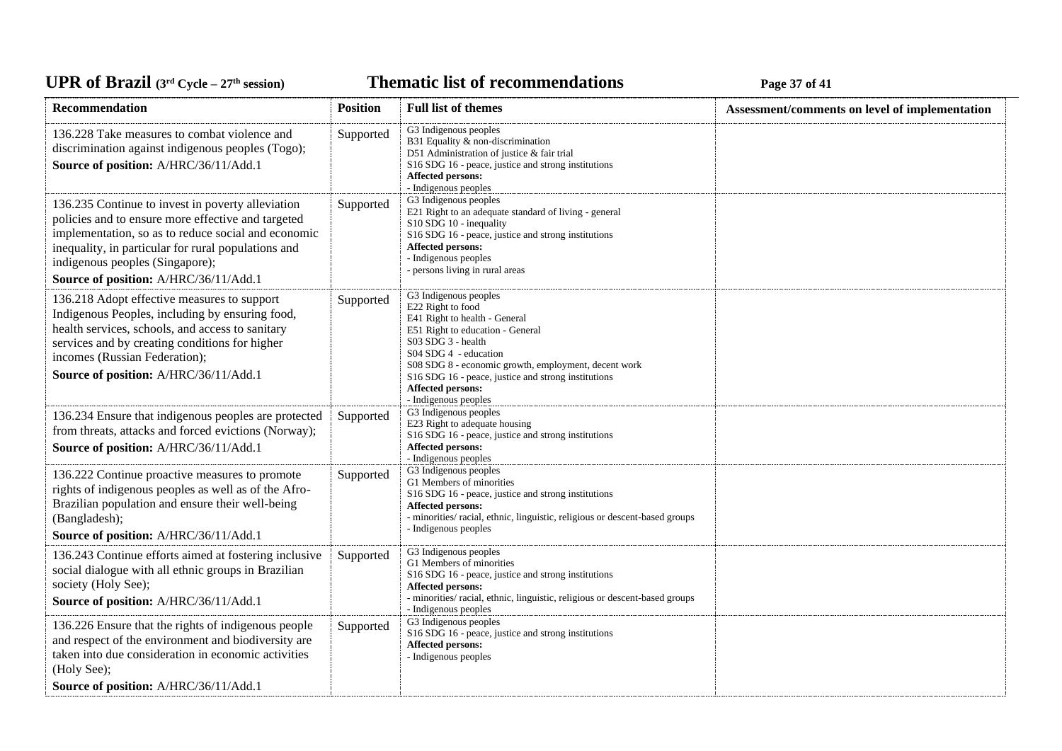*C***ELE <b>EXECUTE: CYCLE 27 Page 37** of 41

| Recommendation                                                                                                                                                                                                                                                                                    | <b>Position</b> | <b>Full list of themes</b>                                                                                                                                                                                                                                                                                                                        | Assessment/comments on level of implementation |
|---------------------------------------------------------------------------------------------------------------------------------------------------------------------------------------------------------------------------------------------------------------------------------------------------|-----------------|---------------------------------------------------------------------------------------------------------------------------------------------------------------------------------------------------------------------------------------------------------------------------------------------------------------------------------------------------|------------------------------------------------|
| 136.228 Take measures to combat violence and<br>discrimination against indigenous peoples (Togo);<br>Source of position: A/HRC/36/11/Add.1                                                                                                                                                        | Supported       | G3 Indigenous peoples<br>B31 Equality & non-discrimination<br>D51 Administration of justice & fair trial<br>S16 SDG 16 - peace, justice and strong institutions<br><b>Affected persons:</b><br>- Indigenous peoples                                                                                                                               |                                                |
| 136.235 Continue to invest in poverty alleviation<br>policies and to ensure more effective and targeted<br>implementation, so as to reduce social and economic<br>inequality, in particular for rural populations and<br>indigenous peoples (Singapore);<br>Source of position: A/HRC/36/11/Add.1 | Supported       | G3 Indigenous peoples<br>E21 Right to an adequate standard of living - general<br>S10 SDG 10 - inequality<br>S16 SDG 16 - peace, justice and strong institutions<br><b>Affected persons:</b><br>- Indigenous peoples<br>- persons living in rural areas                                                                                           |                                                |
| 136.218 Adopt effective measures to support<br>Indigenous Peoples, including by ensuring food,<br>health services, schools, and access to sanitary<br>services and by creating conditions for higher<br>incomes (Russian Federation);<br>Source of position: A/HRC/36/11/Add.1                    | Supported       | G3 Indigenous peoples<br>E22 Right to food<br>E41 Right to health - General<br>E51 Right to education - General<br>S03 SDG 3 - health<br>S04 SDG 4 - education<br>S08 SDG 8 - economic growth, employment, decent work<br>S <sub>16</sub> SDG <sub>16</sub> - peace, justice and strong institutions<br>Affected persons:<br>- Indigenous peoples |                                                |
| 136.234 Ensure that indigenous peoples are protected<br>from threats, attacks and forced evictions (Norway);<br>Source of position: A/HRC/36/11/Add.1                                                                                                                                             | Supported       | G3 Indigenous peoples<br>E23 Right to adequate housing<br>S16 SDG 16 - peace, justice and strong institutions<br><b>Affected persons:</b><br>- Indigenous peoples                                                                                                                                                                                 |                                                |
| 136.222 Continue proactive measures to promote<br>rights of indigenous peoples as well as of the Afro-<br>Brazilian population and ensure their well-being<br>(Bangladesh);<br>Source of position: A/HRC/36/11/Add.1                                                                              | Supported       | G3 Indigenous peoples<br>G1 Members of minorities<br>S16 SDG 16 - peace, justice and strong institutions<br><b>Affected persons:</b><br>- minorities/ racial, ethnic, linguistic, religious or descent-based groups<br>- Indigenous peoples                                                                                                       |                                                |
| 136.243 Continue efforts aimed at fostering inclusive<br>social dialogue with all ethnic groups in Brazilian<br>society (Holy See);<br>Source of position: A/HRC/36/11/Add.1                                                                                                                      | Supported       | G3 Indigenous peoples<br>G1 Members of minorities<br>S16 SDG 16 - peace, justice and strong institutions<br><b>Affected persons:</b><br>- minorities/racial, ethnic, linguistic, religious or descent-based groups<br>- Indigenous peoples                                                                                                        |                                                |
| 136.226 Ensure that the rights of indigenous people<br>and respect of the environment and biodiversity are<br>taken into due consideration in economic activities<br>(Holy See);<br>Source of position: A/HRC/36/11/Add.1                                                                         | Supported       | G3 Indigenous peoples<br>S16 SDG 16 - peace, justice and strong institutions<br>Affected persons:<br>- Indigenous peoples                                                                                                                                                                                                                         |                                                |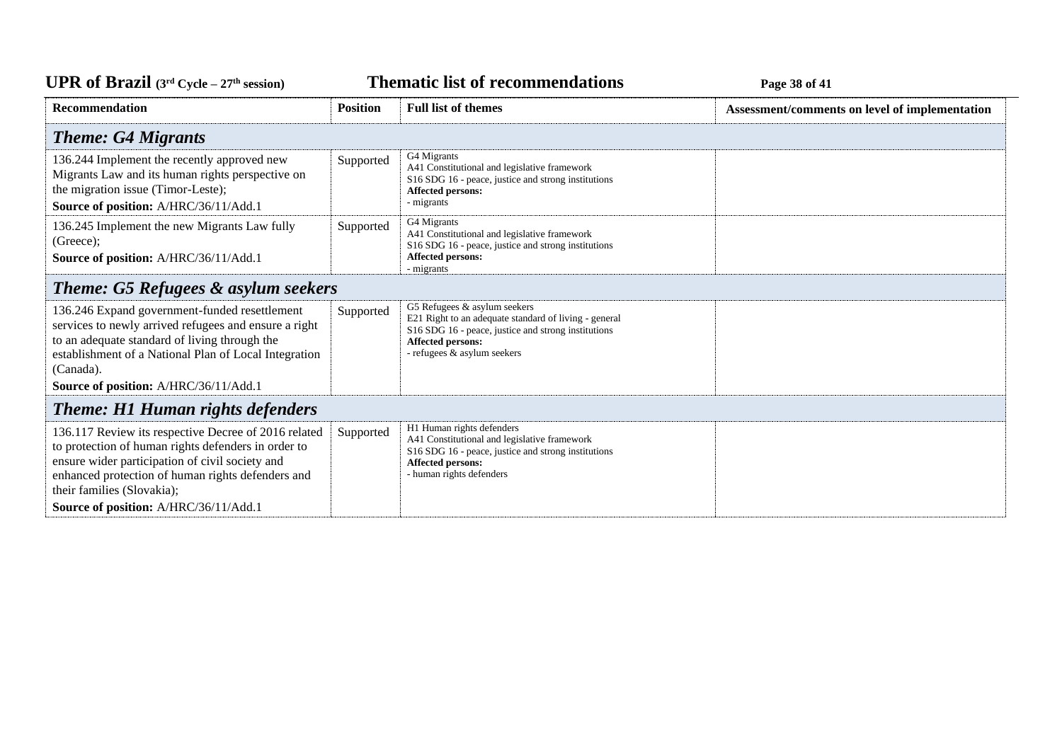**Thematic list of recommendations Page 38** of 41

| <b>Recommendation</b>                                                                                                                                                                                                                                                                      | <b>Position</b> | <b>Full list of themes</b>                                                                                                                                                                       | Assessment/comments on level of implementation |
|--------------------------------------------------------------------------------------------------------------------------------------------------------------------------------------------------------------------------------------------------------------------------------------------|-----------------|--------------------------------------------------------------------------------------------------------------------------------------------------------------------------------------------------|------------------------------------------------|
| <b>Theme: G4 Migrants</b>                                                                                                                                                                                                                                                                  |                 |                                                                                                                                                                                                  |                                                |
| 136.244 Implement the recently approved new<br>Migrants Law and its human rights perspective on<br>the migration issue (Timor-Leste);<br>Source of position: A/HRC/36/11/Add.1                                                                                                             | Supported       | G4 Migrants<br>A41 Constitutional and legislative framework<br>S16 SDG 16 - peace, justice and strong institutions<br>Affected persons:<br>- migrants                                            |                                                |
| 136.245 Implement the new Migrants Law fully<br>(Greeze);<br>Source of position: A/HRC/36/11/Add.1                                                                                                                                                                                         | Supported       | G4 Migrants<br>A41 Constitutional and legislative framework<br>S16 SDG 16 - peace, justice and strong institutions<br>Affected persons:<br>- migrants                                            |                                                |
| <b>Theme: G5 Refugees &amp; asylum seekers</b>                                                                                                                                                                                                                                             |                 |                                                                                                                                                                                                  |                                                |
| 136.246 Expand government-funded resettlement<br>services to newly arrived refugees and ensure a right<br>to an adequate standard of living through the<br>establishment of a National Plan of Local Integration<br>(Canada).<br>Source of position: A/HRC/36/11/Add.1                     | Supported       | G5 Refugees & asylum seekers<br>E21 Right to an adequate standard of living - general<br>S16 SDG 16 - peace, justice and strong institutions<br>Affected persons:<br>- refugees & asylum seekers |                                                |
| <b>Theme: H1 Human rights defenders</b>                                                                                                                                                                                                                                                    |                 |                                                                                                                                                                                                  |                                                |
| 136.117 Review its respective Decree of 2016 related<br>to protection of human rights defenders in order to<br>ensure wider participation of civil society and<br>enhanced protection of human rights defenders and<br>their families (Slovakia);<br>Source of position: A/HRC/36/11/Add.1 | Supported       | H1 Human rights defenders<br>A41 Constitutional and legislative framework<br>S16 SDG 16 - peace, justice and strong institutions<br>Affected persons:<br>- human rights defenders                |                                                |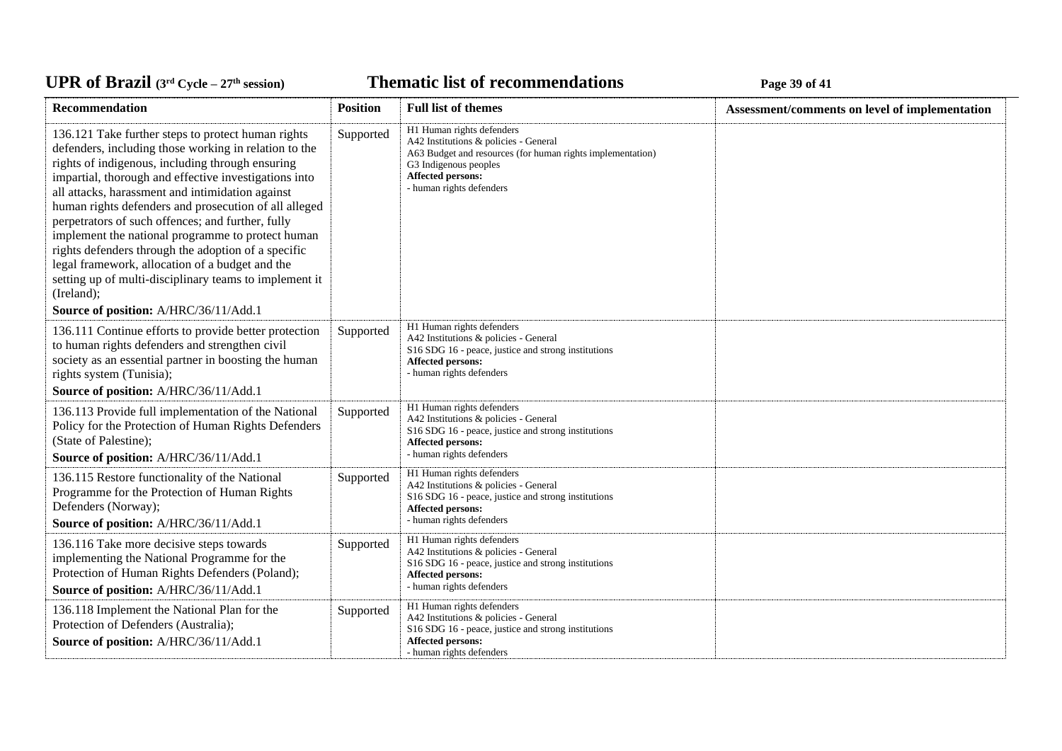#### *C***ELE <b>EXECUTE: CYCLE 2020 Page 39** of 41

| Recommendation                                                                                                                                                                                                                                                                                                                                                                                                                                                                                                                                                                                                                                                             | <b>Position</b> | <b>Full list of themes</b>                                                                                                                                                                                        | Assessment/comments on level of implementation |
|----------------------------------------------------------------------------------------------------------------------------------------------------------------------------------------------------------------------------------------------------------------------------------------------------------------------------------------------------------------------------------------------------------------------------------------------------------------------------------------------------------------------------------------------------------------------------------------------------------------------------------------------------------------------------|-----------------|-------------------------------------------------------------------------------------------------------------------------------------------------------------------------------------------------------------------|------------------------------------------------|
| 136.121 Take further steps to protect human rights<br>defenders, including those working in relation to the<br>rights of indigenous, including through ensuring<br>impartial, thorough and effective investigations into<br>all attacks, harassment and intimidation against<br>human rights defenders and prosecution of all alleged<br>perpetrators of such offences; and further, fully<br>implement the national programme to protect human<br>rights defenders through the adoption of a specific<br>legal framework, allocation of a budget and the<br>setting up of multi-disciplinary teams to implement it<br>(Ireland);<br>Source of position: A/HRC/36/11/Add.1 | Supported       | H1 Human rights defenders<br>A42 Institutions & policies - General<br>A63 Budget and resources (for human rights implementation)<br>G3 Indigenous peoples<br><b>Affected persons:</b><br>- human rights defenders |                                                |
| 136.111 Continue efforts to provide better protection<br>to human rights defenders and strengthen civil<br>society as an essential partner in boosting the human<br>rights system (Tunisia);                                                                                                                                                                                                                                                                                                                                                                                                                                                                               | Supported       | H1 Human rights defenders<br>A42 Institutions & policies - General<br>S16 SDG 16 - peace, justice and strong institutions<br><b>Affected persons:</b><br>- human rights defenders                                 |                                                |
| Source of position: A/HRC/36/11/Add.1<br>136.113 Provide full implementation of the National<br>Policy for the Protection of Human Rights Defenders<br>(State of Palestine);<br>Source of position: A/HRC/36/11/Add.1                                                                                                                                                                                                                                                                                                                                                                                                                                                      | Supported       | H1 Human rights defenders<br>A42 Institutions & policies - General<br>S16 SDG 16 - peace, justice and strong institutions<br><b>Affected persons:</b><br>- human rights defenders                                 |                                                |
| 136.115 Restore functionality of the National<br>Programme for the Protection of Human Rights<br>Defenders (Norway);<br>Source of position: A/HRC/36/11/Add.1                                                                                                                                                                                                                                                                                                                                                                                                                                                                                                              | Supported       | H1 Human rights defenders<br>A42 Institutions & policies - General<br>S16 SDG 16 - peace, justice and strong institutions<br><b>Affected persons:</b><br>- human rights defenders                                 |                                                |
| 136.116 Take more decisive steps towards<br>implementing the National Programme for the<br>Protection of Human Rights Defenders (Poland);<br>Source of position: A/HRC/36/11/Add.1                                                                                                                                                                                                                                                                                                                                                                                                                                                                                         | Supported       | H1 Human rights defenders<br>A42 Institutions & policies - General<br>S16 SDG 16 - peace, justice and strong institutions<br><b>Affected persons:</b><br>- human rights defenders                                 |                                                |
| 136.118 Implement the National Plan for the<br>Protection of Defenders (Australia);<br>Source of position: A/HRC/36/11/Add.1                                                                                                                                                                                                                                                                                                                                                                                                                                                                                                                                               | Supported       | H1 Human rights defenders<br>A42 Institutions & policies - General<br>S16 SDG 16 - peace, justice and strong institutions<br><b>Affected persons:</b><br>- human rights defenders                                 |                                                |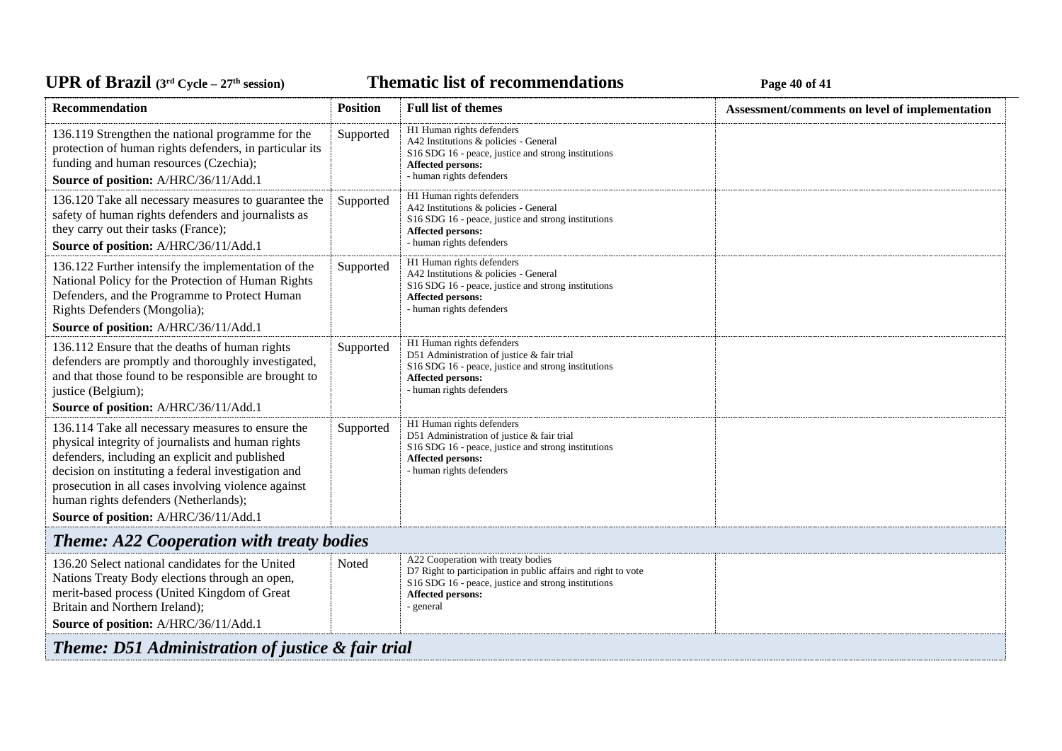## UPR of Brazil  $(3^{rd}$  Cycle – 27<sup>th</sup> session)

**Thematic list of recommendations Page 40** of 41

| Recommendation                                                                                                                                                                                                                                                                                                                                            | <b>Position</b> | <b>Full list of themes</b>                                                                                                                                                                          | Assessment/comments on level of implementation |
|-----------------------------------------------------------------------------------------------------------------------------------------------------------------------------------------------------------------------------------------------------------------------------------------------------------------------------------------------------------|-----------------|-----------------------------------------------------------------------------------------------------------------------------------------------------------------------------------------------------|------------------------------------------------|
| 136.119 Strengthen the national programme for the<br>protection of human rights defenders, in particular its<br>funding and human resources (Czechia);<br>Source of position: A/HRC/36/11/Add.1                                                                                                                                                           | Supported       | H1 Human rights defenders<br>A42 Institutions & policies - General<br>S16 SDG 16 - peace, justice and strong institutions<br><b>Affected persons:</b><br>- human rights defenders                   |                                                |
| 136.120 Take all necessary measures to guarantee the<br>safety of human rights defenders and journalists as<br>they carry out their tasks (France);<br>Source of position: A/HRC/36/11/Add.1                                                                                                                                                              | Supported       | H1 Human rights defenders<br>A42 Institutions & policies - General<br>S16 SDG 16 - peace, justice and strong institutions<br><b>Affected persons:</b><br>- human rights defenders                   |                                                |
| 136.122 Further intensify the implementation of the<br>National Policy for the Protection of Human Rights<br>Defenders, and the Programme to Protect Human<br>Rights Defenders (Mongolia);                                                                                                                                                                | Supported       | H1 Human rights defenders<br>A42 Institutions & policies - General<br>S <sub>16</sub> SDG <sub>16</sub> - peace, justice and strong institutions<br>Affected persons:<br>- human rights defenders   |                                                |
| Source of position: A/HRC/36/11/Add.1                                                                                                                                                                                                                                                                                                                     |                 |                                                                                                                                                                                                     |                                                |
| 136.112 Ensure that the deaths of human rights<br>defenders are promptly and thoroughly investigated,<br>and that those found to be responsible are brought to<br>justice (Belgium);<br>Source of position: A/HRC/36/11/Add.1                                                                                                                             | Supported       | H1 Human rights defenders<br>D51 Administration of justice & fair trial<br>S16 SDG 16 - peace, justice and strong institutions<br>Affected persons:<br>- human rights defenders                     |                                                |
| 136.114 Take all necessary measures to ensure the<br>physical integrity of journalists and human rights<br>defenders, including an explicit and published<br>decision on instituting a federal investigation and<br>prosecution in all cases involving violence against<br>human rights defenders (Netherlands);<br>Source of position: A/HRC/36/11/Add.1 | Supported       | H1 Human rights defenders<br>D51 Administration of justice & fair trial<br>S16 SDG 16 - peace, justice and strong institutions<br><b>Affected persons:</b><br>- human rights defenders              |                                                |
|                                                                                                                                                                                                                                                                                                                                                           |                 |                                                                                                                                                                                                     |                                                |
| <b>Theme: A22 Cooperation with treaty bodies</b>                                                                                                                                                                                                                                                                                                          |                 |                                                                                                                                                                                                     |                                                |
| 136.20 Select national candidates for the United<br>Nations Treaty Body elections through an open,<br>merit-based process (United Kingdom of Great<br>Britain and Northern Ireland);<br>Source of position: A/HRC/36/11/Add.1                                                                                                                             | Noted           | A22 Cooperation with treaty bodies<br>D7 Right to participation in public affairs and right to vote<br>S16 SDG 16 - peace, justice and strong institutions<br><b>Affected persons:</b><br>- general |                                                |
| Theme: D51 Administration of justice & fair trial                                                                                                                                                                                                                                                                                                         |                 |                                                                                                                                                                                                     |                                                |